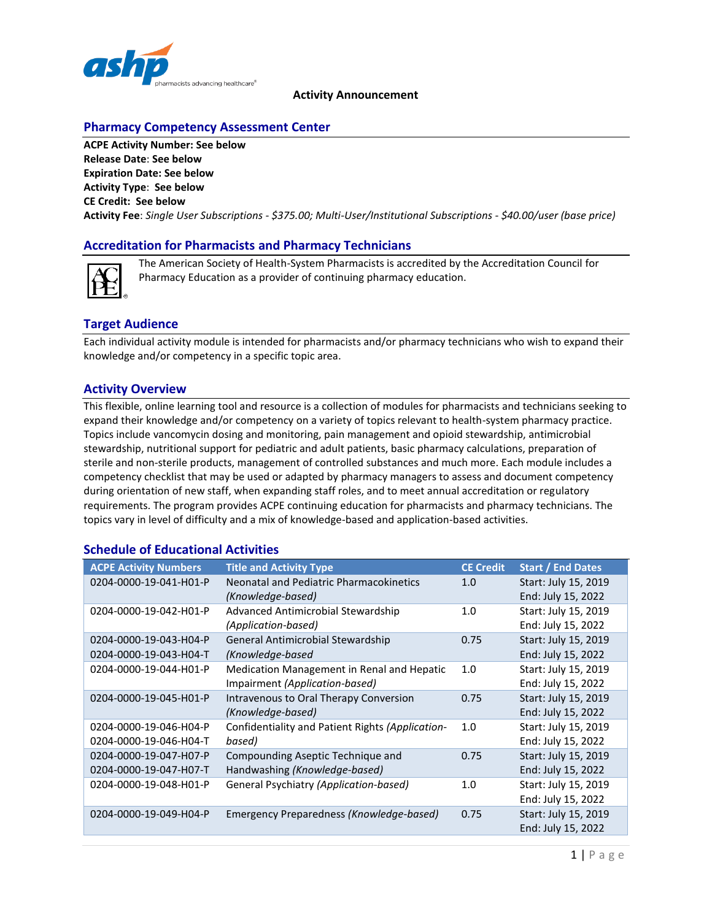

# **Pharmacy Competency Assessment Center**

**ACPE Activity Number: See below Release Date**: **See below Expiration Date: See below Activity Type**: **See below CE Credit: See below Activity Fee**: *Single User Subscriptions - \$375.00; Multi-User/Institutional Subscriptions - \$40.00/user (base price)*

#### **Accreditation for Pharmacists and Pharmacy Technicians**



The American Society of Health-System Pharmacists is accredited by the Accreditation Council for Pharmacy Education as a provider of continuing pharmacy education.

### **Target Audience**

Each individual activity module is intended for pharmacists and/or pharmacy technicians who wish to expand their knowledge and/or competency in a specific topic area.

#### **Activity Overview**

This flexible, online learning tool and resource is a collection of modules for pharmacists and technicians seeking to expand their knowledge and/or competency on a variety of topics relevant to health-system pharmacy practice. Topics include vancomycin dosing and monitoring, pain management and opioid stewardship, antimicrobial stewardship, nutritional support for pediatric and adult patients, basic pharmacy calculations, preparation of sterile and non-sterile products, management of controlled substances and much more. Each module includes a competency checklist that may be used or adapted by pharmacy managers to assess and document competency during orientation of new staff, when expanding staff roles, and to meet annual accreditation or regulatory requirements. The program provides ACPE continuing education for pharmacists and pharmacy technicians. The topics vary in level of difficulty and a mix of knowledge-based and application-based activities.

#### **Schedule of Educational Activities**

| <b>ACPE Activity Numbers</b> | <b>Title and Activity Type</b>                   | <b>CE Credit</b> | Start / End Dates    |
|------------------------------|--------------------------------------------------|------------------|----------------------|
| 0204-0000-19-041-H01-P       | Neonatal and Pediatric Pharmacokinetics          | 1.0              | Start: July 15, 2019 |
|                              | (Knowledge-based)                                |                  | End: July 15, 2022   |
| 0204-0000-19-042-H01-P       | Advanced Antimicrobial Stewardship               | 1.0              | Start: July 15, 2019 |
|                              | (Application-based)                              |                  | End: July 15, 2022   |
| 0204-0000-19-043-H04-P       | General Antimicrobial Stewardship                | 0.75             | Start: July 15, 2019 |
| 0204-0000-19-043-H04-T       | (Knowledge-based                                 |                  | End: July 15, 2022   |
| 0204-0000-19-044-H01-P       | Medication Management in Renal and Hepatic       | 1.0              | Start: July 15, 2019 |
|                              | Impairment (Application-based)                   |                  | End: July 15, 2022   |
| 0204-0000-19-045-H01-P       | Intravenous to Oral Therapy Conversion           | 0.75             | Start: July 15, 2019 |
|                              | (Knowledge-based)                                |                  | End: July 15, 2022   |
| 0204-0000-19-046-H04-P       | Confidentiality and Patient Rights (Application- | 1.0              | Start: July 15, 2019 |
| 0204-0000-19-046-H04-T       | based)                                           |                  | End: July 15, 2022   |
| 0204-0000-19-047-H07-P       | Compounding Aseptic Technique and                | 0.75             | Start: July 15, 2019 |
| 0204-0000-19-047-H07-T       | Handwashing (Knowledge-based)                    |                  | End: July 15, 2022   |
| 0204-0000-19-048-H01-P       | General Psychiatry (Application-based)           | 1.0              | Start: July 15, 2019 |
|                              |                                                  |                  | End: July 15, 2022   |
| 0204-0000-19-049-H04-P       | Emergency Preparedness (Knowledge-based)         | 0.75             | Start: July 15, 2019 |
|                              |                                                  |                  | End: July 15, 2022   |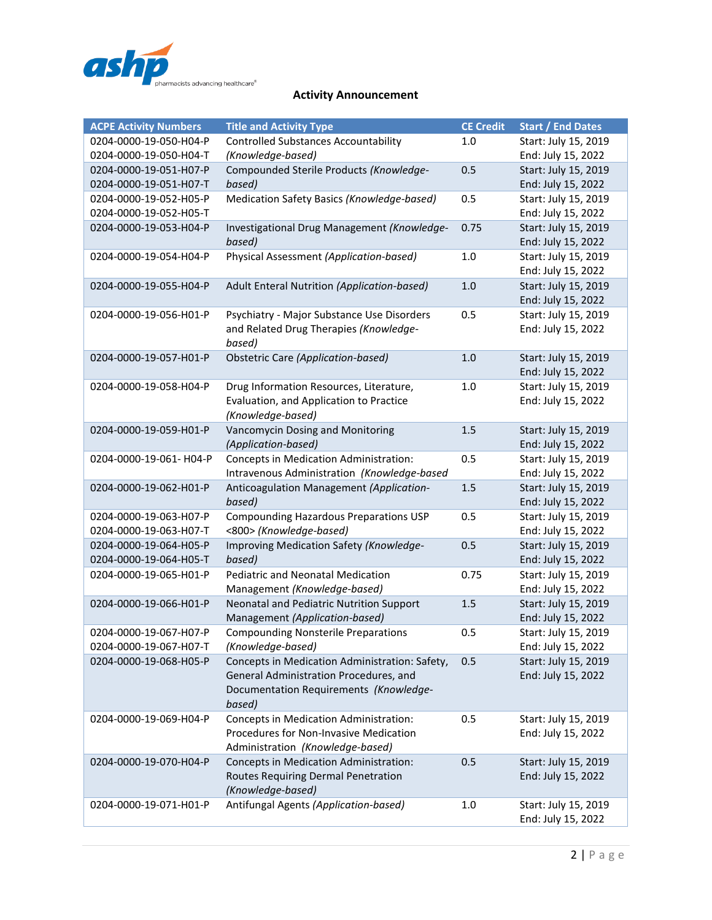

| <b>ACPE Activity Numbers</b> | <b>Title and Activity Type</b>                     | <b>CE Credit</b> | <b>Start / End Dates</b>                   |
|------------------------------|----------------------------------------------------|------------------|--------------------------------------------|
| 0204-0000-19-050-H04-P       | <b>Controlled Substances Accountability</b>        | 1.0              | Start: July 15, 2019                       |
| 0204-0000-19-050-H04-T       | (Knowledge-based)                                  |                  | End: July 15, 2022                         |
| 0204-0000-19-051-H07-P       | Compounded Sterile Products (Knowledge-            | 0.5              | Start: July 15, 2019                       |
| 0204-0000-19-051-H07-T       | based)                                             |                  | End: July 15, 2022                         |
| 0204-0000-19-052-H05-P       | Medication Safety Basics (Knowledge-based)         | 0.5              | Start: July 15, 2019                       |
| 0204-0000-19-052-H05-T       |                                                    |                  | End: July 15, 2022                         |
| 0204-0000-19-053-H04-P       | Investigational Drug Management (Knowledge-        | 0.75             | Start: July 15, 2019                       |
|                              | based)                                             |                  | End: July 15, 2022                         |
| 0204-0000-19-054-H04-P       | Physical Assessment (Application-based)            | $1.0\,$          | Start: July 15, 2019                       |
|                              |                                                    |                  | End: July 15, 2022                         |
| 0204-0000-19-055-H04-P       | Adult Enteral Nutrition (Application-based)        | 1.0              | Start: July 15, 2019                       |
|                              |                                                    |                  | End: July 15, 2022                         |
| 0204-0000-19-056-H01-P       | Psychiatry - Major Substance Use Disorders         | 0.5              | Start: July 15, 2019                       |
|                              | and Related Drug Therapies (Knowledge-             |                  | End: July 15, 2022                         |
|                              | based)                                             |                  |                                            |
| 0204-0000-19-057-H01-P       | <b>Obstetric Care (Application-based)</b>          | $1.0$            | Start: July 15, 2019                       |
|                              |                                                    |                  | End: July 15, 2022                         |
| 0204-0000-19-058-H04-P       | Drug Information Resources, Literature,            | $1.0$            | Start: July 15, 2019                       |
|                              | Evaluation, and Application to Practice            |                  | End: July 15, 2022                         |
|                              | (Knowledge-based)                                  |                  |                                            |
| 0204-0000-19-059-H01-P       | Vancomycin Dosing and Monitoring                   | $1.5\,$          | Start: July 15, 2019                       |
|                              | (Application-based)                                |                  | End: July 15, 2022                         |
| 0204-0000-19-061- H04-P      | Concepts in Medication Administration:             | 0.5              | Start: July 15, 2019                       |
|                              | Intravenous Administration (Knowledge-based        |                  | End: July 15, 2022                         |
| 0204-0000-19-062-H01-P       | Anticoagulation Management (Application-           | 1.5              | Start: July 15, 2019                       |
|                              | based)                                             |                  | End: July 15, 2022                         |
| 0204-0000-19-063-H07-P       | Compounding Hazardous Preparations USP             | 0.5              | Start: July 15, 2019                       |
| 0204-0000-19-063-H07-T       | <800> (Knowledge-based)                            |                  | End: July 15, 2022                         |
| 0204-0000-19-064-H05-P       | Improving Medication Safety (Knowledge-            | 0.5              | Start: July 15, 2019                       |
| 0204-0000-19-064-H05-T       | based)<br><b>Pediatric and Neonatal Medication</b> |                  | End: July 15, 2022                         |
| 0204-0000-19-065-H01-P       | Management (Knowledge-based)                       | 0.75             | Start: July 15, 2019<br>End: July 15, 2022 |
| 0204-0000-19-066-H01-P       | Neonatal and Pediatric Nutrition Support           | 1.5              | Start: July 15, 2019                       |
|                              | Management (Application-based)                     |                  | End: July 15, 2022                         |
| 0204-0000-19-067-H07-P       | <b>Compounding Nonsterile Preparations</b>         | 0.5              | Start: July 15, 2019                       |
| 0204-0000-19-067-H07-T       | (Knowledge-based)                                  |                  | End: July 15, 2022                         |
| 0204-0000-19-068-H05-P       | Concepts in Medication Administration: Safety,     | 0.5              | Start: July 15, 2019                       |
|                              | General Administration Procedures, and             |                  | End: July 15, 2022                         |
|                              | Documentation Requirements (Knowledge-             |                  |                                            |
|                              | based)                                             |                  |                                            |
| 0204-0000-19-069-H04-P       | Concepts in Medication Administration:             | 0.5              | Start: July 15, 2019                       |
|                              | Procedures for Non-Invasive Medication             |                  | End: July 15, 2022                         |
|                              | Administration (Knowledge-based)                   |                  |                                            |
| 0204-0000-19-070-H04-P       | Concepts in Medication Administration:             | 0.5              | Start: July 15, 2019                       |
|                              | Routes Requiring Dermal Penetration                |                  | End: July 15, 2022                         |
|                              | (Knowledge-based)                                  |                  |                                            |
| 0204-0000-19-071-H01-P       | Antifungal Agents (Application-based)              | 1.0              | Start: July 15, 2019                       |
|                              |                                                    |                  | End: July 15, 2022                         |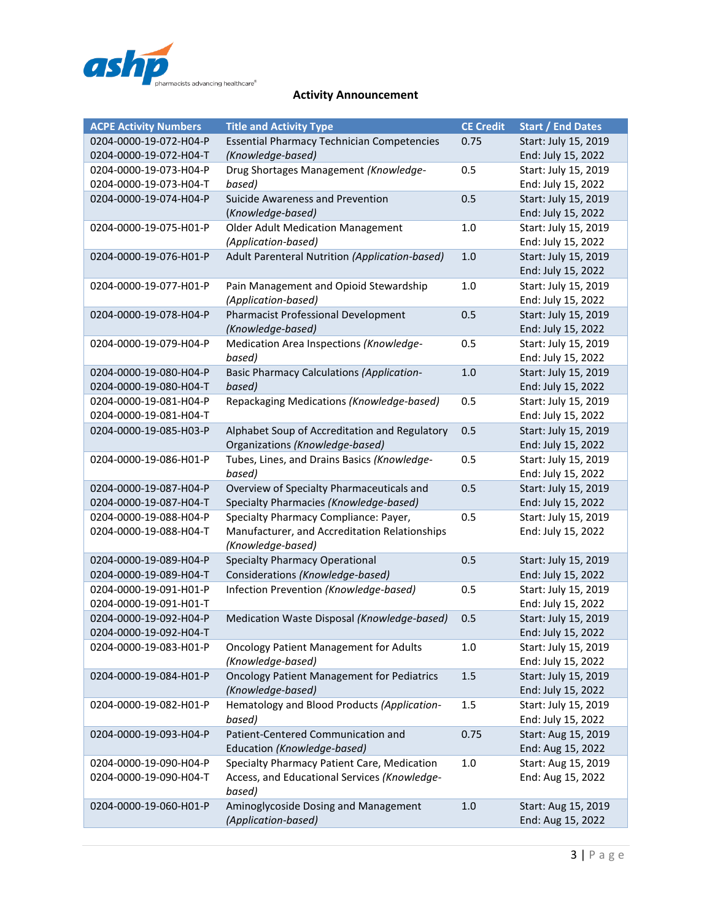

| <b>ACPE Activity Numbers</b> | <b>Title and Activity Type</b>                                   | <b>CE Credit</b> | <b>Start / End Dates</b>                   |
|------------------------------|------------------------------------------------------------------|------------------|--------------------------------------------|
| 0204-0000-19-072-H04-P       | <b>Essential Pharmacy Technician Competencies</b>                | 0.75             | Start: July 15, 2019                       |
| 0204-0000-19-072-H04-T       | (Knowledge-based)                                                |                  | End: July 15, 2022                         |
| 0204-0000-19-073-H04-P       | Drug Shortages Management (Knowledge-                            | 0.5              | Start: July 15, 2019                       |
| 0204-0000-19-073-H04-T       | based)                                                           |                  | End: July 15, 2022                         |
| 0204-0000-19-074-H04-P       | Suicide Awareness and Prevention                                 | 0.5              | Start: July 15, 2019                       |
|                              | (Knowledge-based)                                                |                  | End: July 15, 2022                         |
| 0204-0000-19-075-H01-P       | <b>Older Adult Medication Management</b>                         | 1.0              | Start: July 15, 2019                       |
|                              | (Application-based)                                              |                  | End: July 15, 2022                         |
| 0204-0000-19-076-H01-P       | Adult Parenteral Nutrition (Application-based)                   | 1.0              | Start: July 15, 2019                       |
|                              |                                                                  |                  | End: July 15, 2022                         |
| 0204-0000-19-077-H01-P       | Pain Management and Opioid Stewardship                           | 1.0              | Start: July 15, 2019                       |
|                              | (Application-based)                                              |                  | End: July 15, 2022                         |
| 0204-0000-19-078-H04-P       | <b>Pharmacist Professional Development</b>                       | 0.5              | Start: July 15, 2019                       |
|                              | (Knowledge-based)                                                | 0.5              | End: July 15, 2022<br>Start: July 15, 2019 |
| 0204-0000-19-079-H04-P       | Medication Area Inspections (Knowledge-<br>based)                |                  | End: July 15, 2022                         |
| 0204-0000-19-080-H04-P       | <b>Basic Pharmacy Calculations (Application-</b>                 | 1.0              | Start: July 15, 2019                       |
| 0204-0000-19-080-H04-T       | based)                                                           |                  | End: July 15, 2022                         |
| 0204-0000-19-081-H04-P       | Repackaging Medications (Knowledge-based)                        | 0.5              | Start: July 15, 2019                       |
| 0204-0000-19-081-H04-T       |                                                                  |                  | End: July 15, 2022                         |
| 0204-0000-19-085-H03-P       | Alphabet Soup of Accreditation and Regulatory                    | 0.5              | Start: July 15, 2019                       |
|                              | Organizations (Knowledge-based)                                  |                  | End: July 15, 2022                         |
| 0204-0000-19-086-H01-P       | Tubes, Lines, and Drains Basics (Knowledge-                      | 0.5              | Start: July 15, 2019                       |
|                              | based)                                                           |                  | End: July 15, 2022                         |
| 0204-0000-19-087-H04-P       | Overview of Specialty Pharmaceuticals and                        | 0.5              | Start: July 15, 2019                       |
| 0204-0000-19-087-H04-T       | Specialty Pharmacies (Knowledge-based)                           |                  | End: July 15, 2022                         |
| 0204-0000-19-088-H04-P       | Specialty Pharmacy Compliance: Payer,                            | 0.5              | Start: July 15, 2019                       |
| 0204-0000-19-088-H04-T       | Manufacturer, and Accreditation Relationships                    |                  | End: July 15, 2022                         |
|                              | (Knowledge-based)                                                |                  |                                            |
| 0204-0000-19-089-H04-P       | <b>Specialty Pharmacy Operational</b>                            | 0.5              | Start: July 15, 2019                       |
| 0204-0000-19-089-H04-T       | Considerations (Knowledge-based)                                 |                  | End: July 15, 2022                         |
| 0204-0000-19-091-H01-P       | Infection Prevention (Knowledge-based)                           | 0.5              | Start: July 15, 2019                       |
| 0204-0000-19-091-H01-T       |                                                                  |                  | End: July 15, 2022                         |
| 0204-0000-19-092-H04-P       | Medication Waste Disposal (Knowledge-based)                      | 0.5              | Start: July 15, 2019                       |
| 0204-0000-19-092-H04-T       |                                                                  |                  | End: July 15, 2022                         |
| 0204-0000-19-083-H01-P       | <b>Oncology Patient Management for Adults</b>                    | 1.0              | Start: July 15, 2019                       |
|                              | (Knowledge-based)                                                |                  | End: July 15, 2022                         |
| 0204-0000-19-084-H01-P       | <b>Oncology Patient Management for Pediatrics</b>                | $1.5\,$          | Start: July 15, 2019                       |
| 0204-0000-19-082-H01-P       | (Knowledge-based)<br>Hematology and Blood Products (Application- | 1.5              | End: July 15, 2022<br>Start: July 15, 2019 |
|                              | based)                                                           |                  | End: July 15, 2022                         |
| 0204-0000-19-093-H04-P       | Patient-Centered Communication and                               | 0.75             | Start: Aug 15, 2019                        |
|                              | Education (Knowledge-based)                                      |                  | End: Aug 15, 2022                          |
| 0204-0000-19-090-H04-P       | Specialty Pharmacy Patient Care, Medication                      | 1.0              | Start: Aug 15, 2019                        |
| 0204-0000-19-090-H04-T       | Access, and Educational Services (Knowledge-                     |                  | End: Aug 15, 2022                          |
|                              | based)                                                           |                  |                                            |
| 0204-0000-19-060-H01-P       | Aminoglycoside Dosing and Management                             | $1.0\,$          | Start: Aug 15, 2019                        |
|                              | (Application-based)                                              |                  | End: Aug 15, 2022                          |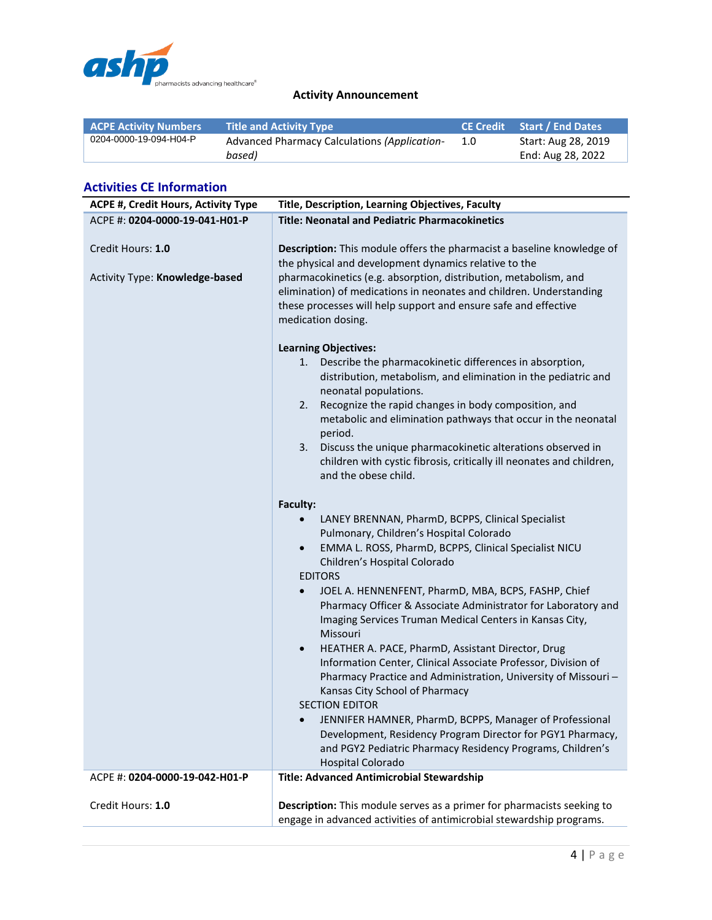

| <b>ACPE Activity Numbers</b> | <b>Title and Activity Type</b>               |     | <b>CE Credit</b> Start / End Dates |
|------------------------------|----------------------------------------------|-----|------------------------------------|
| 0204-0000-19-094-H04-P       | Advanced Pharmacy Calculations (Application- | 1.0 | Start: Aug 28, 2019                |
|                              | based)                                       |     | End: Aug 28, 2022                  |

# **Activities CE Information**

| <b>ACPE #, Credit Hours, Activity Type</b>          | Title, Description, Learning Objectives, Faculty                                                                                                                                                                                                                                                                                                                                                                                                                                                                                                                                                                                                                                                                                                                                                                                                                                                                |
|-----------------------------------------------------|-----------------------------------------------------------------------------------------------------------------------------------------------------------------------------------------------------------------------------------------------------------------------------------------------------------------------------------------------------------------------------------------------------------------------------------------------------------------------------------------------------------------------------------------------------------------------------------------------------------------------------------------------------------------------------------------------------------------------------------------------------------------------------------------------------------------------------------------------------------------------------------------------------------------|
| ACPE #: 0204-0000-19-041-H01-P                      | <b>Title: Neonatal and Pediatric Pharmacokinetics</b>                                                                                                                                                                                                                                                                                                                                                                                                                                                                                                                                                                                                                                                                                                                                                                                                                                                           |
| Credit Hours: 1.0<br>Activity Type: Knowledge-based | Description: This module offers the pharmacist a baseline knowledge of<br>the physical and development dynamics relative to the<br>pharmacokinetics (e.g. absorption, distribution, metabolism, and<br>elimination) of medications in neonates and children. Understanding<br>these processes will help support and ensure safe and effective<br>medication dosing.                                                                                                                                                                                                                                                                                                                                                                                                                                                                                                                                             |
|                                                     | <b>Learning Objectives:</b><br>1. Describe the pharmacokinetic differences in absorption,<br>distribution, metabolism, and elimination in the pediatric and<br>neonatal populations.<br>Recognize the rapid changes in body composition, and<br>2.<br>metabolic and elimination pathways that occur in the neonatal<br>period.<br>3. Discuss the unique pharmacokinetic alterations observed in<br>children with cystic fibrosis, critically ill neonates and children,<br>and the obese child.                                                                                                                                                                                                                                                                                                                                                                                                                 |
|                                                     | Faculty:<br>LANEY BRENNAN, PharmD, BCPPS, Clinical Specialist<br>$\bullet$<br>Pulmonary, Children's Hospital Colorado<br>EMMA L. ROSS, PharmD, BCPPS, Clinical Specialist NICU<br>$\bullet$<br>Children's Hospital Colorado<br><b>EDITORS</b><br>JOEL A. HENNENFENT, PharmD, MBA, BCPS, FASHP, Chief<br>$\bullet$<br>Pharmacy Officer & Associate Administrator for Laboratory and<br>Imaging Services Truman Medical Centers in Kansas City,<br>Missouri<br>HEATHER A. PACE, PharmD, Assistant Director, Drug<br>$\bullet$<br>Information Center, Clinical Associate Professor, Division of<br>Pharmacy Practice and Administration, University of Missouri-<br>Kansas City School of Pharmacy<br><b>SECTION EDITOR</b><br>JENNIFER HAMNER, PharmD, BCPPS, Manager of Professional<br>Development, Residency Program Director for PGY1 Pharmacy,<br>and PGY2 Pediatric Pharmacy Residency Programs, Children's |
|                                                     | <b>Hospital Colorado</b>                                                                                                                                                                                                                                                                                                                                                                                                                                                                                                                                                                                                                                                                                                                                                                                                                                                                                        |
| ACPE #: 0204-0000-19-042-H01-P                      | <b>Title: Advanced Antimicrobial Stewardship</b>                                                                                                                                                                                                                                                                                                                                                                                                                                                                                                                                                                                                                                                                                                                                                                                                                                                                |
| Credit Hours: 1.0                                   | Description: This module serves as a primer for pharmacists seeking to<br>engage in advanced activities of antimicrobial stewardship programs.                                                                                                                                                                                                                                                                                                                                                                                                                                                                                                                                                                                                                                                                                                                                                                  |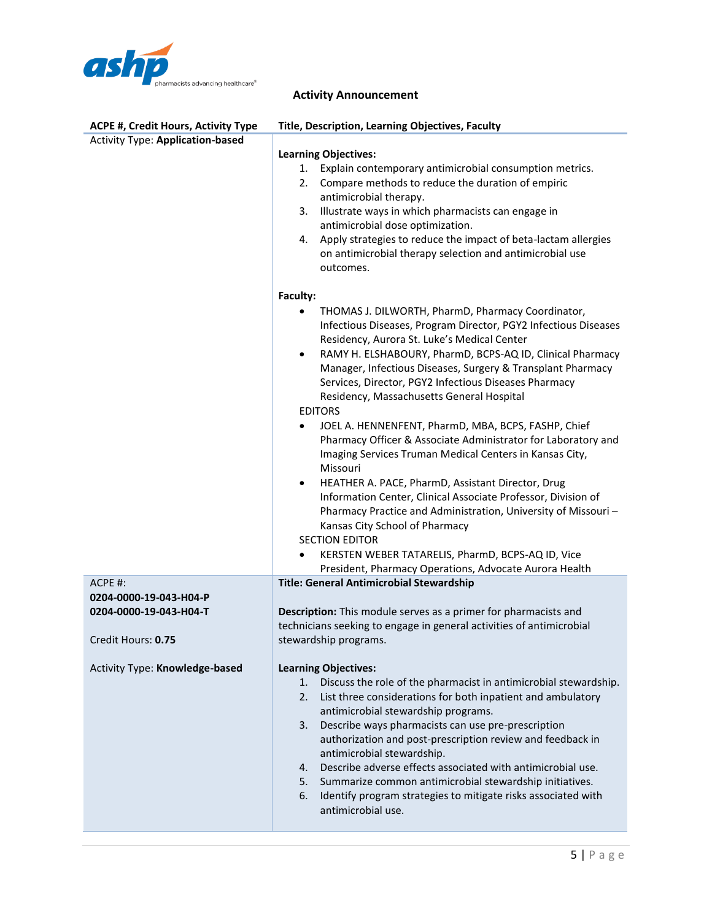

| <b>ACPE #, Credit Hours, Activity Type</b> | Title, Description, Learning Objectives, Faculty                                                                             |  |
|--------------------------------------------|------------------------------------------------------------------------------------------------------------------------------|--|
| <b>Activity Type: Application-based</b>    |                                                                                                                              |  |
|                                            | <b>Learning Objectives:</b>                                                                                                  |  |
|                                            | Explain contemporary antimicrobial consumption metrics.<br>1.                                                                |  |
|                                            | Compare methods to reduce the duration of empiric<br>2.                                                                      |  |
|                                            | antimicrobial therapy.                                                                                                       |  |
|                                            | Illustrate ways in which pharmacists can engage in<br>3.                                                                     |  |
|                                            | antimicrobial dose optimization.                                                                                             |  |
|                                            | Apply strategies to reduce the impact of beta-lactam allergies<br>4.                                                         |  |
|                                            | on antimicrobial therapy selection and antimicrobial use<br>outcomes.                                                        |  |
|                                            | Faculty:                                                                                                                     |  |
|                                            | THOMAS J. DILWORTH, PharmD, Pharmacy Coordinator,                                                                            |  |
|                                            | Infectious Diseases, Program Director, PGY2 Infectious Diseases                                                              |  |
|                                            | Residency, Aurora St. Luke's Medical Center                                                                                  |  |
|                                            | RAMY H. ELSHABOURY, PharmD, BCPS-AQ ID, Clinical Pharmacy<br>$\bullet$                                                       |  |
|                                            | Manager, Infectious Diseases, Surgery & Transplant Pharmacy                                                                  |  |
|                                            | Services, Director, PGY2 Infectious Diseases Pharmacy                                                                        |  |
|                                            | Residency, Massachusetts General Hospital                                                                                    |  |
|                                            | <b>EDITORS</b>                                                                                                               |  |
|                                            | JOEL A. HENNENFENT, PharmD, MBA, BCPS, FASHP, Chief<br>٠<br>Pharmacy Officer & Associate Administrator for Laboratory and    |  |
|                                            | Imaging Services Truman Medical Centers in Kansas City,                                                                      |  |
|                                            | Missouri                                                                                                                     |  |
|                                            | HEATHER A. PACE, PharmD, Assistant Director, Drug<br>$\bullet$                                                               |  |
|                                            | Information Center, Clinical Associate Professor, Division of                                                                |  |
|                                            | Pharmacy Practice and Administration, University of Missouri-<br>Kansas City School of Pharmacy                              |  |
|                                            | <b>SECTION EDITOR</b>                                                                                                        |  |
|                                            | KERSTEN WEBER TATARELIS, PharmD, BCPS-AQ ID, Vice                                                                            |  |
|                                            | President, Pharmacy Operations, Advocate Aurora Health                                                                       |  |
| ACPE #:                                    | Title: General Antimicrobial Stewardship                                                                                     |  |
| 0204-0000-19-043-H04-P                     |                                                                                                                              |  |
| 0204-0000-19-043-H04-T                     | Description: This module serves as a primer for pharmacists and                                                              |  |
|                                            | technicians seeking to engage in general activities of antimicrobial                                                         |  |
| Credit Hours: 0.75                         | stewardship programs.                                                                                                        |  |
| Activity Type: Knowledge-based             | <b>Learning Objectives:</b>                                                                                                  |  |
|                                            | Discuss the role of the pharmacist in antimicrobial stewardship.<br>1.                                                       |  |
|                                            | List three considerations for both inpatient and ambulatory<br>2.                                                            |  |
|                                            | antimicrobial stewardship programs.                                                                                          |  |
|                                            | Describe ways pharmacists can use pre-prescription<br>3.                                                                     |  |
|                                            | authorization and post-prescription review and feedback in                                                                   |  |
|                                            | antimicrobial stewardship.                                                                                                   |  |
|                                            | Describe adverse effects associated with antimicrobial use.<br>4.<br>Summarize common antimicrobial stewardship initiatives. |  |
|                                            | 5.<br>Identify program strategies to mitigate risks associated with<br>6.                                                    |  |
|                                            | antimicrobial use.                                                                                                           |  |
|                                            |                                                                                                                              |  |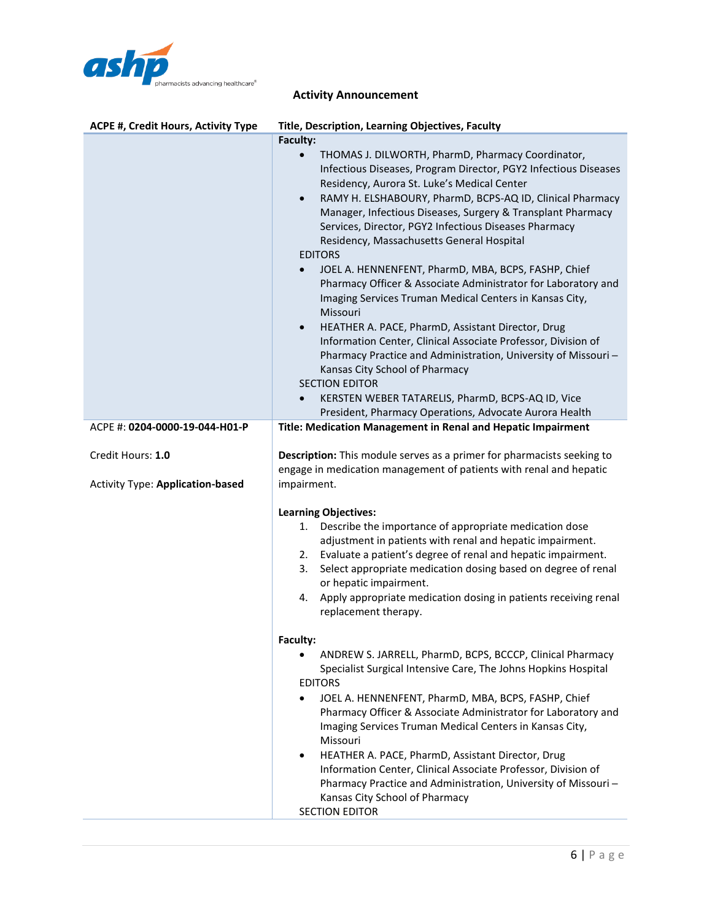

| ACPE #, Credit Hours, Activity Type     | Title, Description, Learning Objectives, Faculty                                                                       |
|-----------------------------------------|------------------------------------------------------------------------------------------------------------------------|
|                                         | Faculty:                                                                                                               |
|                                         | THOMAS J. DILWORTH, PharmD, Pharmacy Coordinator,                                                                      |
|                                         | Infectious Diseases, Program Director, PGY2 Infectious Diseases<br>Residency, Aurora St. Luke's Medical Center         |
|                                         | RAMY H. ELSHABOURY, PharmD, BCPS-AQ ID, Clinical Pharmacy<br>$\bullet$                                                 |
|                                         | Manager, Infectious Diseases, Surgery & Transplant Pharmacy                                                            |
|                                         | Services, Director, PGY2 Infectious Diseases Pharmacy                                                                  |
|                                         | Residency, Massachusetts General Hospital                                                                              |
|                                         | <b>EDITORS</b>                                                                                                         |
|                                         | JOEL A. HENNENFENT, PharmD, MBA, BCPS, FASHP, Chief<br>$\bullet$                                                       |
|                                         | Pharmacy Officer & Associate Administrator for Laboratory and                                                          |
|                                         | Imaging Services Truman Medical Centers in Kansas City,<br>Missouri                                                    |
|                                         | HEATHER A. PACE, PharmD, Assistant Director, Drug<br>$\bullet$                                                         |
|                                         | Information Center, Clinical Associate Professor, Division of                                                          |
|                                         | Pharmacy Practice and Administration, University of Missouri-                                                          |
|                                         | Kansas City School of Pharmacy                                                                                         |
|                                         | <b>SECTION EDITOR</b>                                                                                                  |
|                                         | KERSTEN WEBER TATARELIS, PharmD, BCPS-AQ ID, Vice                                                                      |
| ACPE #: 0204-0000-19-044-H01-P          | President, Pharmacy Operations, Advocate Aurora Health<br>Title: Medication Management in Renal and Hepatic Impairment |
|                                         |                                                                                                                        |
| Credit Hours: 1.0                       | Description: This module serves as a primer for pharmacists seeking to                                                 |
|                                         | engage in medication management of patients with renal and hepatic                                                     |
| <b>Activity Type: Application-based</b> | impairment.                                                                                                            |
|                                         | <b>Learning Objectives:</b>                                                                                            |
|                                         | Describe the importance of appropriate medication dose<br>1.                                                           |
|                                         | adjustment in patients with renal and hepatic impairment.                                                              |
|                                         | Evaluate a patient's degree of renal and hepatic impairment.<br>2.                                                     |
|                                         | Select appropriate medication dosing based on degree of renal<br>3.                                                    |
|                                         | or hepatic impairment.                                                                                                 |
|                                         | Apply appropriate medication dosing in patients receiving renal<br>4.<br>replacement therapy.                          |
|                                         |                                                                                                                        |
|                                         | Faculty:                                                                                                               |
|                                         | ANDREW S. JARRELL, PharmD, BCPS, BCCCP, Clinical Pharmacy<br>٠                                                         |
|                                         | Specialist Surgical Intensive Care, The Johns Hopkins Hospital                                                         |
|                                         | <b>EDITORS</b>                                                                                                         |
|                                         | JOEL A. HENNENFENT, PharmD, MBA, BCPS, FASHP, Chief<br>Pharmacy Officer & Associate Administrator for Laboratory and   |
|                                         | Imaging Services Truman Medical Centers in Kansas City,                                                                |
|                                         | Missouri                                                                                                               |
|                                         | HEATHER A. PACE, PharmD, Assistant Director, Drug<br>٠                                                                 |
|                                         | Information Center, Clinical Associate Professor, Division of                                                          |
|                                         | Pharmacy Practice and Administration, University of Missouri-                                                          |
|                                         | Kansas City School of Pharmacy<br><b>SECTION EDITOR</b>                                                                |
|                                         |                                                                                                                        |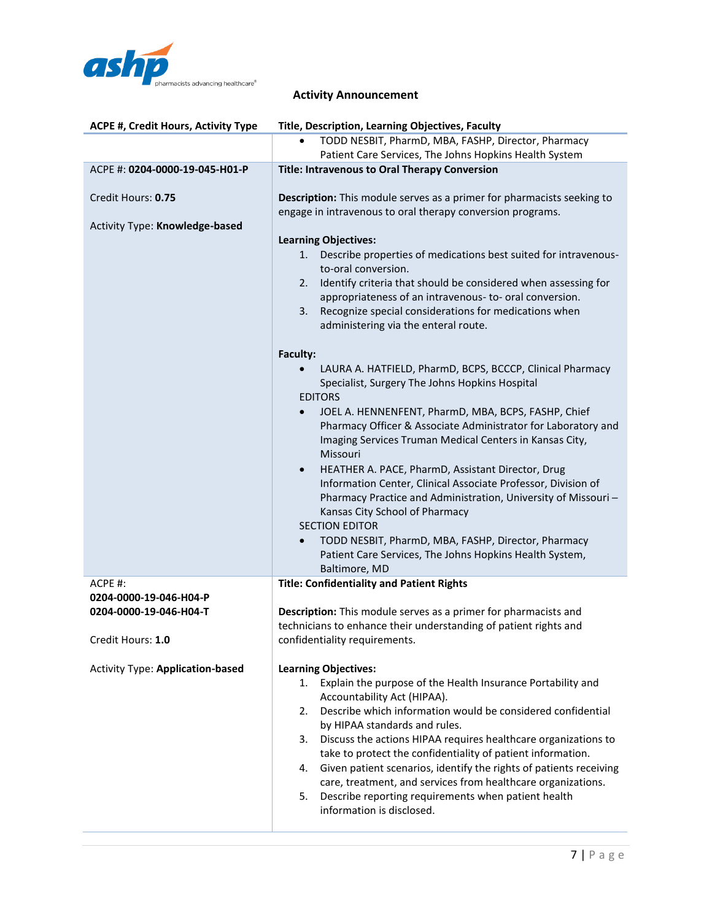

| ACPE #, Credit Hours, Activity Type                  | Title, Description, Learning Objectives, Faculty                                                                                                                                                                                                                                                                                                                                                                                                                                                                                                                                      |
|------------------------------------------------------|---------------------------------------------------------------------------------------------------------------------------------------------------------------------------------------------------------------------------------------------------------------------------------------------------------------------------------------------------------------------------------------------------------------------------------------------------------------------------------------------------------------------------------------------------------------------------------------|
|                                                      | TODD NESBIT, PharmD, MBA, FASHP, Director, Pharmacy<br>Patient Care Services, The Johns Hopkins Health System                                                                                                                                                                                                                                                                                                                                                                                                                                                                         |
| ACPE #: 0204-0000-19-045-H01-P                       | <b>Title: Intravenous to Oral Therapy Conversion</b>                                                                                                                                                                                                                                                                                                                                                                                                                                                                                                                                  |
| Credit Hours: 0.75<br>Activity Type: Knowledge-based | Description: This module serves as a primer for pharmacists seeking to<br>engage in intravenous to oral therapy conversion programs.<br><b>Learning Objectives:</b><br>Describe properties of medications best suited for intravenous-<br>1.                                                                                                                                                                                                                                                                                                                                          |
|                                                      | to-oral conversion.<br>Identify criteria that should be considered when assessing for<br>2.<br>appropriateness of an intravenous- to- oral conversion.<br>Recognize special considerations for medications when<br>3.<br>administering via the enteral route.                                                                                                                                                                                                                                                                                                                         |
|                                                      | Faculty:                                                                                                                                                                                                                                                                                                                                                                                                                                                                                                                                                                              |
|                                                      | LAURA A. HATFIELD, PharmD, BCPS, BCCCP, Clinical Pharmacy<br>Specialist, Surgery The Johns Hopkins Hospital<br><b>EDITORS</b>                                                                                                                                                                                                                                                                                                                                                                                                                                                         |
|                                                      | JOEL A. HENNENFENT, PharmD, MBA, BCPS, FASHP, Chief<br>$\bullet$<br>Pharmacy Officer & Associate Administrator for Laboratory and<br>Imaging Services Truman Medical Centers in Kansas City,<br>Missouri                                                                                                                                                                                                                                                                                                                                                                              |
|                                                      | HEATHER A. PACE, PharmD, Assistant Director, Drug<br>$\bullet$<br>Information Center, Clinical Associate Professor, Division of<br>Pharmacy Practice and Administration, University of Missouri-<br>Kansas City School of Pharmacy<br><b>SECTION EDITOR</b>                                                                                                                                                                                                                                                                                                                           |
|                                                      | TODD NESBIT, PharmD, MBA, FASHP, Director, Pharmacy<br>$\bullet$<br>Patient Care Services, The Johns Hopkins Health System,<br>Baltimore, MD                                                                                                                                                                                                                                                                                                                                                                                                                                          |
| $ACPE$ #:                                            | <b>Title: Confidentiality and Patient Rights</b>                                                                                                                                                                                                                                                                                                                                                                                                                                                                                                                                      |
| 0204-0000-19-046-H04-P                               |                                                                                                                                                                                                                                                                                                                                                                                                                                                                                                                                                                                       |
| 0204-0000-19-046-H04-T                               | Description: This module serves as a primer for pharmacists and<br>technicians to enhance their understanding of patient rights and                                                                                                                                                                                                                                                                                                                                                                                                                                                   |
| Credit Hours: 1.0                                    | confidentiality requirements.                                                                                                                                                                                                                                                                                                                                                                                                                                                                                                                                                         |
| <b>Activity Type: Application-based</b>              | <b>Learning Objectives:</b><br>Explain the purpose of the Health Insurance Portability and<br>1.<br>Accountability Act (HIPAA).<br>Describe which information would be considered confidential<br>2.<br>by HIPAA standards and rules.<br>Discuss the actions HIPAA requires healthcare organizations to<br>3.<br>take to protect the confidentiality of patient information.<br>Given patient scenarios, identify the rights of patients receiving<br>4.<br>care, treatment, and services from healthcare organizations.<br>Describe reporting requirements when patient health<br>5. |
|                                                      | information is disclosed.                                                                                                                                                                                                                                                                                                                                                                                                                                                                                                                                                             |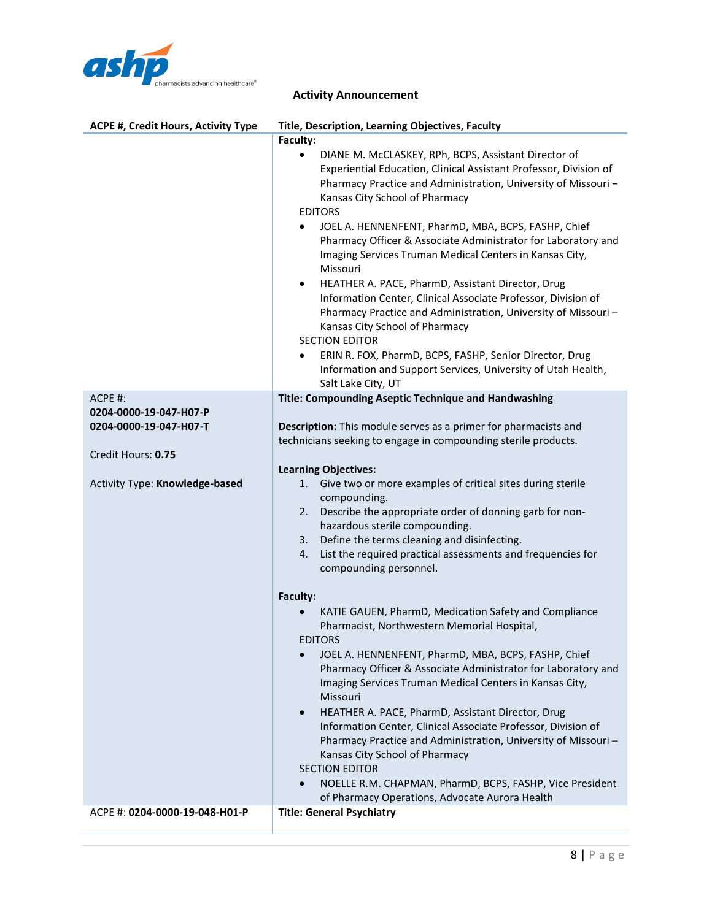

| ACPE #, Credit Hours, Activity Type                                                                                 | Title, Description, Learning Objectives, Faculty                                                                                                                                                                                                                                                                                                                                                                                                                                                                                                                                                                                                                                                                                                                                      |
|---------------------------------------------------------------------------------------------------------------------|---------------------------------------------------------------------------------------------------------------------------------------------------------------------------------------------------------------------------------------------------------------------------------------------------------------------------------------------------------------------------------------------------------------------------------------------------------------------------------------------------------------------------------------------------------------------------------------------------------------------------------------------------------------------------------------------------------------------------------------------------------------------------------------|
|                                                                                                                     | Faculty:                                                                                                                                                                                                                                                                                                                                                                                                                                                                                                                                                                                                                                                                                                                                                                              |
|                                                                                                                     | DIANE M. McCLASKEY, RPh, BCPS, Assistant Director of<br>Experiential Education, Clinical Assistant Professor, Division of<br>Pharmacy Practice and Administration, University of Missouri -<br>Kansas City School of Pharmacy<br><b>EDITORS</b><br>JOEL A. HENNENFENT, PharmD, MBA, BCPS, FASHP, Chief<br>$\bullet$<br>Pharmacy Officer & Associate Administrator for Laboratory and<br>Imaging Services Truman Medical Centers in Kansas City,<br>Missouri<br>HEATHER A. PACE, PharmD, Assistant Director, Drug<br>$\bullet$<br>Information Center, Clinical Associate Professor, Division of<br>Pharmacy Practice and Administration, University of Missouri-<br>Kansas City School of Pharmacy<br><b>SECTION EDITOR</b><br>ERIN R. FOX, PharmD, BCPS, FASHP, Senior Director, Drug |
|                                                                                                                     | Information and Support Services, University of Utah Health,<br>Salt Lake City, UT                                                                                                                                                                                                                                                                                                                                                                                                                                                                                                                                                                                                                                                                                                    |
| ACPE #:<br>0204-0000-19-047-H07-P<br>0204-0000-19-047-H07-T<br>Credit Hours: 0.75<br>Activity Type: Knowledge-based | Title: Compounding Aseptic Technique and Handwashing<br>Description: This module serves as a primer for pharmacists and<br>technicians seeking to engage in compounding sterile products.<br><b>Learning Objectives:</b><br>Give two or more examples of critical sites during sterile<br>1.<br>compounding.<br>Describe the appropriate order of donning garb for non-<br>2.<br>hazardous sterile compounding.<br>Define the terms cleaning and disinfecting.<br>3.<br>List the required practical assessments and frequencies for<br>4.<br>compounding personnel.<br>Faculty:<br>KATIE GAUEN, PharmD, Medication Safety and Compliance<br>Pharmacist, Northwestern Memorial Hospital,<br><b>EDITORS</b>                                                                             |
|                                                                                                                     | JOEL A. HENNENFENT, PharmD, MBA, BCPS, FASHP, Chief<br>Pharmacy Officer & Associate Administrator for Laboratory and<br>Imaging Services Truman Medical Centers in Kansas City,<br>Missouri<br>HEATHER A. PACE, PharmD, Assistant Director, Drug<br>$\bullet$<br>Information Center, Clinical Associate Professor, Division of<br>Pharmacy Practice and Administration, University of Missouri-<br>Kansas City School of Pharmacy<br><b>SECTION EDITOR</b><br>NOELLE R.M. CHAPMAN, PharmD, BCPS, FASHP, Vice President<br>$\bullet$<br>of Pharmacy Operations, Advocate Aurora Health                                                                                                                                                                                                 |
| ACPE #: 0204-0000-19-048-H01-P                                                                                      | <b>Title: General Psychiatry</b>                                                                                                                                                                                                                                                                                                                                                                                                                                                                                                                                                                                                                                                                                                                                                      |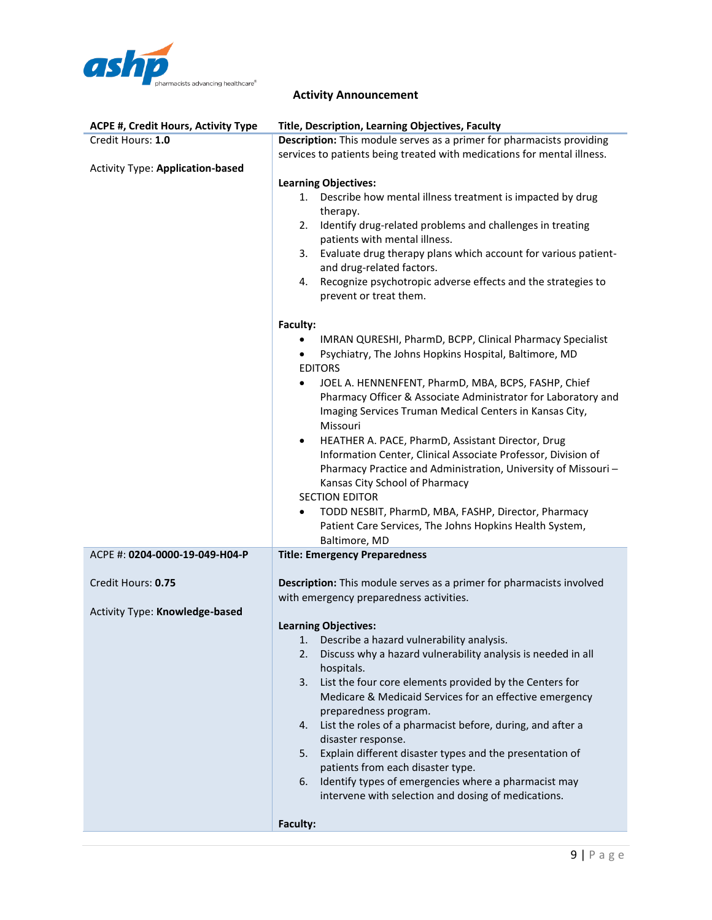

| <b>ACPE #, Credit Hours, Activity Type</b> | Title, Description, Learning Objectives, Faculty                                                                         |  |
|--------------------------------------------|--------------------------------------------------------------------------------------------------------------------------|--|
| Credit Hours: 1.0                          | Description: This module serves as a primer for pharmacists providing                                                    |  |
|                                            | services to patients being treated with medications for mental illness.                                                  |  |
| <b>Activity Type: Application-based</b>    |                                                                                                                          |  |
|                                            | <b>Learning Objectives:</b>                                                                                              |  |
|                                            | Describe how mental illness treatment is impacted by drug<br>1.                                                          |  |
|                                            | therapy.                                                                                                                 |  |
|                                            | Identify drug-related problems and challenges in treating<br>2.<br>patients with mental illness.                         |  |
|                                            | Evaluate drug therapy plans which account for various patient-<br>3.                                                     |  |
|                                            | and drug-related factors.                                                                                                |  |
|                                            | Recognize psychotropic adverse effects and the strategies to<br>4.                                                       |  |
|                                            | prevent or treat them.                                                                                                   |  |
|                                            | Faculty:                                                                                                                 |  |
|                                            | IMRAN QURESHI, PharmD, BCPP, Clinical Pharmacy Specialist                                                                |  |
|                                            | Psychiatry, The Johns Hopkins Hospital, Baltimore, MD                                                                    |  |
|                                            | <b>EDITORS</b>                                                                                                           |  |
|                                            | JOEL A. HENNENFENT, PharmD, MBA, BCPS, FASHP, Chief<br>٠                                                                 |  |
|                                            | Pharmacy Officer & Associate Administrator for Laboratory and                                                            |  |
|                                            | Imaging Services Truman Medical Centers in Kansas City,<br>Missouri                                                      |  |
|                                            | HEATHER A. PACE, PharmD, Assistant Director, Drug<br>$\bullet$                                                           |  |
|                                            | Information Center, Clinical Associate Professor, Division of                                                            |  |
|                                            | Pharmacy Practice and Administration, University of Missouri-                                                            |  |
|                                            | Kansas City School of Pharmacy                                                                                           |  |
|                                            | <b>SECTION EDITOR</b>                                                                                                    |  |
|                                            | TODD NESBIT, PharmD, MBA, FASHP, Director, Pharmacy                                                                      |  |
|                                            | Patient Care Services, The Johns Hopkins Health System,                                                                  |  |
|                                            | Baltimore, MD                                                                                                            |  |
| ACPE #: 0204-0000-19-049-H04-P             | <b>Title: Emergency Preparedness</b>                                                                                     |  |
| Credit Hours: 0.75                         | Description: This module serves as a primer for pharmacists involved                                                     |  |
|                                            | with emergency preparedness activities.                                                                                  |  |
| Activity Type: Knowledge-based             |                                                                                                                          |  |
|                                            | <b>Learning Objectives:</b>                                                                                              |  |
|                                            | Describe a hazard vulnerability analysis.<br>1.                                                                          |  |
|                                            | Discuss why a hazard vulnerability analysis is needed in all<br>2.                                                       |  |
|                                            | hospitals.                                                                                                               |  |
|                                            | List the four core elements provided by the Centers for<br>3.<br>Medicare & Medicaid Services for an effective emergency |  |
|                                            | preparedness program.                                                                                                    |  |
|                                            | List the roles of a pharmacist before, during, and after a<br>4.                                                         |  |
|                                            | disaster response.                                                                                                       |  |
|                                            | Explain different disaster types and the presentation of<br>5.                                                           |  |
|                                            | patients from each disaster type.                                                                                        |  |
|                                            | Identify types of emergencies where a pharmacist may<br>6.                                                               |  |
|                                            | intervene with selection and dosing of medications.                                                                      |  |
|                                            |                                                                                                                          |  |
|                                            | Faculty:                                                                                                                 |  |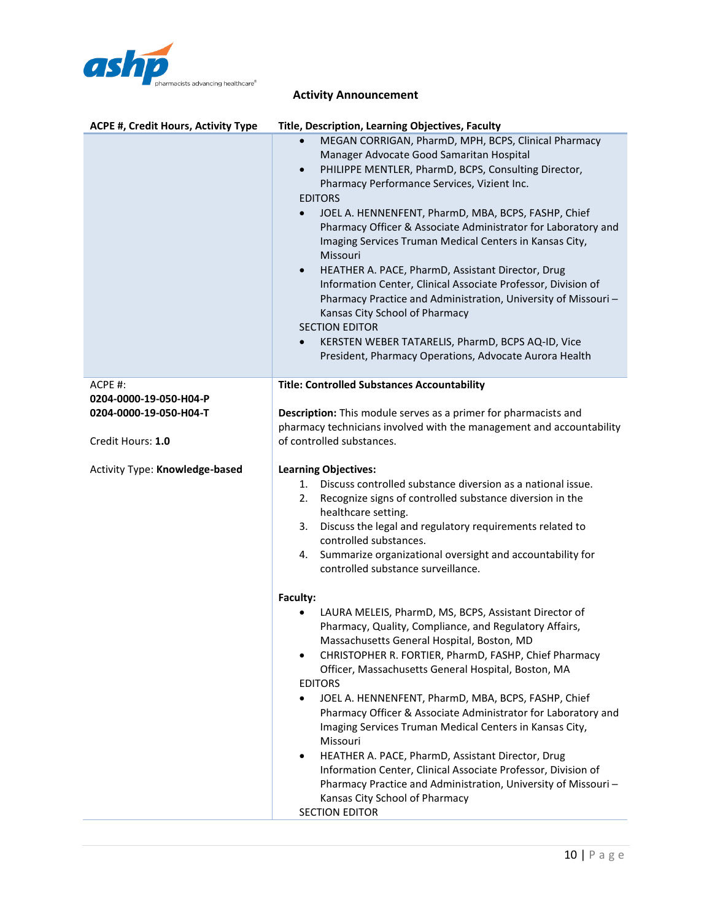

| <b>ACPE #, Credit Hours, Activity Type</b>       | Title, Description, Learning Objectives, Faculty                                                                                                                                                                                                                                                                                                                                                                                                                                                                                                                                                                                                                                                                                                                                                                                 |
|--------------------------------------------------|----------------------------------------------------------------------------------------------------------------------------------------------------------------------------------------------------------------------------------------------------------------------------------------------------------------------------------------------------------------------------------------------------------------------------------------------------------------------------------------------------------------------------------------------------------------------------------------------------------------------------------------------------------------------------------------------------------------------------------------------------------------------------------------------------------------------------------|
|                                                  | MEGAN CORRIGAN, PharmD, MPH, BCPS, Clinical Pharmacy<br>Manager Advocate Good Samaritan Hospital<br>PHILIPPE MENTLER, PharmD, BCPS, Consulting Director,<br>$\bullet$<br>Pharmacy Performance Services, Vizient Inc.<br><b>EDITORS</b><br>JOEL A. HENNENFENT, PharmD, MBA, BCPS, FASHP, Chief<br>$\bullet$<br>Pharmacy Officer & Associate Administrator for Laboratory and<br>Imaging Services Truman Medical Centers in Kansas City,<br>Missouri<br>HEATHER A. PACE, PharmD, Assistant Director, Drug<br>$\bullet$<br>Information Center, Clinical Associate Professor, Division of<br>Pharmacy Practice and Administration, University of Missouri-<br>Kansas City School of Pharmacy<br><b>SECTION EDITOR</b><br>KERSTEN WEBER TATARELIS, PharmD, BCPS AQ-ID, Vice<br>President, Pharmacy Operations, Advocate Aurora Health |
| $ACPE$ #:                                        | <b>Title: Controlled Substances Accountability</b>                                                                                                                                                                                                                                                                                                                                                                                                                                                                                                                                                                                                                                                                                                                                                                               |
| 0204-0000-19-050-H04-P<br>0204-0000-19-050-H04-T | Description: This module serves as a primer for pharmacists and                                                                                                                                                                                                                                                                                                                                                                                                                                                                                                                                                                                                                                                                                                                                                                  |
|                                                  | pharmacy technicians involved with the management and accountability                                                                                                                                                                                                                                                                                                                                                                                                                                                                                                                                                                                                                                                                                                                                                             |
| Credit Hours: 1.0                                | of controlled substances.                                                                                                                                                                                                                                                                                                                                                                                                                                                                                                                                                                                                                                                                                                                                                                                                        |
| Activity Type: Knowledge-based                   | <b>Learning Objectives:</b><br>Discuss controlled substance diversion as a national issue.<br>1.<br>Recognize signs of controlled substance diversion in the<br>2.<br>healthcare setting.<br>Discuss the legal and regulatory requirements related to<br>3.<br>controlled substances.<br>Summarize organizational oversight and accountability for<br>4.<br>controlled substance surveillance.                                                                                                                                                                                                                                                                                                                                                                                                                                   |
|                                                  | Faculty:                                                                                                                                                                                                                                                                                                                                                                                                                                                                                                                                                                                                                                                                                                                                                                                                                         |
|                                                  | LAURA MELEIS, PharmD, MS, BCPS, Assistant Director of<br>Pharmacy, Quality, Compliance, and Regulatory Affairs,<br>Massachusetts General Hospital, Boston, MD<br>CHRISTOPHER R. FORTIER, PharmD, FASHP, Chief Pharmacy                                                                                                                                                                                                                                                                                                                                                                                                                                                                                                                                                                                                           |
|                                                  | Officer, Massachusetts General Hospital, Boston, MA                                                                                                                                                                                                                                                                                                                                                                                                                                                                                                                                                                                                                                                                                                                                                                              |
|                                                  | <b>EDITORS</b><br>JOEL A. HENNENFENT, PharmD, MBA, BCPS, FASHP, Chief                                                                                                                                                                                                                                                                                                                                                                                                                                                                                                                                                                                                                                                                                                                                                            |
|                                                  | Pharmacy Officer & Associate Administrator for Laboratory and<br>Imaging Services Truman Medical Centers in Kansas City,<br>Missouri                                                                                                                                                                                                                                                                                                                                                                                                                                                                                                                                                                                                                                                                                             |
|                                                  | HEATHER A. PACE, PharmD, Assistant Director, Drug<br>$\bullet$                                                                                                                                                                                                                                                                                                                                                                                                                                                                                                                                                                                                                                                                                                                                                                   |
|                                                  | Information Center, Clinical Associate Professor, Division of<br>Pharmacy Practice and Administration, University of Missouri-                                                                                                                                                                                                                                                                                                                                                                                                                                                                                                                                                                                                                                                                                                   |
|                                                  | Kansas City School of Pharmacy                                                                                                                                                                                                                                                                                                                                                                                                                                                                                                                                                                                                                                                                                                                                                                                                   |
|                                                  | <b>SECTION EDITOR</b>                                                                                                                                                                                                                                                                                                                                                                                                                                                                                                                                                                                                                                                                                                                                                                                                            |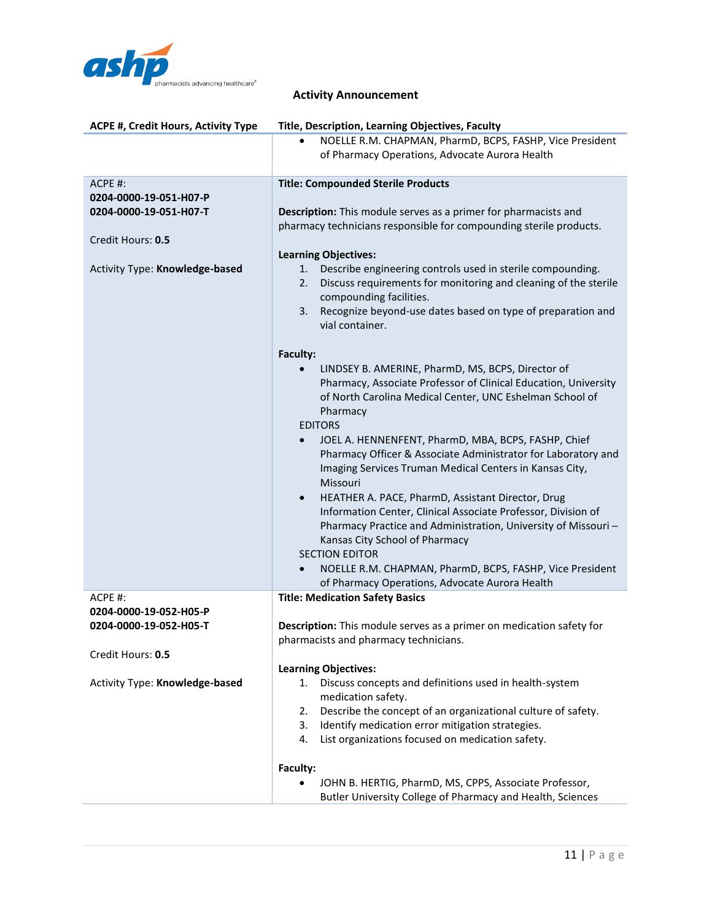

| ACPE #, Credit Hours, Activity Type | Title, Description, Learning Objectives, Faculty                                            |  |
|-------------------------------------|---------------------------------------------------------------------------------------------|--|
|                                     | NOELLE R.M. CHAPMAN, PharmD, BCPS, FASHP, Vice President                                    |  |
|                                     | of Pharmacy Operations, Advocate Aurora Health                                              |  |
|                                     |                                                                                             |  |
| ACPE #:                             | <b>Title: Compounded Sterile Products</b>                                                   |  |
| 0204-0000-19-051-H07-P              |                                                                                             |  |
| 0204-0000-19-051-H07-T              | <b>Description:</b> This module serves as a primer for pharmacists and                      |  |
|                                     | pharmacy technicians responsible for compounding sterile products.                          |  |
| Credit Hours: 0.5                   |                                                                                             |  |
|                                     | <b>Learning Objectives:</b>                                                                 |  |
| Activity Type: Knowledge-based      | Describe engineering controls used in sterile compounding.<br>1.                            |  |
|                                     | Discuss requirements for monitoring and cleaning of the sterile<br>2.                       |  |
|                                     | compounding facilities.                                                                     |  |
|                                     | Recognize beyond-use dates based on type of preparation and<br>3.                           |  |
|                                     | vial container.                                                                             |  |
|                                     |                                                                                             |  |
|                                     | Faculty:                                                                                    |  |
|                                     | LINDSEY B. AMERINE, PharmD, MS, BCPS, Director of                                           |  |
|                                     | Pharmacy, Associate Professor of Clinical Education, University                             |  |
|                                     | of North Carolina Medical Center, UNC Eshelman School of                                    |  |
|                                     | Pharmacy                                                                                    |  |
|                                     | <b>EDITORS</b>                                                                              |  |
|                                     | JOEL A. HENNENFENT, PharmD, MBA, BCPS, FASHP, Chief                                         |  |
|                                     | Pharmacy Officer & Associate Administrator for Laboratory and                               |  |
|                                     | Imaging Services Truman Medical Centers in Kansas City,                                     |  |
|                                     | Missouri                                                                                    |  |
|                                     | HEATHER A. PACE, PharmD, Assistant Director, Drug<br>$\bullet$                              |  |
|                                     | Information Center, Clinical Associate Professor, Division of                               |  |
|                                     | Pharmacy Practice and Administration, University of Missouri-                               |  |
|                                     | Kansas City School of Pharmacy                                                              |  |
|                                     | <b>SECTION EDITOR</b>                                                                       |  |
|                                     | NOELLE R.M. CHAPMAN, PharmD, BCPS, FASHP, Vice President<br>$\bullet$                       |  |
|                                     | of Pharmacy Operations, Advocate Aurora Health                                              |  |
| ACPE #:                             | <b>Title: Medication Safety Basics</b>                                                      |  |
| 0204-0000-19-052-H05-P              |                                                                                             |  |
| 0204-0000-19-052-H05-T              | Description: This module serves as a primer on medication safety for                        |  |
|                                     | pharmacists and pharmacy technicians.                                                       |  |
| Credit Hours: 0.5                   |                                                                                             |  |
| Activity Type: Knowledge-based      | <b>Learning Objectives:</b><br>Discuss concepts and definitions used in health-system<br>1. |  |
|                                     | medication safety.                                                                          |  |
|                                     | Describe the concept of an organizational culture of safety.<br>2.                          |  |
|                                     | Identify medication error mitigation strategies.<br>3.                                      |  |
|                                     | List organizations focused on medication safety.<br>4.                                      |  |
|                                     |                                                                                             |  |
|                                     | Faculty:                                                                                    |  |
|                                     | JOHN B. HERTIG, PharmD, MS, CPPS, Associate Professor,                                      |  |
|                                     | Butler University College of Pharmacy and Health, Sciences                                  |  |
|                                     |                                                                                             |  |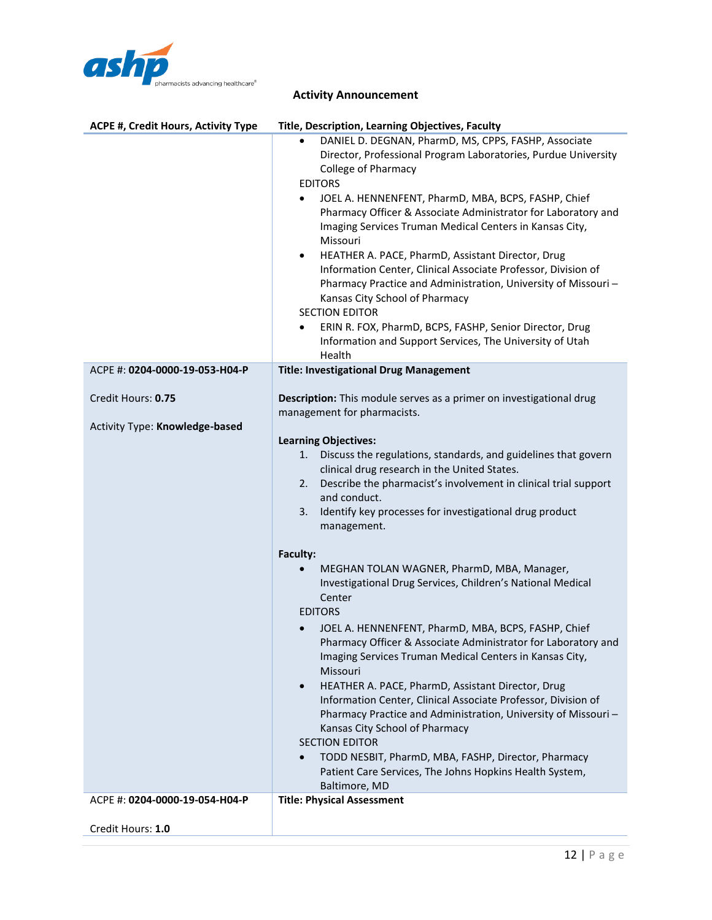

| ACPE #, Credit Hours, Activity Type                  | Title, Description, Learning Objectives, Faculty                                                                                                                                                                                                                                                                                                                                                                                                                                                                                                                                                                                                                                                                                                                                                                                                                                                                                                                                                                                                                                                                         |
|------------------------------------------------------|--------------------------------------------------------------------------------------------------------------------------------------------------------------------------------------------------------------------------------------------------------------------------------------------------------------------------------------------------------------------------------------------------------------------------------------------------------------------------------------------------------------------------------------------------------------------------------------------------------------------------------------------------------------------------------------------------------------------------------------------------------------------------------------------------------------------------------------------------------------------------------------------------------------------------------------------------------------------------------------------------------------------------------------------------------------------------------------------------------------------------|
|                                                      | DANIEL D. DEGNAN, PharmD, MS, CPPS, FASHP, Associate<br>$\bullet$<br>Director, Professional Program Laboratories, Purdue University<br><b>College of Pharmacy</b><br><b>EDITORS</b><br>JOEL A. HENNENFENT, PharmD, MBA, BCPS, FASHP, Chief<br>$\bullet$<br>Pharmacy Officer & Associate Administrator for Laboratory and<br>Imaging Services Truman Medical Centers in Kansas City,<br>Missouri<br>HEATHER A. PACE, PharmD, Assistant Director, Drug<br>$\bullet$<br>Information Center, Clinical Associate Professor, Division of<br>Pharmacy Practice and Administration, University of Missouri-<br>Kansas City School of Pharmacy<br><b>SECTION EDITOR</b><br>ERIN R. FOX, PharmD, BCPS, FASHP, Senior Director, Drug<br>$\bullet$<br>Information and Support Services, The University of Utah<br>Health                                                                                                                                                                                                                                                                                                             |
| ACPE #: 0204-0000-19-053-H04-P                       | <b>Title: Investigational Drug Management</b>                                                                                                                                                                                                                                                                                                                                                                                                                                                                                                                                                                                                                                                                                                                                                                                                                                                                                                                                                                                                                                                                            |
| Credit Hours: 0.75<br>Activity Type: Knowledge-based | Description: This module serves as a primer on investigational drug<br>management for pharmacists.<br><b>Learning Objectives:</b><br>Discuss the regulations, standards, and guidelines that govern<br>1.<br>clinical drug research in the United States.<br>Describe the pharmacist's involvement in clinical trial support<br>2.<br>and conduct.<br>Identify key processes for investigational drug product<br>3.<br>management.<br>Faculty:<br>MEGHAN TOLAN WAGNER, PharmD, MBA, Manager,<br>Investigational Drug Services, Children's National Medical<br>Center<br><b>EDITORS</b><br>JOEL A. HENNENFENT, PharmD, MBA, BCPS, FASHP, Chief<br>Pharmacy Officer & Associate Administrator for Laboratory and<br>Imaging Services Truman Medical Centers in Kansas City,<br>Missouri<br>HEATHER A. PACE, PharmD, Assistant Director, Drug<br>$\bullet$<br>Information Center, Clinical Associate Professor, Division of<br>Pharmacy Practice and Administration, University of Missouri-<br>Kansas City School of Pharmacy<br><b>SECTION EDITOR</b><br>TODD NESBIT, PharmD, MBA, FASHP, Director, Pharmacy<br>$\bullet$ |
|                                                      | Patient Care Services, The Johns Hopkins Health System,<br>Baltimore, MD                                                                                                                                                                                                                                                                                                                                                                                                                                                                                                                                                                                                                                                                                                                                                                                                                                                                                                                                                                                                                                                 |
| ACPE #: 0204-0000-19-054-H04-P                       | <b>Title: Physical Assessment</b>                                                                                                                                                                                                                                                                                                                                                                                                                                                                                                                                                                                                                                                                                                                                                                                                                                                                                                                                                                                                                                                                                        |
| Credit Hours: 1.0                                    |                                                                                                                                                                                                                                                                                                                                                                                                                                                                                                                                                                                                                                                                                                                                                                                                                                                                                                                                                                                                                                                                                                                          |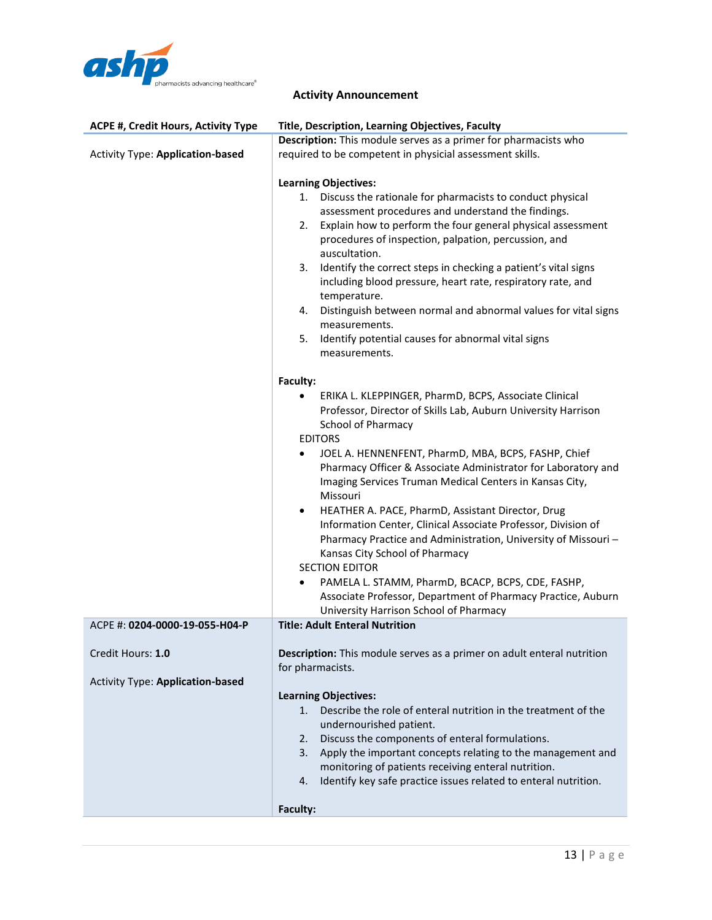

| Description: This module serves as a primer for pharmacists who<br><b>Activity Type: Application-based</b><br>required to be competent in physicial assessment skills.<br><b>Learning Objectives:</b><br>1. Discuss the rationale for pharmacists to conduct physical<br>assessment procedures and understand the findings.<br>Explain how to perform the four general physical assessment<br>2.<br>procedures of inspection, palpation, percussion, and<br>auscultation.<br>Identify the correct steps in checking a patient's vital signs<br>3.<br>including blood pressure, heart rate, respiratory rate, and<br>temperature.<br>4. Distinguish between normal and abnormal values for vital signs<br>measurements.<br>Identify potential causes for abnormal vital signs<br>5.<br>measurements.<br>Faculty:<br>ERIKA L. KLEPPINGER, PharmD, BCPS, Associate Clinical |  |
|--------------------------------------------------------------------------------------------------------------------------------------------------------------------------------------------------------------------------------------------------------------------------------------------------------------------------------------------------------------------------------------------------------------------------------------------------------------------------------------------------------------------------------------------------------------------------------------------------------------------------------------------------------------------------------------------------------------------------------------------------------------------------------------------------------------------------------------------------------------------------|--|
|                                                                                                                                                                                                                                                                                                                                                                                                                                                                                                                                                                                                                                                                                                                                                                                                                                                                          |  |
|                                                                                                                                                                                                                                                                                                                                                                                                                                                                                                                                                                                                                                                                                                                                                                                                                                                                          |  |
| Professor, Director of Skills Lab, Auburn University Harrison<br>School of Pharmacy<br><b>EDITORS</b><br>JOEL A. HENNENFENT, PharmD, MBA, BCPS, FASHP, Chief<br>$\bullet$<br>Pharmacy Officer & Associate Administrator for Laboratory and<br>Imaging Services Truman Medical Centers in Kansas City,<br>Missouri<br>HEATHER A. PACE, PharmD, Assistant Director, Drug<br>$\bullet$<br>Information Center, Clinical Associate Professor, Division of<br>Pharmacy Practice and Administration, University of Missouri-<br>Kansas City School of Pharmacy<br><b>SECTION EDITOR</b>                                                                                                                                                                                                                                                                                         |  |
| PAMELA L. STAMM, PharmD, BCACP, BCPS, CDE, FASHP,<br>Associate Professor, Department of Pharmacy Practice, Auburn                                                                                                                                                                                                                                                                                                                                                                                                                                                                                                                                                                                                                                                                                                                                                        |  |
| University Harrison School of Pharmacy<br><b>Title: Adult Enteral Nutrition</b><br>ACPE #: 0204-0000-19-055-H04-P                                                                                                                                                                                                                                                                                                                                                                                                                                                                                                                                                                                                                                                                                                                                                        |  |
|                                                                                                                                                                                                                                                                                                                                                                                                                                                                                                                                                                                                                                                                                                                                                                                                                                                                          |  |
| Credit Hours: 1.0<br>Description: This module serves as a primer on adult enteral nutrition<br>for pharmacists.                                                                                                                                                                                                                                                                                                                                                                                                                                                                                                                                                                                                                                                                                                                                                          |  |
| <b>Activity Type: Application-based</b>                                                                                                                                                                                                                                                                                                                                                                                                                                                                                                                                                                                                                                                                                                                                                                                                                                  |  |
| <b>Learning Objectives:</b><br>1. Describe the role of enteral nutrition in the treatment of the<br>undernourished patient.<br>Discuss the components of enteral formulations.<br>2.<br>Apply the important concepts relating to the management and<br>3.<br>monitoring of patients receiving enteral nutrition.<br>Identify key safe practice issues related to enteral nutrition.<br>4.<br>Faculty:                                                                                                                                                                                                                                                                                                                                                                                                                                                                    |  |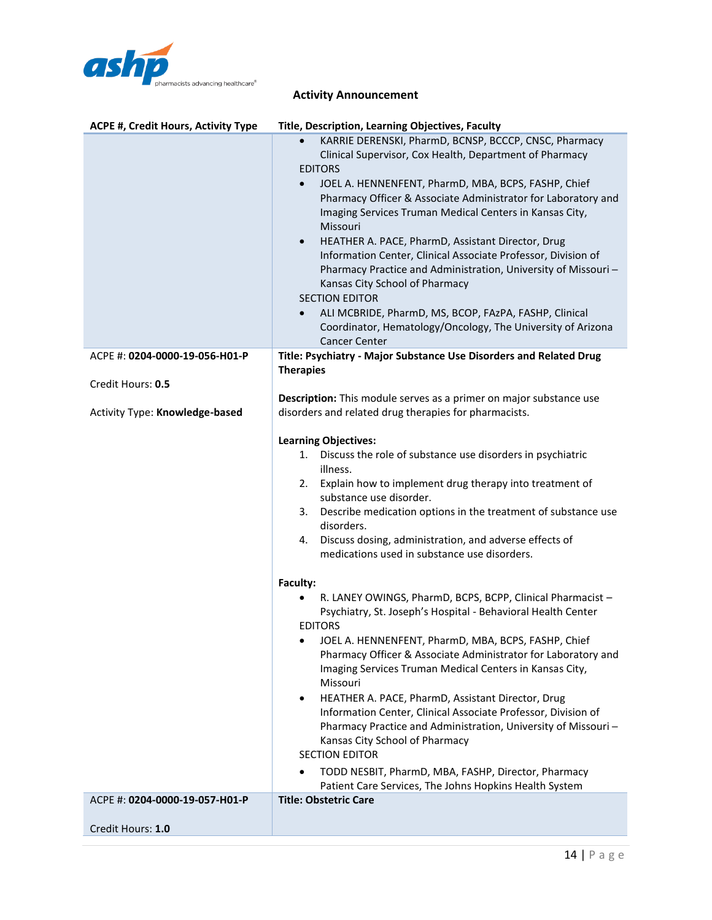

| <b>ACPE #, Credit Hours, Activity Type</b> | Title, Description, Learning Objectives, Faculty                                                                                                                                                                                                                                                                                                                                                                                                                                                                                                                                                                                                                                                                                                                           |
|--------------------------------------------|----------------------------------------------------------------------------------------------------------------------------------------------------------------------------------------------------------------------------------------------------------------------------------------------------------------------------------------------------------------------------------------------------------------------------------------------------------------------------------------------------------------------------------------------------------------------------------------------------------------------------------------------------------------------------------------------------------------------------------------------------------------------------|
|                                            | KARRIE DERENSKI, PharmD, BCNSP, BCCCP, CNSC, Pharmacy<br>Clinical Supervisor, Cox Health, Department of Pharmacy<br><b>EDITORS</b><br>JOEL A. HENNENFENT, PharmD, MBA, BCPS, FASHP, Chief<br>$\bullet$<br>Pharmacy Officer & Associate Administrator for Laboratory and<br>Imaging Services Truman Medical Centers in Kansas City,<br>Missouri<br>HEATHER A. PACE, PharmD, Assistant Director, Drug<br>$\bullet$<br>Information Center, Clinical Associate Professor, Division of<br>Pharmacy Practice and Administration, University of Missouri-<br>Kansas City School of Pharmacy<br><b>SECTION EDITOR</b><br>ALI MCBRIDE, PharmD, MS, BCOP, FAzPA, FASHP, Clinical<br>$\bullet$<br>Coordinator, Hematology/Oncology, The University of Arizona<br><b>Cancer Center</b> |
| ACPE #: 0204-0000-19-056-H01-P             | Title: Psychiatry - Major Substance Use Disorders and Related Drug                                                                                                                                                                                                                                                                                                                                                                                                                                                                                                                                                                                                                                                                                                         |
| Credit Hours: 0.5                          | <b>Therapies</b>                                                                                                                                                                                                                                                                                                                                                                                                                                                                                                                                                                                                                                                                                                                                                           |
| Activity Type: Knowledge-based             | Description: This module serves as a primer on major substance use<br>disorders and related drug therapies for pharmacists.                                                                                                                                                                                                                                                                                                                                                                                                                                                                                                                                                                                                                                                |
|                                            | <b>Learning Objectives:</b><br>Discuss the role of substance use disorders in psychiatric<br>1.<br>illness.<br>2. Explain how to implement drug therapy into treatment of<br>substance use disorder.<br>Describe medication options in the treatment of substance use<br>3.<br>disorders.<br>Discuss dosing, administration, and adverse effects of<br>4.<br>medications used in substance use disorders.                                                                                                                                                                                                                                                                                                                                                                  |
|                                            | Faculty:<br>R. LANEY OWINGS, PharmD, BCPS, BCPP, Clinical Pharmacist -<br>Psychiatry, St. Joseph's Hospital - Behavioral Health Center<br><b>EDITORS</b><br>JOEL A. HENNENFENT, PharmD, MBA, BCPS, FASHP, Chief<br>Pharmacy Officer & Associate Administrator for Laboratory and<br>Imaging Services Truman Medical Centers in Kansas City,<br>Missouri<br>HEATHER A. PACE, PharmD, Assistant Director, Drug<br>٠<br>Information Center, Clinical Associate Professor, Division of<br>Pharmacy Practice and Administration, University of Missouri-<br>Kansas City School of Pharmacy<br><b>SECTION EDITOR</b><br>TODD NESBIT, PharmD, MBA, FASHP, Director, Pharmacy<br>Patient Care Services, The Johns Hopkins Health System                                            |
| ACPE #: 0204-0000-19-057-H01-P             | <b>Title: Obstetric Care</b>                                                                                                                                                                                                                                                                                                                                                                                                                                                                                                                                                                                                                                                                                                                                               |
|                                            |                                                                                                                                                                                                                                                                                                                                                                                                                                                                                                                                                                                                                                                                                                                                                                            |
| Credit Hours: 1.0                          |                                                                                                                                                                                                                                                                                                                                                                                                                                                                                                                                                                                                                                                                                                                                                                            |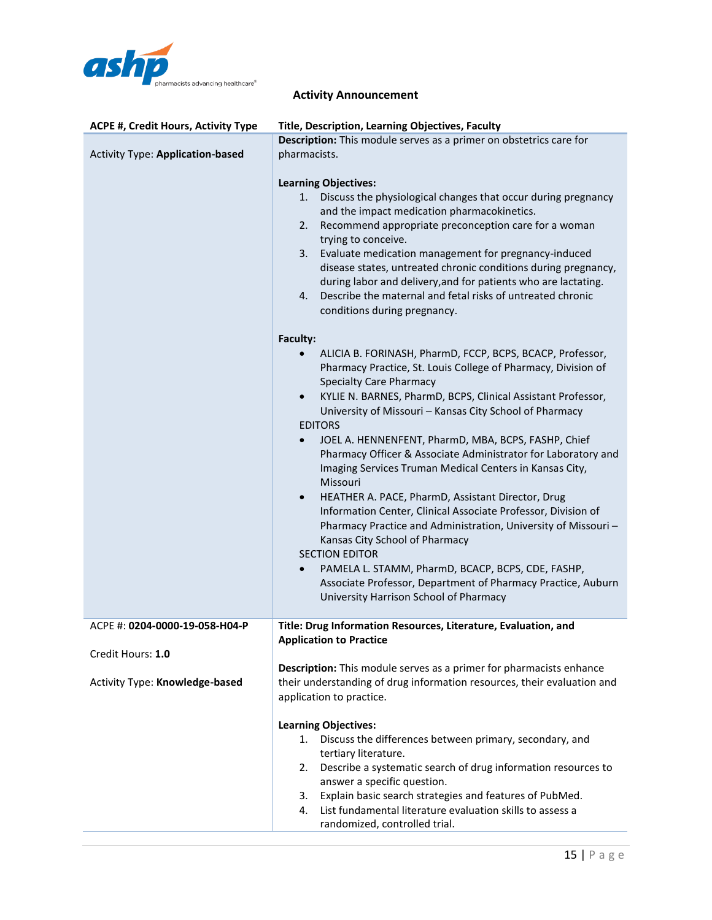

| <b>ACPE #, Credit Hours, Activity Type</b>                                            | Title, Description, Learning Objectives, Faculty                                                                                                                                                                                                                                                                                                                                                                                                                                                                                                                                                                                                                                                                                                                                                                                                                                                                                                                                                                                                                                                                                                                                                                                                                                                                                                                                                                                                                                                                                                                                                                             |
|---------------------------------------------------------------------------------------|------------------------------------------------------------------------------------------------------------------------------------------------------------------------------------------------------------------------------------------------------------------------------------------------------------------------------------------------------------------------------------------------------------------------------------------------------------------------------------------------------------------------------------------------------------------------------------------------------------------------------------------------------------------------------------------------------------------------------------------------------------------------------------------------------------------------------------------------------------------------------------------------------------------------------------------------------------------------------------------------------------------------------------------------------------------------------------------------------------------------------------------------------------------------------------------------------------------------------------------------------------------------------------------------------------------------------------------------------------------------------------------------------------------------------------------------------------------------------------------------------------------------------------------------------------------------------------------------------------------------------|
| <b>Activity Type: Application-based</b>                                               | Description: This module serves as a primer on obstetrics care for<br>pharmacists.<br><b>Learning Objectives:</b><br>1. Discuss the physiological changes that occur during pregnancy<br>and the impact medication pharmacokinetics.<br>Recommend appropriate preconception care for a woman<br>2.<br>trying to conceive.<br>Evaluate medication management for pregnancy-induced<br>3.<br>disease states, untreated chronic conditions during pregnancy,<br>during labor and delivery, and for patients who are lactating.<br>Describe the maternal and fetal risks of untreated chronic<br>4.<br>conditions during pregnancy.<br>Faculty:<br>ALICIA B. FORINASH, PharmD, FCCP, BCPS, BCACP, Professor,<br>Pharmacy Practice, St. Louis College of Pharmacy, Division of<br><b>Specialty Care Pharmacy</b><br>KYLIE N. BARNES, PharmD, BCPS, Clinical Assistant Professor,<br>$\bullet$<br>University of Missouri - Kansas City School of Pharmacy<br><b>EDITORS</b><br>JOEL A. HENNENFENT, PharmD, MBA, BCPS, FASHP, Chief<br>$\bullet$<br>Pharmacy Officer & Associate Administrator for Laboratory and<br>Imaging Services Truman Medical Centers in Kansas City,<br>Missouri<br>HEATHER A. PACE, PharmD, Assistant Director, Drug<br>$\bullet$<br>Information Center, Clinical Associate Professor, Division of<br>Pharmacy Practice and Administration, University of Missouri-<br>Kansas City School of Pharmacy<br><b>SECTION EDITOR</b><br>PAMELA L. STAMM, PharmD, BCACP, BCPS, CDE, FASHP,<br>$\bullet$<br>Associate Professor, Department of Pharmacy Practice, Auburn<br>University Harrison School of Pharmacy |
| ACPE #: 0204-0000-19-058-H04-P<br>Credit Hours: 1.0<br>Activity Type: Knowledge-based | Title: Drug Information Resources, Literature, Evaluation, and<br><b>Application to Practice</b><br>Description: This module serves as a primer for pharmacists enhance<br>their understanding of drug information resources, their evaluation and                                                                                                                                                                                                                                                                                                                                                                                                                                                                                                                                                                                                                                                                                                                                                                                                                                                                                                                                                                                                                                                                                                                                                                                                                                                                                                                                                                           |
|                                                                                       | application to practice.<br><b>Learning Objectives:</b><br>Discuss the differences between primary, secondary, and<br>1.<br>tertiary literature.<br>Describe a systematic search of drug information resources to<br>2.<br>answer a specific question.<br>Explain basic search strategies and features of PubMed.<br>3.<br>List fundamental literature evaluation skills to assess a<br>4.<br>randomized, controlled trial.                                                                                                                                                                                                                                                                                                                                                                                                                                                                                                                                                                                                                                                                                                                                                                                                                                                                                                                                                                                                                                                                                                                                                                                                  |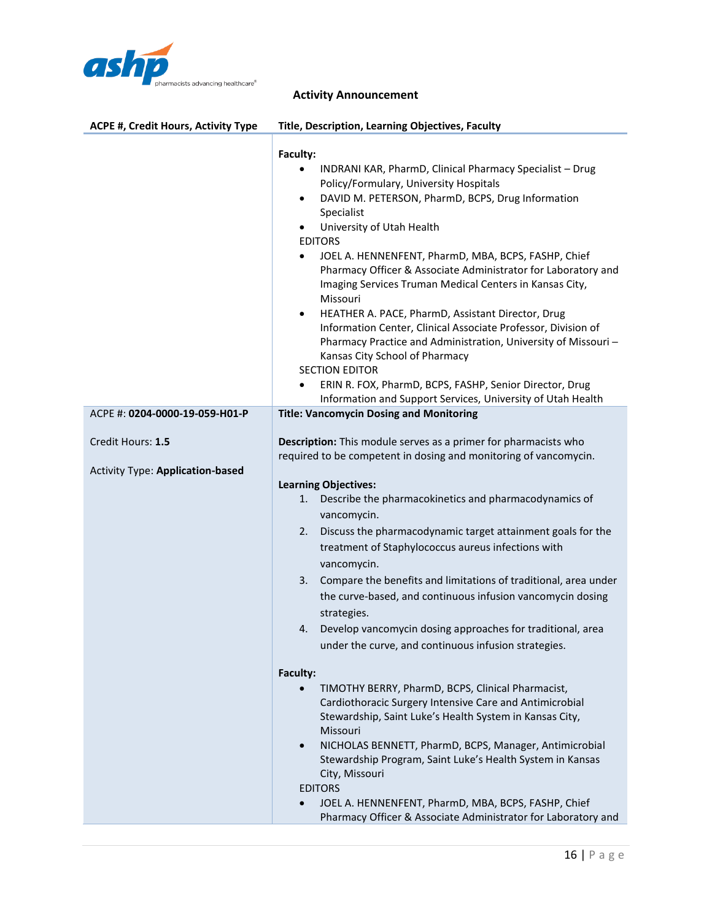

| ACPE #, Credit Hours, Activity Type                          | Title, Description, Learning Objectives, Faculty                                                                                                                                                                                                                                                                                                                                                                                                                                                                                                                                                                                                                                                                                                                                                                                                                                                                                                                                                                                                        |
|--------------------------------------------------------------|---------------------------------------------------------------------------------------------------------------------------------------------------------------------------------------------------------------------------------------------------------------------------------------------------------------------------------------------------------------------------------------------------------------------------------------------------------------------------------------------------------------------------------------------------------------------------------------------------------------------------------------------------------------------------------------------------------------------------------------------------------------------------------------------------------------------------------------------------------------------------------------------------------------------------------------------------------------------------------------------------------------------------------------------------------|
|                                                              | Faculty:<br>INDRANI KAR, PharmD, Clinical Pharmacy Specialist - Drug<br>٠<br>Policy/Formulary, University Hospitals<br>DAVID M. PETERSON, PharmD, BCPS, Drug Information<br>$\bullet$<br>Specialist<br>University of Utah Health<br>$\bullet$<br><b>EDITORS</b><br>JOEL A. HENNENFENT, PharmD, MBA, BCPS, FASHP, Chief<br>٠<br>Pharmacy Officer & Associate Administrator for Laboratory and<br>Imaging Services Truman Medical Centers in Kansas City,<br>Missouri<br>HEATHER A. PACE, PharmD, Assistant Director, Drug<br>٠<br>Information Center, Clinical Associate Professor, Division of<br>Pharmacy Practice and Administration, University of Missouri-<br>Kansas City School of Pharmacy<br><b>SECTION EDITOR</b><br>ERIN R. FOX, PharmD, BCPS, FASHP, Senior Director, Drug<br>٠<br>Information and Support Services, University of Utah Health                                                                                                                                                                                               |
| ACPE #: 0204-0000-19-059-H01-P                               | <b>Title: Vancomycin Dosing and Monitoring</b>                                                                                                                                                                                                                                                                                                                                                                                                                                                                                                                                                                                                                                                                                                                                                                                                                                                                                                                                                                                                          |
| Credit Hours: 1.5<br><b>Activity Type: Application-based</b> | Description: This module serves as a primer for pharmacists who<br>required to be competent in dosing and monitoring of vancomycin.<br><b>Learning Objectives:</b><br>Describe the pharmacokinetics and pharmacodynamics of<br>1.<br>vancomycin.<br>Discuss the pharmacodynamic target attainment goals for the<br>2.<br>treatment of Staphylococcus aureus infections with<br>vancomycin.<br>Compare the benefits and limitations of traditional, area under<br>3.<br>the curve-based, and continuous infusion vancomycin dosing<br>strategies.<br>Develop vancomycin dosing approaches for traditional, area<br>4.<br>under the curve, and continuous infusion strategies.<br>Faculty:<br>TIMOTHY BERRY, PharmD, BCPS, Clinical Pharmacist,<br>Cardiothoracic Surgery Intensive Care and Antimicrobial<br>Stewardship, Saint Luke's Health System in Kansas City,<br>Missouri<br>NICHOLAS BENNETT, PharmD, BCPS, Manager, Antimicrobial<br>$\bullet$<br>Stewardship Program, Saint Luke's Health System in Kansas<br>City, Missouri<br><b>EDITORS</b> |
|                                                              | JOEL A. HENNENFENT, PharmD, MBA, BCPS, FASHP, Chief<br>$\bullet$<br>Pharmacy Officer & Associate Administrator for Laboratory and                                                                                                                                                                                                                                                                                                                                                                                                                                                                                                                                                                                                                                                                                                                                                                                                                                                                                                                       |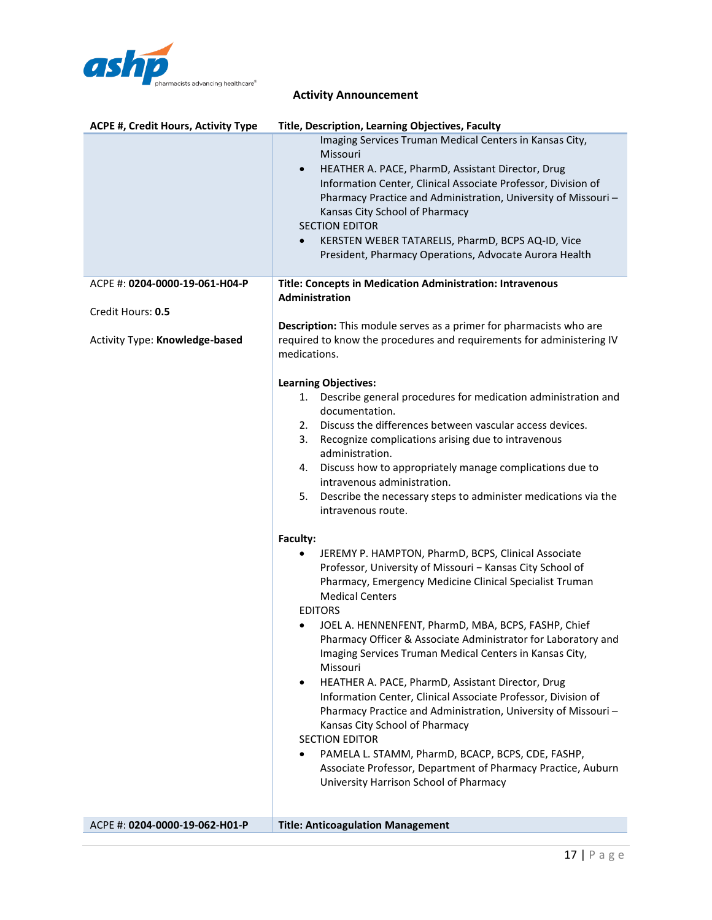

| <b>ACPE #, Credit Hours, Activity Type</b> | Title, Description, Learning Objectives, Faculty                                                                                                                                                                                                                                                                                                                                                                                                               |
|--------------------------------------------|----------------------------------------------------------------------------------------------------------------------------------------------------------------------------------------------------------------------------------------------------------------------------------------------------------------------------------------------------------------------------------------------------------------------------------------------------------------|
|                                            | Imaging Services Truman Medical Centers in Kansas City,<br>Missouri<br>HEATHER A. PACE, PharmD, Assistant Director, Drug<br>$\bullet$<br>Information Center, Clinical Associate Professor, Division of<br>Pharmacy Practice and Administration, University of Missouri-<br>Kansas City School of Pharmacy<br><b>SECTION EDITOR</b><br>KERSTEN WEBER TATARELIS, PharmD, BCPS AQ-ID, Vice<br>$\bullet$<br>President, Pharmacy Operations, Advocate Aurora Health |
| ACPE #: 0204-0000-19-061-H04-P             | Title: Concepts in Medication Administration: Intravenous                                                                                                                                                                                                                                                                                                                                                                                                      |
|                                            | Administration                                                                                                                                                                                                                                                                                                                                                                                                                                                 |
| Credit Hours: 0.5                          | Description: This module serves as a primer for pharmacists who are                                                                                                                                                                                                                                                                                                                                                                                            |
| Activity Type: Knowledge-based             | required to know the procedures and requirements for administering IV<br>medications.                                                                                                                                                                                                                                                                                                                                                                          |
|                                            | <b>Learning Objectives:</b>                                                                                                                                                                                                                                                                                                                                                                                                                                    |
|                                            | Describe general procedures for medication administration and<br>1.                                                                                                                                                                                                                                                                                                                                                                                            |
|                                            | documentation.                                                                                                                                                                                                                                                                                                                                                                                                                                                 |
|                                            | Discuss the differences between vascular access devices.<br>2.                                                                                                                                                                                                                                                                                                                                                                                                 |
|                                            | Recognize complications arising due to intravenous<br>3.<br>administration.                                                                                                                                                                                                                                                                                                                                                                                    |
|                                            | Discuss how to appropriately manage complications due to<br>4.                                                                                                                                                                                                                                                                                                                                                                                                 |
|                                            | intravenous administration.                                                                                                                                                                                                                                                                                                                                                                                                                                    |
|                                            | Describe the necessary steps to administer medications via the<br>5.<br>intravenous route.                                                                                                                                                                                                                                                                                                                                                                     |
|                                            | Faculty:                                                                                                                                                                                                                                                                                                                                                                                                                                                       |
|                                            | JEREMY P. HAMPTON, PharmD, BCPS, Clinical Associate<br>Professor, University of Missouri - Kansas City School of<br>Pharmacy, Emergency Medicine Clinical Specialist Truman<br><b>Medical Centers</b><br><b>EDITORS</b>                                                                                                                                                                                                                                        |
|                                            | JOEL A. HENNENFENT, PharmD, MBA, BCPS, FASHP, Chief<br>$\bullet$<br>Pharmacy Officer & Associate Administrator for Laboratory and<br>Imaging Services Truman Medical Centers in Kansas City,<br>Missouri                                                                                                                                                                                                                                                       |
|                                            | HEATHER A. PACE, PharmD, Assistant Director, Drug<br>$\bullet$<br>Information Center, Clinical Associate Professor, Division of<br>Pharmacy Practice and Administration, University of Missouri-<br>Kansas City School of Pharmacy<br><b>SECTION EDITOR</b>                                                                                                                                                                                                    |
|                                            | PAMELA L. STAMM, PharmD, BCACP, BCPS, CDE, FASHP,<br>$\bullet$<br>Associate Professor, Department of Pharmacy Practice, Auburn<br>University Harrison School of Pharmacy                                                                                                                                                                                                                                                                                       |
|                                            |                                                                                                                                                                                                                                                                                                                                                                                                                                                                |
| ACPE #: 0204-0000-19-062-H01-P             | <b>Title: Anticoagulation Management</b>                                                                                                                                                                                                                                                                                                                                                                                                                       |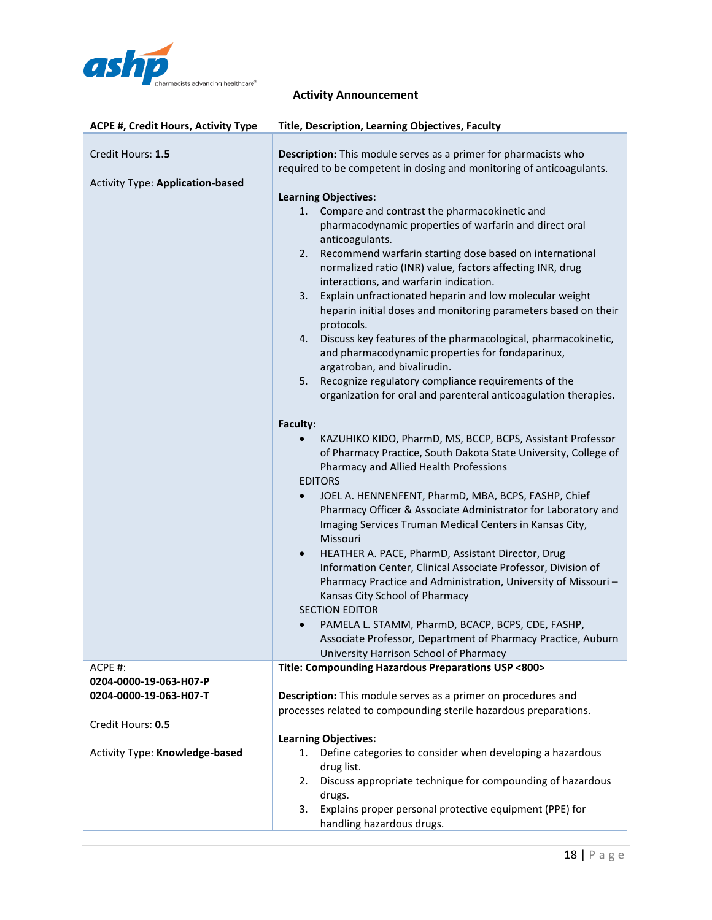

| <b>ACPE #, Credit Hours, Activity Type</b>                                       | <b>Title, Description, Learning Objectives, Faculty</b>                                                                                                                                                                                                                                                                                                                                                                                                                                                                                                                                                                                                                                                                                                                                                                                                                                                                                                                                                                                                                                                                                                                                                                                                                                                                                                                                                                                                                                                                                                                                                                                                                                                                                                                          |
|----------------------------------------------------------------------------------|----------------------------------------------------------------------------------------------------------------------------------------------------------------------------------------------------------------------------------------------------------------------------------------------------------------------------------------------------------------------------------------------------------------------------------------------------------------------------------------------------------------------------------------------------------------------------------------------------------------------------------------------------------------------------------------------------------------------------------------------------------------------------------------------------------------------------------------------------------------------------------------------------------------------------------------------------------------------------------------------------------------------------------------------------------------------------------------------------------------------------------------------------------------------------------------------------------------------------------------------------------------------------------------------------------------------------------------------------------------------------------------------------------------------------------------------------------------------------------------------------------------------------------------------------------------------------------------------------------------------------------------------------------------------------------------------------------------------------------------------------------------------------------|
| Credit Hours: 1.5<br><b>Activity Type: Application-based</b>                     | Description: This module serves as a primer for pharmacists who<br>required to be competent in dosing and monitoring of anticoagulants.<br><b>Learning Objectives:</b><br>Compare and contrast the pharmacokinetic and<br>1.<br>pharmacodynamic properties of warfarin and direct oral<br>anticoagulants.<br>Recommend warfarin starting dose based on international<br>2.<br>normalized ratio (INR) value, factors affecting INR, drug<br>interactions, and warfarin indication.<br>Explain unfractionated heparin and low molecular weight<br>3.<br>heparin initial doses and monitoring parameters based on their<br>protocols.<br>Discuss key features of the pharmacological, pharmacokinetic,<br>4.<br>and pharmacodynamic properties for fondaparinux,<br>argatroban, and bivalirudin.<br>Recognize regulatory compliance requirements of the<br>5.<br>organization for oral and parenteral anticoagulation therapies.<br>Faculty:<br>KAZUHIKO KIDO, PharmD, MS, BCCP, BCPS, Assistant Professor<br>of Pharmacy Practice, South Dakota State University, College of<br>Pharmacy and Allied Health Professions<br><b>EDITORS</b><br>JOEL A. HENNENFENT, PharmD, MBA, BCPS, FASHP, Chief<br>$\bullet$<br>Pharmacy Officer & Associate Administrator for Laboratory and<br>Imaging Services Truman Medical Centers in Kansas City,<br>Missouri<br>HEATHER A. PACE, PharmD, Assistant Director, Drug<br>$\bullet$<br>Information Center, Clinical Associate Professor, Division of<br>Pharmacy Practice and Administration, University of Missouri-<br>Kansas City School of Pharmacy<br><b>SECTION EDITOR</b><br>PAMELA L. STAMM, PharmD, BCACP, BCPS, CDE, FASHP,<br>Associate Professor, Department of Pharmacy Practice, Auburn<br>University Harrison School of Pharmacy |
| ACPE #:<br>0204-0000-19-063-H07-P<br>0204-0000-19-063-H07-T<br>Credit Hours: 0.5 | Title: Compounding Hazardous Preparations USP <800><br>Description: This module serves as a primer on procedures and<br>processes related to compounding sterile hazardous preparations.                                                                                                                                                                                                                                                                                                                                                                                                                                                                                                                                                                                                                                                                                                                                                                                                                                                                                                                                                                                                                                                                                                                                                                                                                                                                                                                                                                                                                                                                                                                                                                                         |
| Activity Type: Knowledge-based                                                   | <b>Learning Objectives:</b><br>Define categories to consider when developing a hazardous<br>1.<br>drug list.<br>Discuss appropriate technique for compounding of hazardous<br>2.<br>drugs.<br>Explains proper personal protective equipment (PPE) for<br>3.<br>handling hazardous drugs.                                                                                                                                                                                                                                                                                                                                                                                                                                                                                                                                                                                                                                                                                                                                                                                                                                                                                                                                                                                                                                                                                                                                                                                                                                                                                                                                                                                                                                                                                         |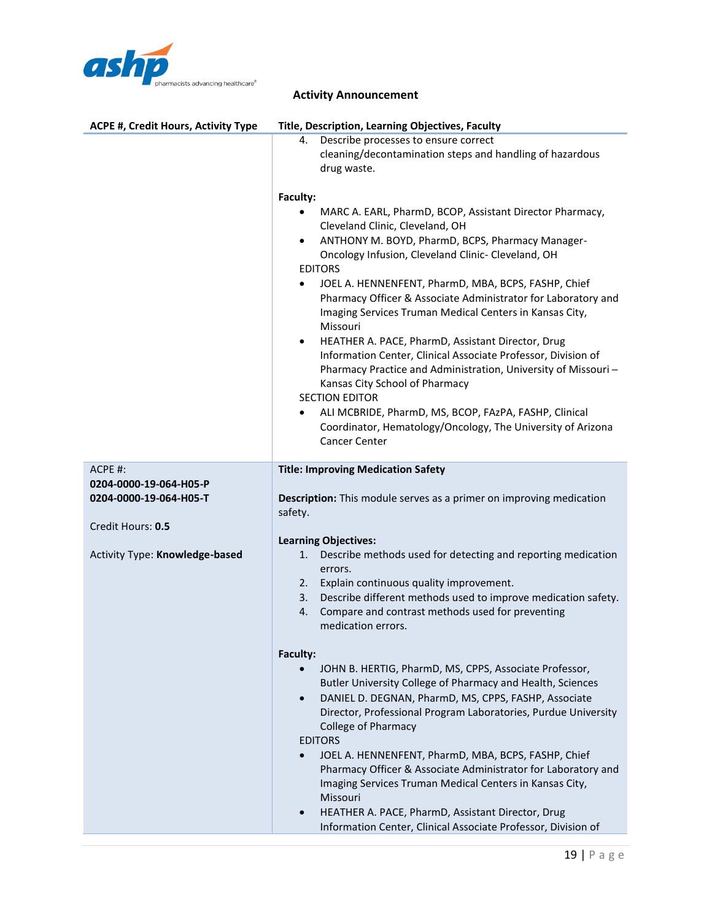

|  | <b>Activity Announcement</b> |
|--|------------------------------|
|--|------------------------------|

| <b>ACPE #, Credit Hours, Activity Type</b> | Title, Description, Learning Objectives, Faculty                                                                                                                                                                                                                                                                                                                                                                                                                                                                                                                                                                                                                                                                                                                                                                                                                                 |
|--------------------------------------------|----------------------------------------------------------------------------------------------------------------------------------------------------------------------------------------------------------------------------------------------------------------------------------------------------------------------------------------------------------------------------------------------------------------------------------------------------------------------------------------------------------------------------------------------------------------------------------------------------------------------------------------------------------------------------------------------------------------------------------------------------------------------------------------------------------------------------------------------------------------------------------|
|                                            | Describe processes to ensure correct<br>4.<br>cleaning/decontamination steps and handling of hazardous<br>drug waste.                                                                                                                                                                                                                                                                                                                                                                                                                                                                                                                                                                                                                                                                                                                                                            |
|                                            | Faculty:<br>MARC A. EARL, PharmD, BCOP, Assistant Director Pharmacy,<br>Cleveland Clinic, Cleveland, OH<br>ANTHONY M. BOYD, PharmD, BCPS, Pharmacy Manager-<br>$\bullet$<br>Oncology Infusion, Cleveland Clinic- Cleveland, OH<br><b>EDITORS</b><br>JOEL A. HENNENFENT, PharmD, MBA, BCPS, FASHP, Chief<br>$\bullet$<br>Pharmacy Officer & Associate Administrator for Laboratory and<br>Imaging Services Truman Medical Centers in Kansas City,<br>Missouri<br>HEATHER A. PACE, PharmD, Assistant Director, Drug<br>$\bullet$<br>Information Center, Clinical Associate Professor, Division of<br>Pharmacy Practice and Administration, University of Missouri-<br>Kansas City School of Pharmacy<br><b>SECTION EDITOR</b><br>ALI MCBRIDE, PharmD, MS, BCOP, FAzPA, FASHP, Clinical<br>٠<br>Coordinator, Hematology/Oncology, The University of Arizona<br><b>Cancer Center</b> |
| ACPE #:                                    | <b>Title: Improving Medication Safety</b>                                                                                                                                                                                                                                                                                                                                                                                                                                                                                                                                                                                                                                                                                                                                                                                                                                        |
| 0204-0000-19-064-H05-P                     |                                                                                                                                                                                                                                                                                                                                                                                                                                                                                                                                                                                                                                                                                                                                                                                                                                                                                  |
| 0204-0000-19-064-H05-T                     | Description: This module serves as a primer on improving medication<br>safety.                                                                                                                                                                                                                                                                                                                                                                                                                                                                                                                                                                                                                                                                                                                                                                                                   |
| Credit Hours: 0.5                          |                                                                                                                                                                                                                                                                                                                                                                                                                                                                                                                                                                                                                                                                                                                                                                                                                                                                                  |
|                                            | <b>Learning Objectives:</b>                                                                                                                                                                                                                                                                                                                                                                                                                                                                                                                                                                                                                                                                                                                                                                                                                                                      |
| Activity Type: Knowledge-based             | Describe methods used for detecting and reporting medication<br>1.<br>errors.<br>2. Explain continuous quality improvement.<br>Describe different methods used to improve medication safety.<br>3.<br>Compare and contrast methods used for preventing<br>4.<br>medication errors.                                                                                                                                                                                                                                                                                                                                                                                                                                                                                                                                                                                               |
|                                            | Faculty:                                                                                                                                                                                                                                                                                                                                                                                                                                                                                                                                                                                                                                                                                                                                                                                                                                                                         |
|                                            | JOHN B. HERTIG, PharmD, MS, CPPS, Associate Professor,<br>Butler University College of Pharmacy and Health, Sciences<br>DANIEL D. DEGNAN, PharmD, MS, CPPS, FASHP, Associate<br>$\bullet$<br>Director, Professional Program Laboratories, Purdue University<br><b>College of Pharmacy</b><br><b>EDITORS</b><br>JOEL A. HENNENFENT, PharmD, MBA, BCPS, FASHP, Chief<br>$\bullet$<br>Pharmacy Officer & Associate Administrator for Laboratory and<br>Imaging Services Truman Medical Centers in Kansas City,<br>Missouri<br>HEATHER A. PACE, PharmD, Assistant Director, Drug<br>$\bullet$<br>Information Center, Clinical Associate Professor, Division of                                                                                                                                                                                                                       |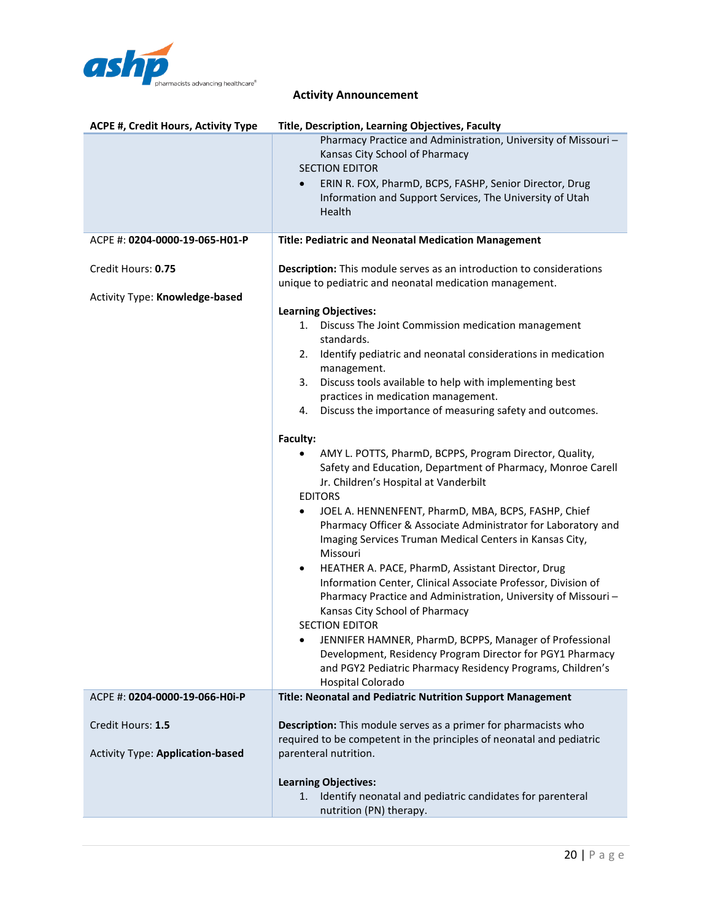

| <b>ACPE #, Credit Hours, Activity Type</b>                   | Title, Description, Learning Objectives, Faculty                                                                                                                                                                                                                                                                                                                                                                                                                                                                                                                                                                                                                                                                                                                                                                                                                 |
|--------------------------------------------------------------|------------------------------------------------------------------------------------------------------------------------------------------------------------------------------------------------------------------------------------------------------------------------------------------------------------------------------------------------------------------------------------------------------------------------------------------------------------------------------------------------------------------------------------------------------------------------------------------------------------------------------------------------------------------------------------------------------------------------------------------------------------------------------------------------------------------------------------------------------------------|
|                                                              | Pharmacy Practice and Administration, University of Missouri-<br>Kansas City School of Pharmacy<br><b>SECTION EDITOR</b><br>ERIN R. FOX, PharmD, BCPS, FASHP, Senior Director, Drug<br>Information and Support Services, The University of Utah<br>Health                                                                                                                                                                                                                                                                                                                                                                                                                                                                                                                                                                                                        |
| ACPE #: 0204-0000-19-065-H01-P                               | <b>Title: Pediatric and Neonatal Medication Management</b>                                                                                                                                                                                                                                                                                                                                                                                                                                                                                                                                                                                                                                                                                                                                                                                                       |
| Credit Hours: 0.75                                           | <b>Description:</b> This module serves as an introduction to considerations<br>unique to pediatric and neonatal medication management.                                                                                                                                                                                                                                                                                                                                                                                                                                                                                                                                                                                                                                                                                                                           |
| Activity Type: Knowledge-based                               | <b>Learning Objectives:</b><br>Discuss The Joint Commission medication management<br>1.<br>standards.<br>Identify pediatric and neonatal considerations in medication<br>2.<br>management.<br>Discuss tools available to help with implementing best<br>3.<br>practices in medication management.<br>4. Discuss the importance of measuring safety and outcomes.                                                                                                                                                                                                                                                                                                                                                                                                                                                                                                 |
|                                                              | Faculty:<br>AMY L. POTTS, PharmD, BCPPS, Program Director, Quality,<br>Safety and Education, Department of Pharmacy, Monroe Carell<br>Jr. Children's Hospital at Vanderbilt<br><b>EDITORS</b><br>JOEL A. HENNENFENT, PharmD, MBA, BCPS, FASHP, Chief<br>Pharmacy Officer & Associate Administrator for Laboratory and<br>Imaging Services Truman Medical Centers in Kansas City,<br>Missouri<br>HEATHER A. PACE, PharmD, Assistant Director, Drug<br>٠<br>Information Center, Clinical Associate Professor, Division of<br>Pharmacy Practice and Administration, University of Missouri-<br>Kansas City School of Pharmacy<br><b>SECTION EDITOR</b><br>• JENNIFER HAMNER, PharmD, BCPPS, Manager of Professional<br>Development, Residency Program Director for PGY1 Pharmacy<br>and PGY2 Pediatric Pharmacy Residency Programs, Children's<br>Hospital Colorado |
| ACPE #: 0204-0000-19-066-H0i-P                               | Title: Neonatal and Pediatric Nutrition Support Management                                                                                                                                                                                                                                                                                                                                                                                                                                                                                                                                                                                                                                                                                                                                                                                                       |
| Credit Hours: 1.5<br><b>Activity Type: Application-based</b> | Description: This module serves as a primer for pharmacists who<br>required to be competent in the principles of neonatal and pediatric<br>parenteral nutrition.                                                                                                                                                                                                                                                                                                                                                                                                                                                                                                                                                                                                                                                                                                 |
|                                                              | <b>Learning Objectives:</b><br>Identify neonatal and pediatric candidates for parenteral<br>1.<br>nutrition (PN) therapy.                                                                                                                                                                                                                                                                                                                                                                                                                                                                                                                                                                                                                                                                                                                                        |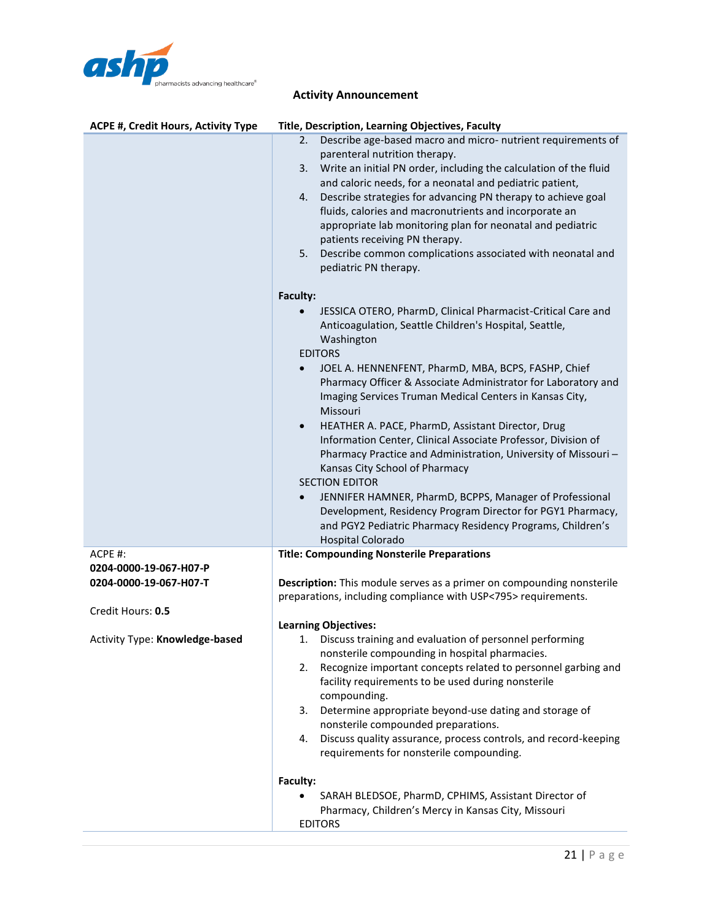

| <b>ACPE #, Credit Hours, Activity Type</b>       | Title, Description, Learning Objectives, Faculty                                                                                                                                                                                                                                                                                                                                                                                                                                                                                                                        |
|--------------------------------------------------|-------------------------------------------------------------------------------------------------------------------------------------------------------------------------------------------------------------------------------------------------------------------------------------------------------------------------------------------------------------------------------------------------------------------------------------------------------------------------------------------------------------------------------------------------------------------------|
|                                                  | Describe age-based macro and micro- nutrient requirements of<br>2.<br>parenteral nutrition therapy.<br>Write an initial PN order, including the calculation of the fluid<br>3.<br>and caloric needs, for a neonatal and pediatric patient,<br>Describe strategies for advancing PN therapy to achieve goal<br>4.<br>fluids, calories and macronutrients and incorporate an<br>appropriate lab monitoring plan for neonatal and pediatric<br>patients receiving PN therapy.<br>Describe common complications associated with neonatal and<br>5.<br>pediatric PN therapy. |
|                                                  | Faculty:                                                                                                                                                                                                                                                                                                                                                                                                                                                                                                                                                                |
|                                                  | JESSICA OTERO, PharmD, Clinical Pharmacist-Critical Care and<br>$\bullet$<br>Anticoagulation, Seattle Children's Hospital, Seattle,<br>Washington<br><b>EDITORS</b>                                                                                                                                                                                                                                                                                                                                                                                                     |
|                                                  | JOEL A. HENNENFENT, PharmD, MBA, BCPS, FASHP, Chief<br>$\bullet$<br>Pharmacy Officer & Associate Administrator for Laboratory and<br>Imaging Services Truman Medical Centers in Kansas City,<br>Missouri                                                                                                                                                                                                                                                                                                                                                                |
|                                                  | HEATHER A. PACE, PharmD, Assistant Director, Drug<br>$\bullet$<br>Information Center, Clinical Associate Professor, Division of<br>Pharmacy Practice and Administration, University of Missouri-<br>Kansas City School of Pharmacy<br><b>SECTION EDITOR</b>                                                                                                                                                                                                                                                                                                             |
|                                                  | JENNIFER HAMNER, PharmD, BCPPS, Manager of Professional<br>$\bullet$<br>Development, Residency Program Director for PGY1 Pharmacy,<br>and PGY2 Pediatric Pharmacy Residency Programs, Children's<br><b>Hospital Colorado</b>                                                                                                                                                                                                                                                                                                                                            |
| $ACPE$ #:                                        | <b>Title: Compounding Nonsterile Preparations</b>                                                                                                                                                                                                                                                                                                                                                                                                                                                                                                                       |
| 0204-0000-19-067-H07-P<br>0204-0000-19-067-H07-T | <b>Description:</b> This module serves as a primer on compounding nonsterile<br>preparations, including compliance with USP<795>requirements.                                                                                                                                                                                                                                                                                                                                                                                                                           |
| Credit Hours: 0.5                                |                                                                                                                                                                                                                                                                                                                                                                                                                                                                                                                                                                         |
| Activity Type: Knowledge-based                   | <b>Learning Objectives:</b><br>1. Discuss training and evaluation of personnel performing<br>nonsterile compounding in hospital pharmacies.<br>Recognize important concepts related to personnel garbing and<br>2.<br>facility requirements to be used during nonsterile<br>compounding.<br>Determine appropriate beyond-use dating and storage of<br>3.<br>nonsterile compounded preparations.<br>Discuss quality assurance, process controls, and record-keeping<br>4.<br>requirements for nonsterile compounding.                                                    |
|                                                  | Faculty:<br>SARAH BLEDSOE, PharmD, CPHIMS, Assistant Director of<br>Pharmacy, Children's Mercy in Kansas City, Missouri<br><b>EDITORS</b>                                                                                                                                                                                                                                                                                                                                                                                                                               |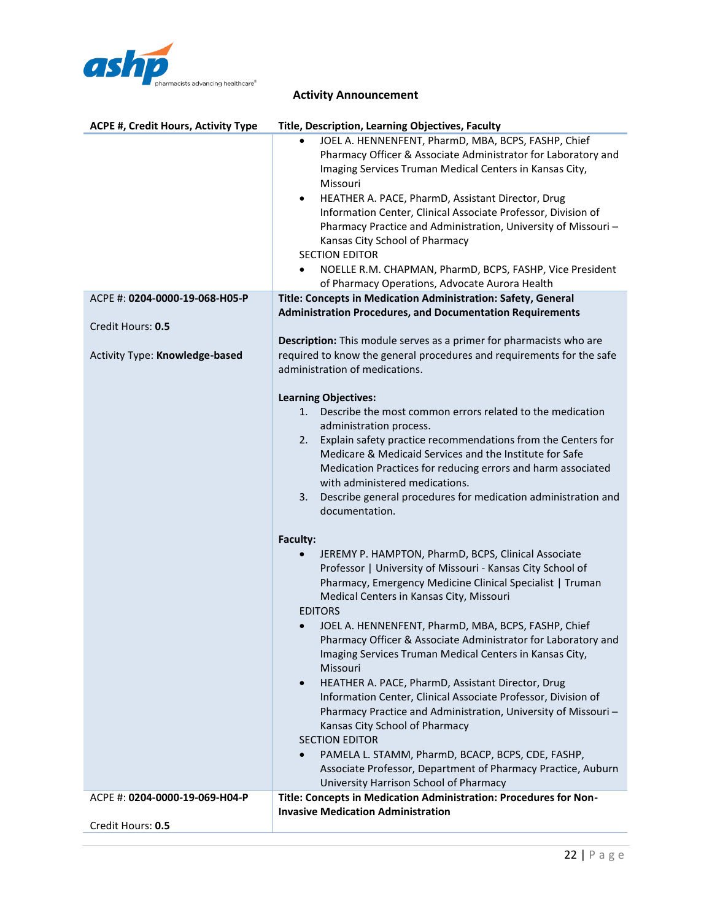

| ACPE #, Credit Hours, Activity Type | Title, Description, Learning Objectives, Faculty                                                                                                                                                                                                                                                                                                                                                                                                                                                                                                                                                                                                                                                                                                                                                                                                                                                                                                                                                                                                                                                                                                                                                                                                  |
|-------------------------------------|---------------------------------------------------------------------------------------------------------------------------------------------------------------------------------------------------------------------------------------------------------------------------------------------------------------------------------------------------------------------------------------------------------------------------------------------------------------------------------------------------------------------------------------------------------------------------------------------------------------------------------------------------------------------------------------------------------------------------------------------------------------------------------------------------------------------------------------------------------------------------------------------------------------------------------------------------------------------------------------------------------------------------------------------------------------------------------------------------------------------------------------------------------------------------------------------------------------------------------------------------|
|                                     | JOEL A. HENNENFENT, PharmD, MBA, BCPS, FASHP, Chief<br>$\bullet$<br>Pharmacy Officer & Associate Administrator for Laboratory and<br>Imaging Services Truman Medical Centers in Kansas City,<br>Missouri<br>HEATHER A. PACE, PharmD, Assistant Director, Drug<br>$\bullet$<br>Information Center, Clinical Associate Professor, Division of<br>Pharmacy Practice and Administration, University of Missouri-<br>Kansas City School of Pharmacy<br><b>SECTION EDITOR</b><br>NOELLE R.M. CHAPMAN, PharmD, BCPS, FASHP, Vice President<br>$\bullet$<br>of Pharmacy Operations, Advocate Aurora Health                                                                                                                                                                                                                                                                                                                                                                                                                                                                                                                                                                                                                                                |
| ACPE #: 0204-0000-19-068-H05-P      | Title: Concepts in Medication Administration: Safety, General<br><b>Administration Procedures, and Documentation Requirements</b>                                                                                                                                                                                                                                                                                                                                                                                                                                                                                                                                                                                                                                                                                                                                                                                                                                                                                                                                                                                                                                                                                                                 |
| Credit Hours: 0.5                   |                                                                                                                                                                                                                                                                                                                                                                                                                                                                                                                                                                                                                                                                                                                                                                                                                                                                                                                                                                                                                                                                                                                                                                                                                                                   |
| Activity Type: Knowledge-based      | Description: This module serves as a primer for pharmacists who are<br>required to know the general procedures and requirements for the safe<br>administration of medications.                                                                                                                                                                                                                                                                                                                                                                                                                                                                                                                                                                                                                                                                                                                                                                                                                                                                                                                                                                                                                                                                    |
|                                     | <b>Learning Objectives:</b><br>Describe the most common errors related to the medication<br>1.<br>administration process.<br>Explain safety practice recommendations from the Centers for<br>2.<br>Medicare & Medicaid Services and the Institute for Safe<br>Medication Practices for reducing errors and harm associated<br>with administered medications.<br>Describe general procedures for medication administration and<br>3.<br>documentation.<br>Faculty:<br>JEREMY P. HAMPTON, PharmD, BCPS, Clinical Associate<br>Professor   University of Missouri - Kansas City School of<br>Pharmacy, Emergency Medicine Clinical Specialist   Truman<br>Medical Centers in Kansas City, Missouri<br><b>EDITORS</b><br>JOEL A. HENNENFENT, PharmD, MBA, BCPS, FASHP, Chief<br>$\bullet$<br>Pharmacy Officer & Associate Administrator for Laboratory and<br>Imaging Services Truman Medical Centers in Kansas City,<br>Missouri<br>HEATHER A. PACE, PharmD, Assistant Director, Drug<br>$\bullet$<br>Information Center, Clinical Associate Professor, Division of<br>Pharmacy Practice and Administration, University of Missouri-<br>Kansas City School of Pharmacy<br><b>SECTION EDITOR</b><br>PAMELA L. STAMM, PharmD, BCACP, BCPS, CDE, FASHP, |
|                                     | Associate Professor, Department of Pharmacy Practice, Auburn<br>University Harrison School of Pharmacy                                                                                                                                                                                                                                                                                                                                                                                                                                                                                                                                                                                                                                                                                                                                                                                                                                                                                                                                                                                                                                                                                                                                            |
| ACPE #: 0204-0000-19-069-H04-P      | Title: Concepts in Medication Administration: Procedures for Non-<br><b>Invasive Medication Administration</b>                                                                                                                                                                                                                                                                                                                                                                                                                                                                                                                                                                                                                                                                                                                                                                                                                                                                                                                                                                                                                                                                                                                                    |
| Credit Hours: 0.5                   |                                                                                                                                                                                                                                                                                                                                                                                                                                                                                                                                                                                                                                                                                                                                                                                                                                                                                                                                                                                                                                                                                                                                                                                                                                                   |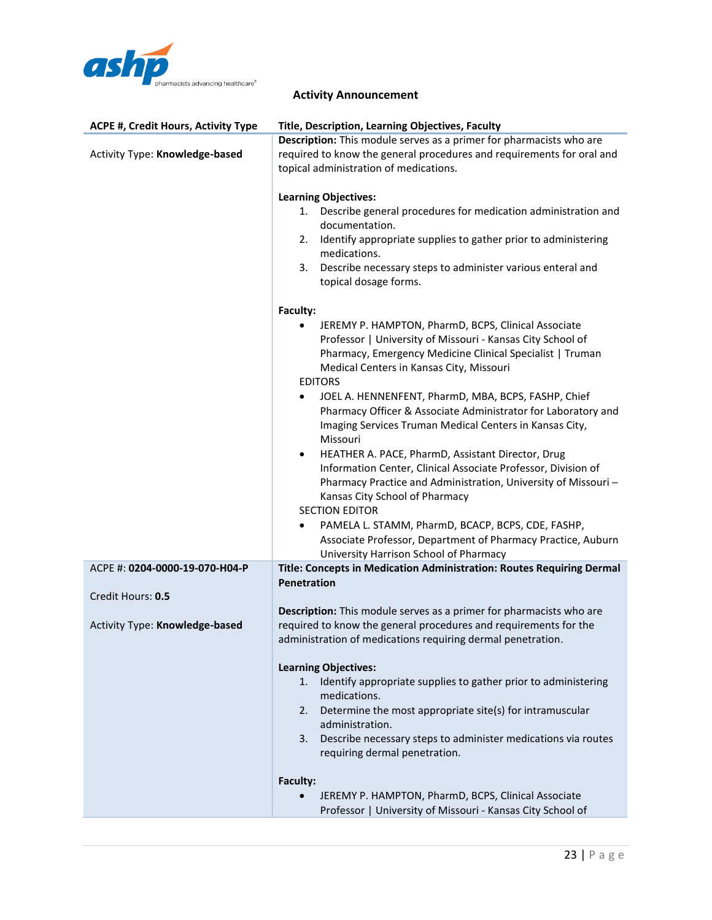

| <b>ACPE #, Credit Hours, Activity Type</b> | Title, Description, Learning Objectives, Faculty                                                                                                                                                                                                            |
|--------------------------------------------|-------------------------------------------------------------------------------------------------------------------------------------------------------------------------------------------------------------------------------------------------------------|
| Activity Type: Knowledge-based             | Description: This module serves as a primer for pharmacists who are<br>required to know the general procedures and requirements for oral and                                                                                                                |
|                                            | topical administration of medications.                                                                                                                                                                                                                      |
|                                            | <b>Learning Objectives:</b>                                                                                                                                                                                                                                 |
|                                            | Describe general procedures for medication administration and<br>1.<br>documentation.                                                                                                                                                                       |
|                                            | Identify appropriate supplies to gather prior to administering<br>2.<br>medications.                                                                                                                                                                        |
|                                            | Describe necessary steps to administer various enteral and<br>3.<br>topical dosage forms.                                                                                                                                                                   |
|                                            | Faculty:                                                                                                                                                                                                                                                    |
|                                            | JEREMY P. HAMPTON, PharmD, BCPS, Clinical Associate<br>Professor   University of Missouri - Kansas City School of<br>Pharmacy, Emergency Medicine Clinical Specialist   Truman<br>Medical Centers in Kansas City, Missouri<br><b>EDITORS</b>                |
|                                            | JOEL A. HENNENFENT, PharmD, MBA, BCPS, FASHP, Chief<br>٠<br>Pharmacy Officer & Associate Administrator for Laboratory and<br>Imaging Services Truman Medical Centers in Kansas City,<br>Missouri                                                            |
|                                            | HEATHER A. PACE, PharmD, Assistant Director, Drug<br>$\bullet$<br>Information Center, Clinical Associate Professor, Division of<br>Pharmacy Practice and Administration, University of Missouri-<br>Kansas City School of Pharmacy<br><b>SECTION EDITOR</b> |
|                                            | PAMELA L. STAMM, PharmD, BCACP, BCPS, CDE, FASHP,<br>$\bullet$<br>Associate Professor, Department of Pharmacy Practice, Auburn<br>University Harrison School of Pharmacy                                                                                    |
| ACPE #: 0204-0000-19-070-H04-P             | Title: Concepts in Medication Administration: Routes Requiring Dermal                                                                                                                                                                                       |
| Credit Hours: 0.5                          | Penetration                                                                                                                                                                                                                                                 |
| Activity Type: Knowledge-based             | Description: This module serves as a primer for pharmacists who are<br>required to know the general procedures and requirements for the<br>administration of medications requiring dermal penetration.                                                      |
|                                            | <b>Learning Objectives:</b>                                                                                                                                                                                                                                 |
|                                            | Identify appropriate supplies to gather prior to administering<br>1.<br>medications.                                                                                                                                                                        |
|                                            | Determine the most appropriate site(s) for intramuscular<br>2.<br>administration.                                                                                                                                                                           |
|                                            | 3. Describe necessary steps to administer medications via routes<br>requiring dermal penetration.                                                                                                                                                           |
|                                            | Faculty:                                                                                                                                                                                                                                                    |
|                                            | JEREMY P. HAMPTON, PharmD, BCPS, Clinical Associate<br>Professor   University of Missouri - Kansas City School of                                                                                                                                           |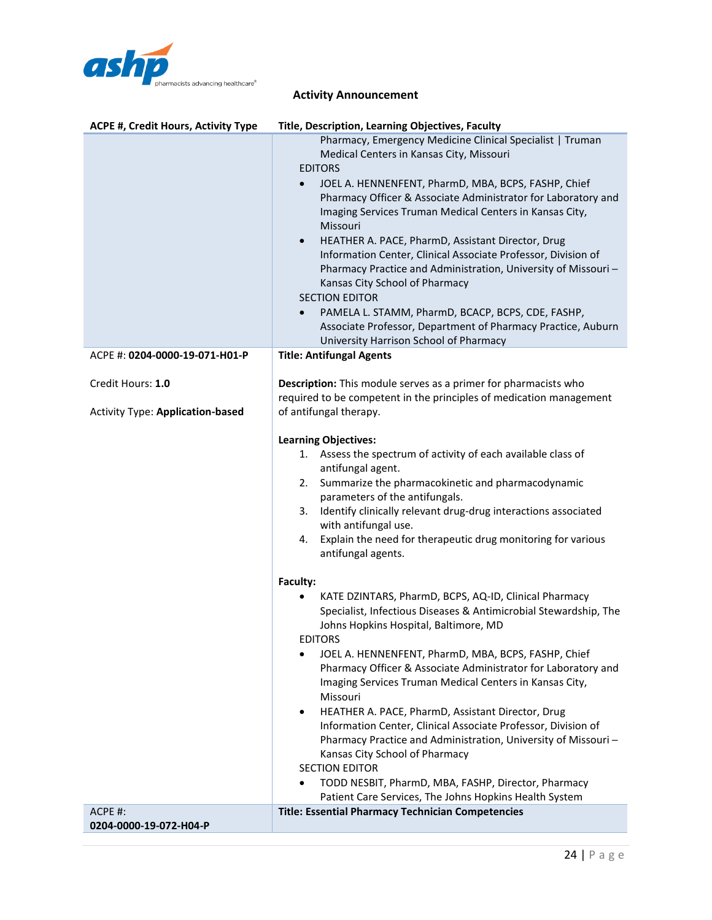

| ACPE #, Credit Hours, Activity Type                          | Title, Description, Learning Objectives, Faculty                                                                                                                                                                                                                                                                                                                                                                                                                                                                                                                                                                                                                                                                                                                                             |
|--------------------------------------------------------------|----------------------------------------------------------------------------------------------------------------------------------------------------------------------------------------------------------------------------------------------------------------------------------------------------------------------------------------------------------------------------------------------------------------------------------------------------------------------------------------------------------------------------------------------------------------------------------------------------------------------------------------------------------------------------------------------------------------------------------------------------------------------------------------------|
|                                                              | Pharmacy, Emergency Medicine Clinical Specialist   Truman<br>Medical Centers in Kansas City, Missouri<br><b>EDITORS</b><br>JOEL A. HENNENFENT, PharmD, MBA, BCPS, FASHP, Chief<br>Pharmacy Officer & Associate Administrator for Laboratory and<br>Imaging Services Truman Medical Centers in Kansas City,<br>Missouri<br>HEATHER A. PACE, PharmD, Assistant Director, Drug<br>$\bullet$<br>Information Center, Clinical Associate Professor, Division of<br>Pharmacy Practice and Administration, University of Missouri-<br>Kansas City School of Pharmacy<br><b>SECTION EDITOR</b><br>PAMELA L. STAMM, PharmD, BCACP, BCPS, CDE, FASHP,<br>$\bullet$<br>Associate Professor, Department of Pharmacy Practice, Auburn<br>University Harrison School of Pharmacy                            |
| ACPE #: 0204-0000-19-071-H01-P                               | <b>Title: Antifungal Agents</b>                                                                                                                                                                                                                                                                                                                                                                                                                                                                                                                                                                                                                                                                                                                                                              |
| Credit Hours: 1.0<br><b>Activity Type: Application-based</b> | Description: This module serves as a primer for pharmacists who<br>required to be competent in the principles of medication management<br>of antifungal therapy.                                                                                                                                                                                                                                                                                                                                                                                                                                                                                                                                                                                                                             |
|                                                              | <b>Learning Objectives:</b><br>1. Assess the spectrum of activity of each available class of<br>antifungal agent.<br>2. Summarize the pharmacokinetic and pharmacodynamic<br>parameters of the antifungals.<br>Identify clinically relevant drug-drug interactions associated<br>3.<br>with antifungal use.<br>Explain the need for therapeutic drug monitoring for various<br>4.<br>antifungal agents.                                                                                                                                                                                                                                                                                                                                                                                      |
|                                                              | Faculty:<br>KATE DZINTARS, PharmD, BCPS, AQ-ID, Clinical Pharmacy<br>Specialist, Infectious Diseases & Antimicrobial Stewardship, The<br>Johns Hopkins Hospital, Baltimore, MD<br><b>FDITORS</b><br>JOEL A. HENNENFENT, PharmD, MBA, BCPS, FASHP, Chief<br>$\bullet$<br>Pharmacy Officer & Associate Administrator for Laboratory and<br>Imaging Services Truman Medical Centers in Kansas City,<br>Missouri<br>HEATHER A. PACE, PharmD, Assistant Director, Drug<br>$\bullet$<br>Information Center, Clinical Associate Professor, Division of<br>Pharmacy Practice and Administration, University of Missouri-<br>Kansas City School of Pharmacy<br><b>SECTION EDITOR</b><br>TODD NESBIT, PharmD, MBA, FASHP, Director, Pharmacy<br>Patient Care Services, The Johns Hopkins Health System |
| ACPE #:<br>0204-0000-19-072-H04-P                            | <b>Title: Essential Pharmacy Technician Competencies</b>                                                                                                                                                                                                                                                                                                                                                                                                                                                                                                                                                                                                                                                                                                                                     |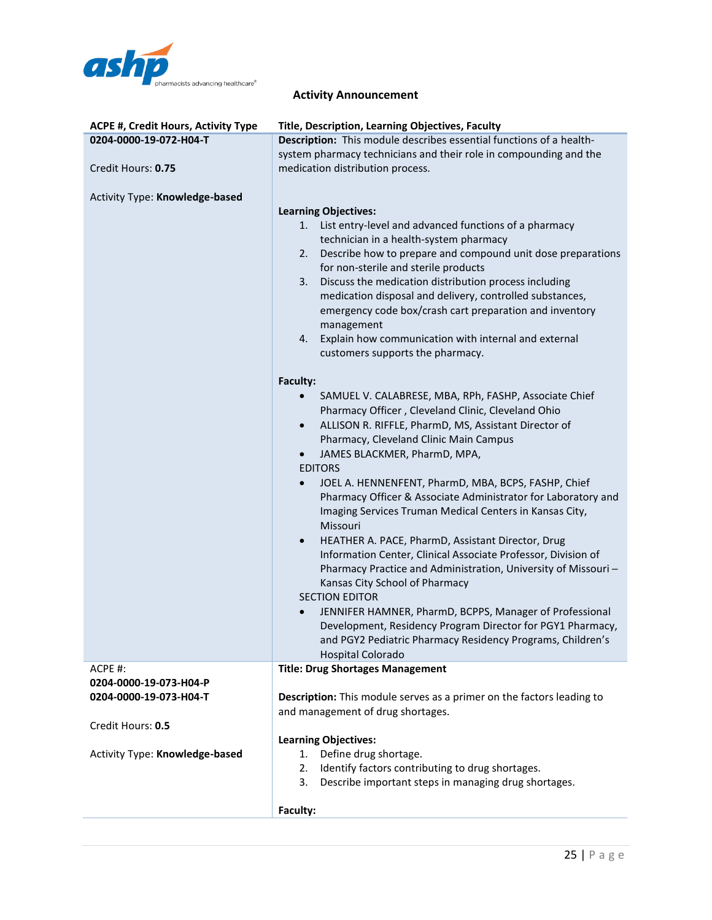

| ACPE #, Credit Hours, Activity Type | Title, Description, Learning Objectives, Faculty                                                                                                                                                                                                                                                                                                                                                                                                                                                                                                                                                                                                                                                                                                                                                                                                                                                                                                                                                                                                                                                                                                                                                                                                                                                                                                                                                                                                                                                                                                                                  |
|-------------------------------------|-----------------------------------------------------------------------------------------------------------------------------------------------------------------------------------------------------------------------------------------------------------------------------------------------------------------------------------------------------------------------------------------------------------------------------------------------------------------------------------------------------------------------------------------------------------------------------------------------------------------------------------------------------------------------------------------------------------------------------------------------------------------------------------------------------------------------------------------------------------------------------------------------------------------------------------------------------------------------------------------------------------------------------------------------------------------------------------------------------------------------------------------------------------------------------------------------------------------------------------------------------------------------------------------------------------------------------------------------------------------------------------------------------------------------------------------------------------------------------------------------------------------------------------------------------------------------------------|
| 0204-0000-19-072-H04-T              | Description: This module describes essential functions of a health-                                                                                                                                                                                                                                                                                                                                                                                                                                                                                                                                                                                                                                                                                                                                                                                                                                                                                                                                                                                                                                                                                                                                                                                                                                                                                                                                                                                                                                                                                                               |
|                                     | system pharmacy technicians and their role in compounding and the                                                                                                                                                                                                                                                                                                                                                                                                                                                                                                                                                                                                                                                                                                                                                                                                                                                                                                                                                                                                                                                                                                                                                                                                                                                                                                                                                                                                                                                                                                                 |
| Credit Hours: 0.75                  | medication distribution process.                                                                                                                                                                                                                                                                                                                                                                                                                                                                                                                                                                                                                                                                                                                                                                                                                                                                                                                                                                                                                                                                                                                                                                                                                                                                                                                                                                                                                                                                                                                                                  |
| Activity Type: Knowledge-based      | <b>Learning Objectives:</b><br>List entry-level and advanced functions of a pharmacy<br>1.<br>technician in a health-system pharmacy<br>Describe how to prepare and compound unit dose preparations<br>2.<br>for non-sterile and sterile products<br>Discuss the medication distribution process including<br>3.<br>medication disposal and delivery, controlled substances,<br>emergency code box/crash cart preparation and inventory<br>management<br>Explain how communication with internal and external<br>4.<br>customers supports the pharmacy.<br>Faculty:<br>SAMUEL V. CALABRESE, MBA, RPh, FASHP, Associate Chief<br>$\bullet$<br>Pharmacy Officer, Cleveland Clinic, Cleveland Ohio<br>ALLISON R. RIFFLE, PharmD, MS, Assistant Director of<br>$\bullet$<br>Pharmacy, Cleveland Clinic Main Campus<br>JAMES BLACKMER, PharmD, MPA,<br>$\bullet$<br><b>EDITORS</b><br>JOEL A. HENNENFENT, PharmD, MBA, BCPS, FASHP, Chief<br>$\bullet$<br>Pharmacy Officer & Associate Administrator for Laboratory and<br>Imaging Services Truman Medical Centers in Kansas City,<br>Missouri<br>HEATHER A. PACE, PharmD, Assistant Director, Drug<br>$\bullet$<br>Information Center, Clinical Associate Professor, Division of<br>Pharmacy Practice and Administration, University of Missouri-<br>Kansas City School of Pharmacy<br><b>SECTION EDITOR</b><br>JENNIFER HAMNER, PharmD, BCPPS, Manager of Professional<br>$\bullet$<br>Development, Residency Program Director for PGY1 Pharmacy,<br>and PGY2 Pediatric Pharmacy Residency Programs, Children's<br>Hospital Colorado |
| ACPE #:                             | <b>Title: Drug Shortages Management</b>                                                                                                                                                                                                                                                                                                                                                                                                                                                                                                                                                                                                                                                                                                                                                                                                                                                                                                                                                                                                                                                                                                                                                                                                                                                                                                                                                                                                                                                                                                                                           |
| 0204-0000-19-073-H04-P              |                                                                                                                                                                                                                                                                                                                                                                                                                                                                                                                                                                                                                                                                                                                                                                                                                                                                                                                                                                                                                                                                                                                                                                                                                                                                                                                                                                                                                                                                                                                                                                                   |
| 0204-0000-19-073-H04-T              | Description: This module serves as a primer on the factors leading to                                                                                                                                                                                                                                                                                                                                                                                                                                                                                                                                                                                                                                                                                                                                                                                                                                                                                                                                                                                                                                                                                                                                                                                                                                                                                                                                                                                                                                                                                                             |
|                                     | and management of drug shortages.                                                                                                                                                                                                                                                                                                                                                                                                                                                                                                                                                                                                                                                                                                                                                                                                                                                                                                                                                                                                                                                                                                                                                                                                                                                                                                                                                                                                                                                                                                                                                 |
| Credit Hours: 0.5                   |                                                                                                                                                                                                                                                                                                                                                                                                                                                                                                                                                                                                                                                                                                                                                                                                                                                                                                                                                                                                                                                                                                                                                                                                                                                                                                                                                                                                                                                                                                                                                                                   |
|                                     | <b>Learning Objectives:</b>                                                                                                                                                                                                                                                                                                                                                                                                                                                                                                                                                                                                                                                                                                                                                                                                                                                                                                                                                                                                                                                                                                                                                                                                                                                                                                                                                                                                                                                                                                                                                       |
| Activity Type: Knowledge-based      | Define drug shortage.<br>1.                                                                                                                                                                                                                                                                                                                                                                                                                                                                                                                                                                                                                                                                                                                                                                                                                                                                                                                                                                                                                                                                                                                                                                                                                                                                                                                                                                                                                                                                                                                                                       |
|                                     | Identify factors contributing to drug shortages.<br>2.<br>Describe important steps in managing drug shortages.<br>3.                                                                                                                                                                                                                                                                                                                                                                                                                                                                                                                                                                                                                                                                                                                                                                                                                                                                                                                                                                                                                                                                                                                                                                                                                                                                                                                                                                                                                                                              |
|                                     |                                                                                                                                                                                                                                                                                                                                                                                                                                                                                                                                                                                                                                                                                                                                                                                                                                                                                                                                                                                                                                                                                                                                                                                                                                                                                                                                                                                                                                                                                                                                                                                   |
|                                     | Faculty:                                                                                                                                                                                                                                                                                                                                                                                                                                                                                                                                                                                                                                                                                                                                                                                                                                                                                                                                                                                                                                                                                                                                                                                                                                                                                                                                                                                                                                                                                                                                                                          |
|                                     |                                                                                                                                                                                                                                                                                                                                                                                                                                                                                                                                                                                                                                                                                                                                                                                                                                                                                                                                                                                                                                                                                                                                                                                                                                                                                                                                                                                                                                                                                                                                                                                   |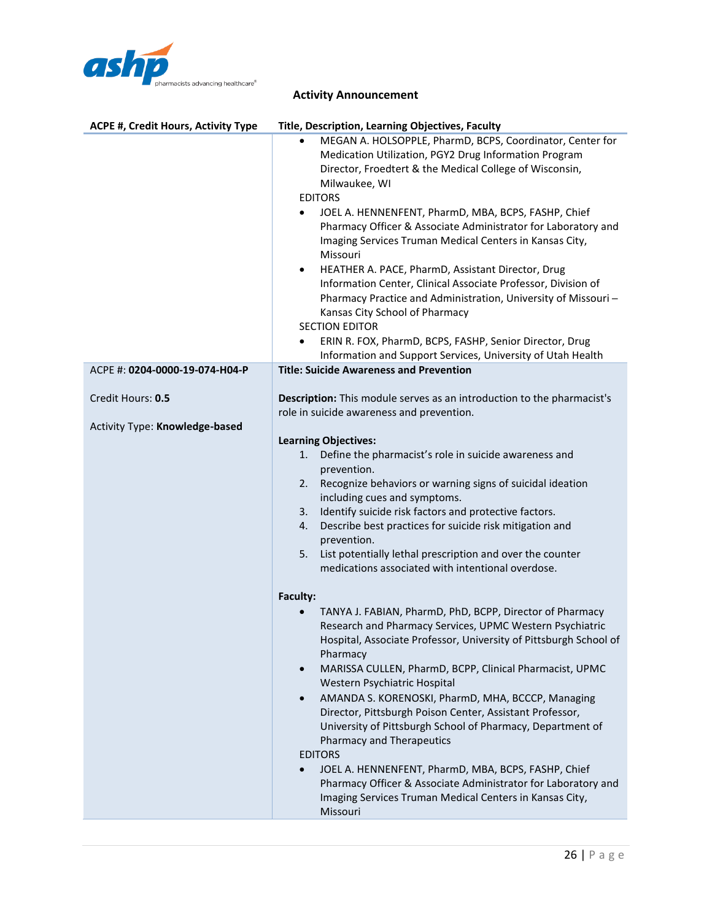

| <b>ACPE #, Credit Hours, Activity Type</b>          | Title, Description, Learning Objectives, Faculty                                                                                                                                                                                                                                                                                                                                                                                                                                                                                                                                                                                                                                                                                                                                                                                                |
|-----------------------------------------------------|-------------------------------------------------------------------------------------------------------------------------------------------------------------------------------------------------------------------------------------------------------------------------------------------------------------------------------------------------------------------------------------------------------------------------------------------------------------------------------------------------------------------------------------------------------------------------------------------------------------------------------------------------------------------------------------------------------------------------------------------------------------------------------------------------------------------------------------------------|
|                                                     | MEGAN A. HOLSOPPLE, PharmD, BCPS, Coordinator, Center for<br>$\bullet$<br>Medication Utilization, PGY2 Drug Information Program<br>Director, Froedtert & the Medical College of Wisconsin,<br>Milwaukee, WI<br><b>EDITORS</b><br>JOEL A. HENNENFENT, PharmD, MBA, BCPS, FASHP, Chief<br>$\bullet$<br>Pharmacy Officer & Associate Administrator for Laboratory and<br>Imaging Services Truman Medical Centers in Kansas City,<br>Missouri<br>HEATHER A. PACE, PharmD, Assistant Director, Drug<br>$\bullet$<br>Information Center, Clinical Associate Professor, Division of<br>Pharmacy Practice and Administration, University of Missouri-<br>Kansas City School of Pharmacy<br><b>SECTION EDITOR</b><br>ERIN R. FOX, PharmD, BCPS, FASHP, Senior Director, Drug<br>$\bullet$<br>Information and Support Services, University of Utah Health |
| ACPE #: 0204-0000-19-074-H04-P                      | <b>Title: Suicide Awareness and Prevention</b>                                                                                                                                                                                                                                                                                                                                                                                                                                                                                                                                                                                                                                                                                                                                                                                                  |
| Credit Hours: 0.5<br>Activity Type: Knowledge-based | Description: This module serves as an introduction to the pharmacist's<br>role in suicide awareness and prevention.                                                                                                                                                                                                                                                                                                                                                                                                                                                                                                                                                                                                                                                                                                                             |
|                                                     | <b>Learning Objectives:</b>                                                                                                                                                                                                                                                                                                                                                                                                                                                                                                                                                                                                                                                                                                                                                                                                                     |
|                                                     | 1.<br>Define the pharmacist's role in suicide awareness and<br>prevention.                                                                                                                                                                                                                                                                                                                                                                                                                                                                                                                                                                                                                                                                                                                                                                      |
|                                                     | Recognize behaviors or warning signs of suicidal ideation<br>2.                                                                                                                                                                                                                                                                                                                                                                                                                                                                                                                                                                                                                                                                                                                                                                                 |
|                                                     | including cues and symptoms.                                                                                                                                                                                                                                                                                                                                                                                                                                                                                                                                                                                                                                                                                                                                                                                                                    |
|                                                     | Identify suicide risk factors and protective factors.<br>3.                                                                                                                                                                                                                                                                                                                                                                                                                                                                                                                                                                                                                                                                                                                                                                                     |
|                                                     | Describe best practices for suicide risk mitigation and<br>4.                                                                                                                                                                                                                                                                                                                                                                                                                                                                                                                                                                                                                                                                                                                                                                                   |
|                                                     | prevention.<br>List potentially lethal prescription and over the counter<br>5.                                                                                                                                                                                                                                                                                                                                                                                                                                                                                                                                                                                                                                                                                                                                                                  |
|                                                     | medications associated with intentional overdose.                                                                                                                                                                                                                                                                                                                                                                                                                                                                                                                                                                                                                                                                                                                                                                                               |
|                                                     |                                                                                                                                                                                                                                                                                                                                                                                                                                                                                                                                                                                                                                                                                                                                                                                                                                                 |
|                                                     | Faculty:<br>TANYA J. FABIAN, PharmD, PhD, BCPP, Director of Pharmacy                                                                                                                                                                                                                                                                                                                                                                                                                                                                                                                                                                                                                                                                                                                                                                            |
|                                                     | Research and Pharmacy Services, UPMC Western Psychiatric                                                                                                                                                                                                                                                                                                                                                                                                                                                                                                                                                                                                                                                                                                                                                                                        |
|                                                     | Hospital, Associate Professor, University of Pittsburgh School of<br>Pharmacy                                                                                                                                                                                                                                                                                                                                                                                                                                                                                                                                                                                                                                                                                                                                                                   |
|                                                     | MARISSA CULLEN, PharmD, BCPP, Clinical Pharmacist, UPMC<br>$\bullet$                                                                                                                                                                                                                                                                                                                                                                                                                                                                                                                                                                                                                                                                                                                                                                            |
|                                                     | Western Psychiatric Hospital                                                                                                                                                                                                                                                                                                                                                                                                                                                                                                                                                                                                                                                                                                                                                                                                                    |
|                                                     | AMANDA S. KORENOSKI, PharmD, MHA, BCCCP, Managing<br>$\bullet$<br>Director, Pittsburgh Poison Center, Assistant Professor,                                                                                                                                                                                                                                                                                                                                                                                                                                                                                                                                                                                                                                                                                                                      |
|                                                     | University of Pittsburgh School of Pharmacy, Department of<br><b>Pharmacy and Therapeutics</b>                                                                                                                                                                                                                                                                                                                                                                                                                                                                                                                                                                                                                                                                                                                                                  |
|                                                     | <b>EDITORS</b>                                                                                                                                                                                                                                                                                                                                                                                                                                                                                                                                                                                                                                                                                                                                                                                                                                  |
|                                                     | JOEL A. HENNENFENT, PharmD, MBA, BCPS, FASHP, Chief                                                                                                                                                                                                                                                                                                                                                                                                                                                                                                                                                                                                                                                                                                                                                                                             |
|                                                     | Pharmacy Officer & Associate Administrator for Laboratory and<br>Imaging Services Truman Medical Centers in Kansas City,                                                                                                                                                                                                                                                                                                                                                                                                                                                                                                                                                                                                                                                                                                                        |
|                                                     | Missouri                                                                                                                                                                                                                                                                                                                                                                                                                                                                                                                                                                                                                                                                                                                                                                                                                                        |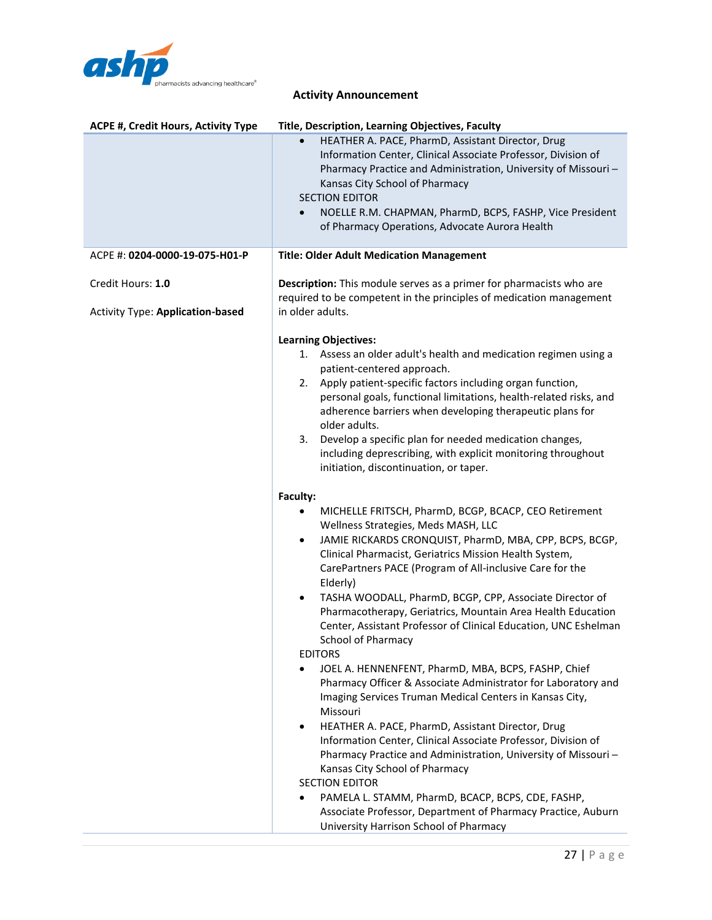

| <b>ACPE #, Credit Hours, Activity Type</b>                   | Title, Description, Learning Objectives, Faculty                                                                                                                                                                                                                                                                                                                                                                                                                                                                                                                                                                                                                                                                                                                                                                                                                                                                                                                                                                                                                                                                                                                                                                                                                                                                                                                                                                                                                                                                                                                                                                 |
|--------------------------------------------------------------|------------------------------------------------------------------------------------------------------------------------------------------------------------------------------------------------------------------------------------------------------------------------------------------------------------------------------------------------------------------------------------------------------------------------------------------------------------------------------------------------------------------------------------------------------------------------------------------------------------------------------------------------------------------------------------------------------------------------------------------------------------------------------------------------------------------------------------------------------------------------------------------------------------------------------------------------------------------------------------------------------------------------------------------------------------------------------------------------------------------------------------------------------------------------------------------------------------------------------------------------------------------------------------------------------------------------------------------------------------------------------------------------------------------------------------------------------------------------------------------------------------------------------------------------------------------------------------------------------------------|
|                                                              | HEATHER A. PACE, PharmD, Assistant Director, Drug<br>Information Center, Clinical Associate Professor, Division of<br>Pharmacy Practice and Administration, University of Missouri-<br>Kansas City School of Pharmacy<br><b>SECTION EDITOR</b><br>NOELLE R.M. CHAPMAN, PharmD, BCPS, FASHP, Vice President<br>$\bullet$<br>of Pharmacy Operations, Advocate Aurora Health                                                                                                                                                                                                                                                                                                                                                                                                                                                                                                                                                                                                                                                                                                                                                                                                                                                                                                                                                                                                                                                                                                                                                                                                                                        |
| ACPE #: 0204-0000-19-075-H01-P                               | <b>Title: Older Adult Medication Management</b>                                                                                                                                                                                                                                                                                                                                                                                                                                                                                                                                                                                                                                                                                                                                                                                                                                                                                                                                                                                                                                                                                                                                                                                                                                                                                                                                                                                                                                                                                                                                                                  |
| Credit Hours: 1.0<br><b>Activity Type: Application-based</b> | <b>Description:</b> This module serves as a primer for pharmacists who are<br>required to be competent in the principles of medication management<br>in older adults.                                                                                                                                                                                                                                                                                                                                                                                                                                                                                                                                                                                                                                                                                                                                                                                                                                                                                                                                                                                                                                                                                                                                                                                                                                                                                                                                                                                                                                            |
|                                                              | <b>Learning Objectives:</b><br>1. Assess an older adult's health and medication regimen using a<br>patient-centered approach.<br>Apply patient-specific factors including organ function,<br>2.<br>personal goals, functional limitations, health-related risks, and<br>adherence barriers when developing therapeutic plans for<br>older adults.<br>Develop a specific plan for needed medication changes,<br>3.<br>including deprescribing, with explicit monitoring throughout<br>initiation, discontinuation, or taper.<br>Faculty:<br>MICHELLE FRITSCH, PharmD, BCGP, BCACP, CEO Retirement<br>Wellness Strategies, Meds MASH, LLC<br>JAMIE RICKARDS CRONQUIST, PharmD, MBA, CPP, BCPS, BCGP,<br>٠<br>Clinical Pharmacist, Geriatrics Mission Health System,<br>CarePartners PACE (Program of All-inclusive Care for the<br>Elderly)<br>TASHA WOODALL, PharmD, BCGP, CPP, Associate Director of<br>٠<br>Pharmacotherapy, Geriatrics, Mountain Area Health Education<br>Center, Assistant Professor of Clinical Education, UNC Eshelman<br>School of Pharmacy<br><b>EDITORS</b><br>JOEL A. HENNENFENT, PharmD, MBA, BCPS, FASHP, Chief<br>$\bullet$<br>Pharmacy Officer & Associate Administrator for Laboratory and<br>Imaging Services Truman Medical Centers in Kansas City,<br>Missouri<br>HEATHER A. PACE, PharmD, Assistant Director, Drug<br>٠<br>Information Center, Clinical Associate Professor, Division of<br>Pharmacy Practice and Administration, University of Missouri-<br>Kansas City School of Pharmacy<br><b>SECTION EDITOR</b><br>PAMELA L. STAMM, PharmD, BCACP, BCPS, CDE, FASHP,<br>٠ |
|                                                              | Associate Professor, Department of Pharmacy Practice, Auburn<br>University Harrison School of Pharmacy                                                                                                                                                                                                                                                                                                                                                                                                                                                                                                                                                                                                                                                                                                                                                                                                                                                                                                                                                                                                                                                                                                                                                                                                                                                                                                                                                                                                                                                                                                           |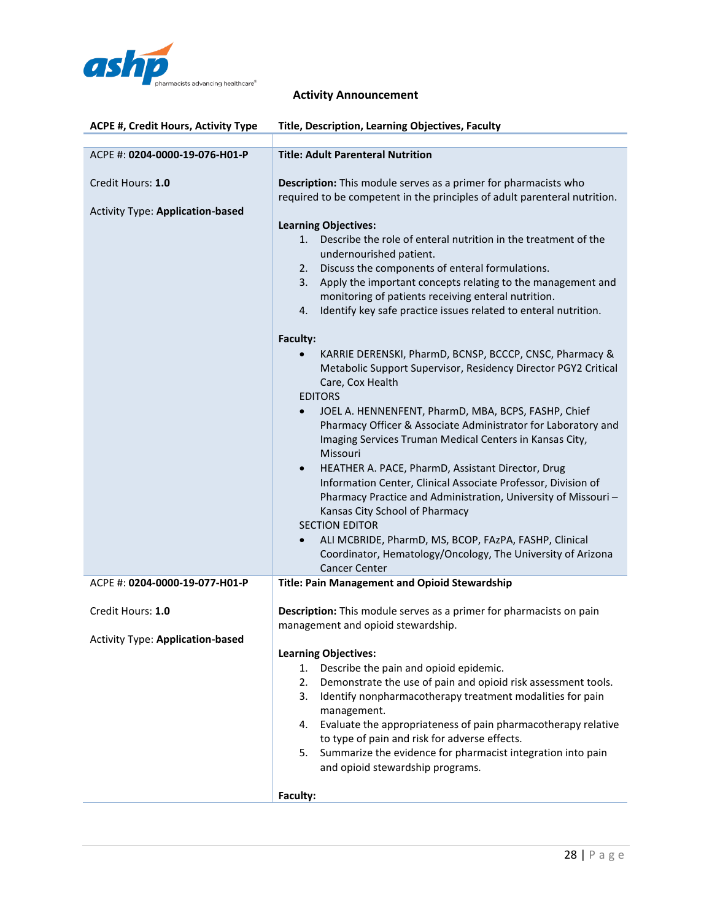

| <b>ACPE #, Credit Hours, Activity Type</b>                   | Title, Description, Learning Objectives, Faculty                                                                                                                                                                                                                                                                                                                                                                                                                                                                                                                                                                                                                                                                                             |
|--------------------------------------------------------------|----------------------------------------------------------------------------------------------------------------------------------------------------------------------------------------------------------------------------------------------------------------------------------------------------------------------------------------------------------------------------------------------------------------------------------------------------------------------------------------------------------------------------------------------------------------------------------------------------------------------------------------------------------------------------------------------------------------------------------------------|
|                                                              |                                                                                                                                                                                                                                                                                                                                                                                                                                                                                                                                                                                                                                                                                                                                              |
| ACPE #: 0204-0000-19-076-H01-P                               | <b>Title: Adult Parenteral Nutrition</b>                                                                                                                                                                                                                                                                                                                                                                                                                                                                                                                                                                                                                                                                                                     |
| Credit Hours: 1.0<br><b>Activity Type: Application-based</b> | <b>Description:</b> This module serves as a primer for pharmacists who<br>required to be competent in the principles of adult parenteral nutrition.<br><b>Learning Objectives:</b><br>Describe the role of enteral nutrition in the treatment of the<br>1.<br>undernourished patient.<br>Discuss the components of enteral formulations.<br>2.<br>Apply the important concepts relating to the management and<br>3.<br>monitoring of patients receiving enteral nutrition.<br>Identify key safe practice issues related to enteral nutrition.<br>4.<br><b>Faculty:</b><br>KARRIE DERENSKI, PharmD, BCNSP, BCCCP, CNSC, Pharmacy &                                                                                                            |
|                                                              | Metabolic Support Supervisor, Residency Director PGY2 Critical<br>Care, Cox Health<br><b>EDITORS</b><br>JOEL A. HENNENFENT, PharmD, MBA, BCPS, FASHP, Chief<br>$\bullet$<br>Pharmacy Officer & Associate Administrator for Laboratory and<br>Imaging Services Truman Medical Centers in Kansas City,<br>Missouri<br>HEATHER A. PACE, PharmD, Assistant Director, Drug<br>$\bullet$<br>Information Center, Clinical Associate Professor, Division of<br>Pharmacy Practice and Administration, University of Missouri-<br>Kansas City School of Pharmacy<br><b>SECTION EDITOR</b><br>ALI MCBRIDE, PharmD, MS, BCOP, FAzPA, FASHP, Clinical<br>$\bullet$<br>Coordinator, Hematology/Oncology, The University of Arizona<br><b>Cancer Center</b> |
| ACPE #: 0204-0000-19-077-H01-P                               | Title: Pain Management and Opioid Stewardship                                                                                                                                                                                                                                                                                                                                                                                                                                                                                                                                                                                                                                                                                                |
| Credit Hours: 1.0<br>Activity Type: Application-based        | Description: This module serves as a primer for pharmacists on pain<br>management and opioid stewardship.                                                                                                                                                                                                                                                                                                                                                                                                                                                                                                                                                                                                                                    |
|                                                              | <b>Learning Objectives:</b>                                                                                                                                                                                                                                                                                                                                                                                                                                                                                                                                                                                                                                                                                                                  |
|                                                              | 1.<br>Describe the pain and opioid epidemic.<br>2.<br>Demonstrate the use of pain and opioid risk assessment tools.                                                                                                                                                                                                                                                                                                                                                                                                                                                                                                                                                                                                                          |
|                                                              | 3.<br>Identify nonpharmacotherapy treatment modalities for pain<br>management.<br>Evaluate the appropriateness of pain pharmacotherapy relative<br>4.<br>to type of pain and risk for adverse effects.<br>5. Summarize the evidence for pharmacist integration into pain<br>and opioid stewardship programs.                                                                                                                                                                                                                                                                                                                                                                                                                                 |
|                                                              | Faculty:                                                                                                                                                                                                                                                                                                                                                                                                                                                                                                                                                                                                                                                                                                                                     |
|                                                              |                                                                                                                                                                                                                                                                                                                                                                                                                                                                                                                                                                                                                                                                                                                                              |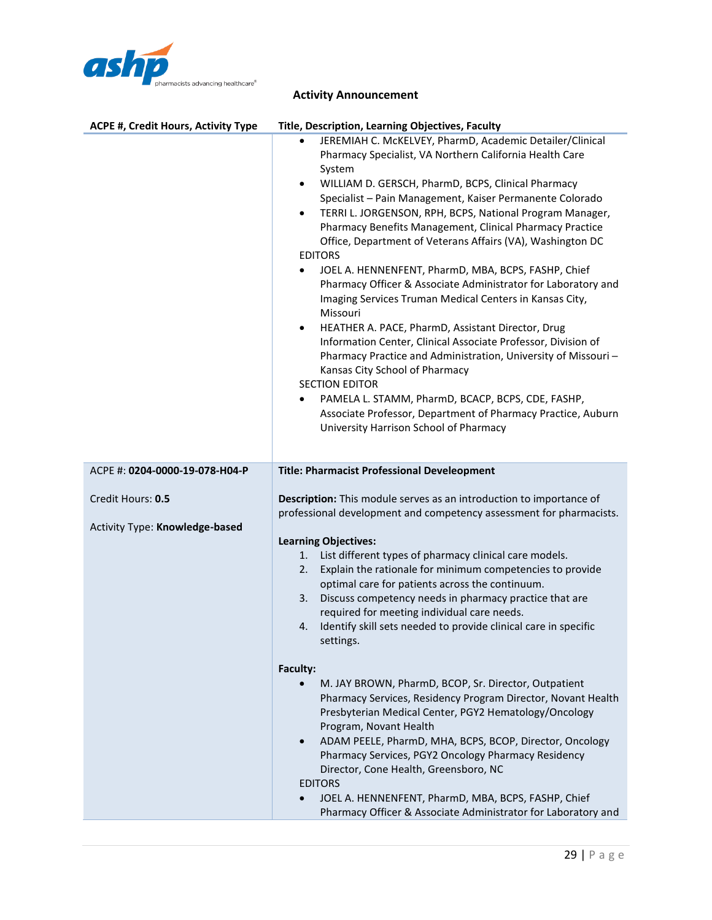

| ACPE #, Credit Hours, Activity Type                 | <b>Title, Description, Learning Objectives, Faculty</b>                                                                                                                                                                                                                                                                                                                                                                                                                                                                                                                                                                                                                                                                                                                                                                                                                                                                                                                                                                                                                                                                     |
|-----------------------------------------------------|-----------------------------------------------------------------------------------------------------------------------------------------------------------------------------------------------------------------------------------------------------------------------------------------------------------------------------------------------------------------------------------------------------------------------------------------------------------------------------------------------------------------------------------------------------------------------------------------------------------------------------------------------------------------------------------------------------------------------------------------------------------------------------------------------------------------------------------------------------------------------------------------------------------------------------------------------------------------------------------------------------------------------------------------------------------------------------------------------------------------------------|
|                                                     | JEREMIAH C. McKELVEY, PharmD, Academic Detailer/Clinical<br>Pharmacy Specialist, VA Northern California Health Care<br>System<br>WILLIAM D. GERSCH, PharmD, BCPS, Clinical Pharmacy<br>$\bullet$<br>Specialist - Pain Management, Kaiser Permanente Colorado<br>TERRI L. JORGENSON, RPH, BCPS, National Program Manager,<br>$\bullet$<br>Pharmacy Benefits Management, Clinical Pharmacy Practice<br>Office, Department of Veterans Affairs (VA), Washington DC<br><b>EDITORS</b><br>JOEL A. HENNENFENT, PharmD, MBA, BCPS, FASHP, Chief<br>$\bullet$<br>Pharmacy Officer & Associate Administrator for Laboratory and<br>Imaging Services Truman Medical Centers in Kansas City,<br>Missouri<br>HEATHER A. PACE, PharmD, Assistant Director, Drug<br>$\bullet$<br>Information Center, Clinical Associate Professor, Division of<br>Pharmacy Practice and Administration, University of Missouri-<br>Kansas City School of Pharmacy<br><b>SECTION EDITOR</b><br>PAMELA L. STAMM, PharmD, BCACP, BCPS, CDE, FASHP,<br>Associate Professor, Department of Pharmacy Practice, Auburn<br>University Harrison School of Pharmacy |
| ACPE #: 0204-0000-19-078-H04-P                      | <b>Title: Pharmacist Professional Develeopment</b>                                                                                                                                                                                                                                                                                                                                                                                                                                                                                                                                                                                                                                                                                                                                                                                                                                                                                                                                                                                                                                                                          |
| Credit Hours: 0.5<br>Activity Type: Knowledge-based | Description: This module serves as an introduction to importance of<br>professional development and competency assessment for pharmacists.<br><b>Learning Objectives:</b><br>List different types of pharmacy clinical care models.<br>1.<br>Explain the rationale for minimum competencies to provide<br>2.<br>optimal care for patients across the continuum.<br>Discuss competency needs in pharmacy practice that are<br>3.<br>required for meeting individual care needs.<br>Identify skill sets needed to provide clinical care in specific<br>4.<br>settings.                                                                                                                                                                                                                                                                                                                                                                                                                                                                                                                                                        |
|                                                     | Faculty:<br>M. JAY BROWN, PharmD, BCOP, Sr. Director, Outpatient<br>Pharmacy Services, Residency Program Director, Novant Health<br>Presbyterian Medical Center, PGY2 Hematology/Oncology<br>Program, Novant Health<br>ADAM PEELE, PharmD, MHA, BCPS, BCOP, Director, Oncology<br>$\bullet$<br>Pharmacy Services, PGY2 Oncology Pharmacy Residency<br>Director, Cone Health, Greensboro, NC<br><b>EDITORS</b><br>JOEL A. HENNENFENT, PharmD, MBA, BCPS, FASHP, Chief<br>Pharmacy Officer & Associate Administrator for Laboratory and                                                                                                                                                                                                                                                                                                                                                                                                                                                                                                                                                                                       |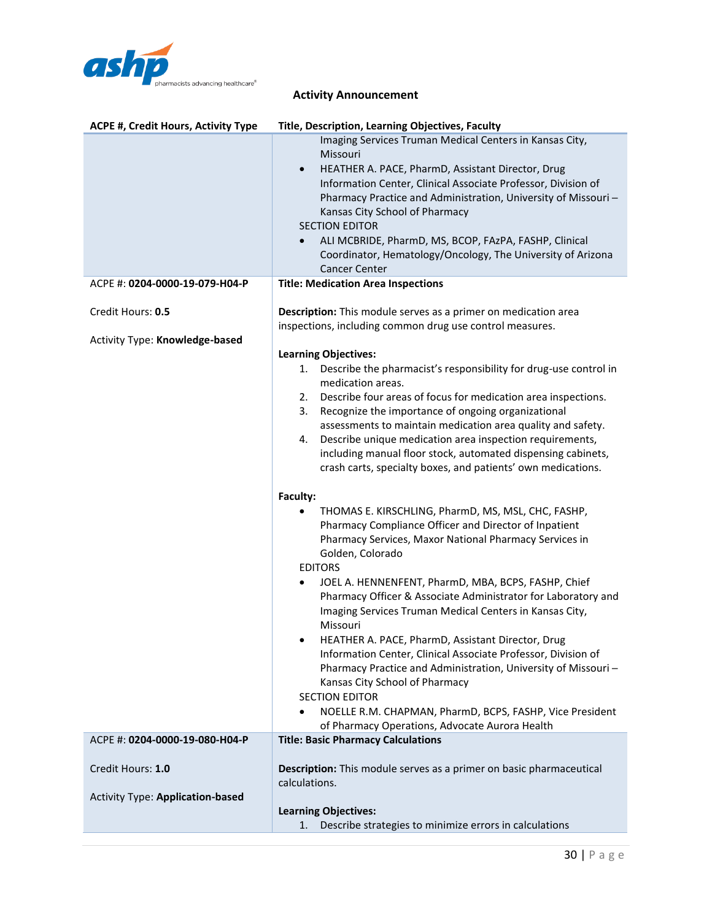

| <b>ACPE #, Credit Hours, Activity Type</b>          | Title, Description, Learning Objectives, Faculty                                                                                                                                                                                                                                                                                                                                                                                                                                                |
|-----------------------------------------------------|-------------------------------------------------------------------------------------------------------------------------------------------------------------------------------------------------------------------------------------------------------------------------------------------------------------------------------------------------------------------------------------------------------------------------------------------------------------------------------------------------|
|                                                     | Imaging Services Truman Medical Centers in Kansas City,<br>Missouri<br>HEATHER A. PACE, PharmD, Assistant Director, Drug<br>$\bullet$<br>Information Center, Clinical Associate Professor, Division of<br>Pharmacy Practice and Administration, University of Missouri-<br>Kansas City School of Pharmacy<br><b>SECTION EDITOR</b><br>ALI MCBRIDE, PharmD, MS, BCOP, FAzPA, FASHP, Clinical<br>$\bullet$<br>Coordinator, Hematology/Oncology, The University of Arizona<br><b>Cancer Center</b> |
| ACPE #: 0204-0000-19-079-H04-P                      | <b>Title: Medication Area Inspections</b>                                                                                                                                                                                                                                                                                                                                                                                                                                                       |
| Credit Hours: 0.5<br>Activity Type: Knowledge-based | Description: This module serves as a primer on medication area<br>inspections, including common drug use control measures.                                                                                                                                                                                                                                                                                                                                                                      |
|                                                     | <b>Learning Objectives:</b>                                                                                                                                                                                                                                                                                                                                                                                                                                                                     |
|                                                     | Describe the pharmacist's responsibility for drug-use control in<br>1.<br>medication areas.                                                                                                                                                                                                                                                                                                                                                                                                     |
|                                                     | Describe four areas of focus for medication area inspections.<br>2.<br>Recognize the importance of ongoing organizational<br>3.                                                                                                                                                                                                                                                                                                                                                                 |
|                                                     | assessments to maintain medication area quality and safety.<br>Describe unique medication area inspection requirements,<br>4.<br>including manual floor stock, automated dispensing cabinets,<br>crash carts, specialty boxes, and patients' own medications.                                                                                                                                                                                                                                   |
|                                                     | Faculty:<br>THOMAS E. KIRSCHLING, PharmD, MS, MSL, CHC, FASHP,<br>Pharmacy Compliance Officer and Director of Inpatient<br>Pharmacy Services, Maxor National Pharmacy Services in<br>Golden, Colorado                                                                                                                                                                                                                                                                                           |
|                                                     | <b>EDITORS</b><br>JOEL A. HENNENFENT, PharmD, MBA, BCPS, FASHP, Chief<br>٠<br>Pharmacy Officer & Associate Administrator for Laboratory and<br>Imaging Services Truman Medical Centers in Kansas City,<br>Missouri                                                                                                                                                                                                                                                                              |
|                                                     | HEATHER A. PACE, PharmD, Assistant Director, Drug<br>Information Center, Clinical Associate Professor, Division of<br>Pharmacy Practice and Administration, University of Missouri-<br>Kansas City School of Pharmacy<br><b>SECTION EDITOR</b>                                                                                                                                                                                                                                                  |
|                                                     | NOELLE R.M. CHAPMAN, PharmD, BCPS, FASHP, Vice President<br>of Pharmacy Operations, Advocate Aurora Health                                                                                                                                                                                                                                                                                                                                                                                      |
| ACPE #: 0204-0000-19-080-H04-P                      | <b>Title: Basic Pharmacy Calculations</b>                                                                                                                                                                                                                                                                                                                                                                                                                                                       |
| Credit Hours: 1.0                                   | Description: This module serves as a primer on basic pharmaceutical<br>calculations.                                                                                                                                                                                                                                                                                                                                                                                                            |
| <b>Activity Type: Application-based</b>             |                                                                                                                                                                                                                                                                                                                                                                                                                                                                                                 |
|                                                     | <b>Learning Objectives:</b>                                                                                                                                                                                                                                                                                                                                                                                                                                                                     |
|                                                     | Describe strategies to minimize errors in calculations<br>1.                                                                                                                                                                                                                                                                                                                                                                                                                                    |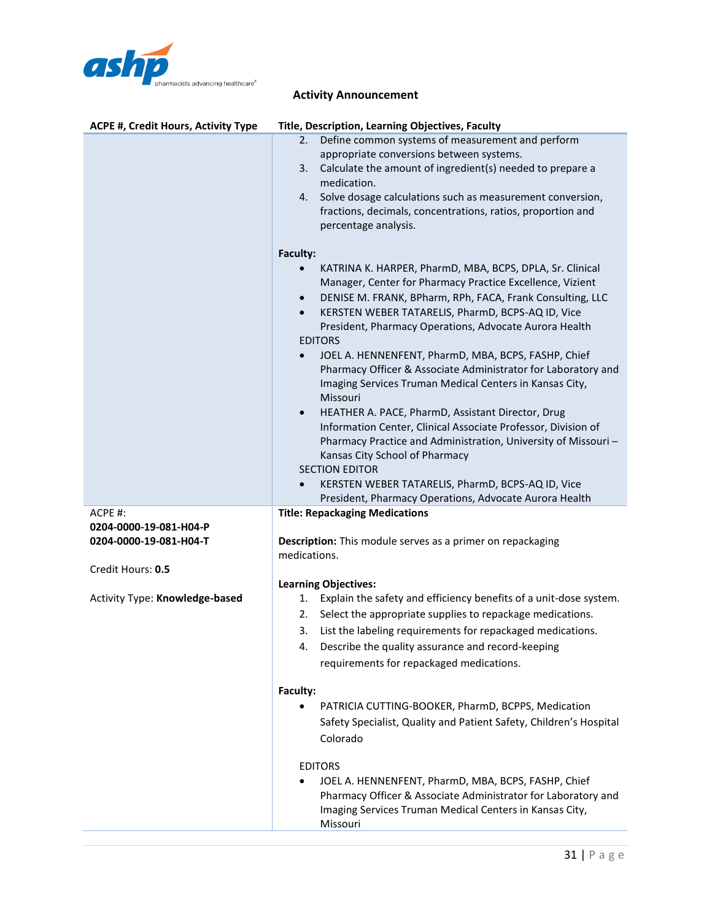

| ACPE #, Credit Hours, Activity Type | Title, Description, Learning Objectives, Faculty                                                |
|-------------------------------------|-------------------------------------------------------------------------------------------------|
|                                     | Define common systems of measurement and perform<br>2.                                          |
|                                     | appropriate conversions between systems.                                                        |
|                                     | Calculate the amount of ingredient(s) needed to prepare a<br>3.                                 |
|                                     | medication.                                                                                     |
|                                     | Solve dosage calculations such as measurement conversion,<br>4.                                 |
|                                     | fractions, decimals, concentrations, ratios, proportion and                                     |
|                                     | percentage analysis.                                                                            |
|                                     | Faculty:                                                                                        |
|                                     | KATRINA K. HARPER, PharmD, MBA, BCPS, DPLA, Sr. Clinical                                        |
|                                     | Manager, Center for Pharmacy Practice Excellence, Vizient                                       |
|                                     | DENISE M. FRANK, BPharm, RPh, FACA, Frank Consulting, LLC<br>$\bullet$                          |
|                                     | KERSTEN WEBER TATARELIS, PharmD, BCPS-AQ ID, Vice<br>$\bullet$                                  |
|                                     | President, Pharmacy Operations, Advocate Aurora Health                                          |
|                                     | <b>EDITORS</b>                                                                                  |
|                                     | JOEL A. HENNENFENT, PharmD, MBA, BCPS, FASHP, Chief<br>$\bullet$                                |
|                                     | Pharmacy Officer & Associate Administrator for Laboratory and                                   |
|                                     | Imaging Services Truman Medical Centers in Kansas City,                                         |
|                                     | Missouri                                                                                        |
|                                     | HEATHER A. PACE, PharmD, Assistant Director, Drug<br>$\bullet$                                  |
|                                     | Information Center, Clinical Associate Professor, Division of                                   |
|                                     | Pharmacy Practice and Administration, University of Missouri-                                   |
|                                     | Kansas City School of Pharmacy                                                                  |
|                                     | <b>SECTION EDITOR</b>                                                                           |
|                                     | KERSTEN WEBER TATARELIS, PharmD, BCPS-AQ ID, Vice<br>$\bullet$                                  |
| ACPE #:                             | President, Pharmacy Operations, Advocate Aurora Health<br><b>Title: Repackaging Medications</b> |
| 0204-0000-19-081-H04-P              |                                                                                                 |
| 0204-0000-19-081-H04-T              | <b>Description:</b> This module serves as a primer on repackaging                               |
|                                     | medications.                                                                                    |
| Credit Hours: 0.5                   |                                                                                                 |
|                                     | <b>Learning Objectives:</b>                                                                     |
| Activity Type: Knowledge-based      | Explain the safety and efficiency benefits of a unit-dose system.<br>1.                         |
|                                     | Select the appropriate supplies to repackage medications.<br>2.                                 |
|                                     | 3.<br>List the labeling requirements for repackaged medications.                                |
|                                     | Describe the quality assurance and record-keeping<br>4.                                         |
|                                     | requirements for repackaged medications.                                                        |
|                                     | Faculty:                                                                                        |
|                                     | PATRICIA CUTTING-BOOKER, PharmD, BCPPS, Medication                                              |
|                                     | Safety Specialist, Quality and Patient Safety, Children's Hospital                              |
|                                     | Colorado                                                                                        |
|                                     |                                                                                                 |
|                                     | <b>EDITORS</b>                                                                                  |
|                                     | JOEL A. HENNENFENT, PharmD, MBA, BCPS, FASHP, Chief                                             |
|                                     | Pharmacy Officer & Associate Administrator for Laboratory and                                   |
|                                     | Imaging Services Truman Medical Centers in Kansas City,                                         |

Missouri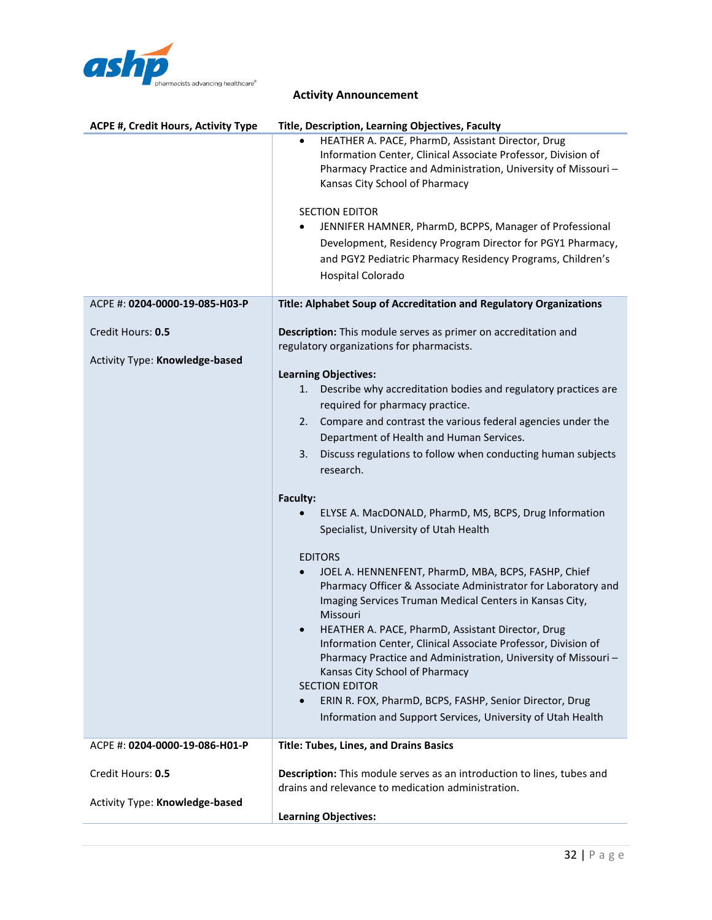

| ACPE #, Credit Hours, Activity Type                 | <b>Title, Description, Learning Objectives, Faculty</b>                                                                                                                                                                                                                                                                                                                                                                                                                                                                                                                                                                                                                                                               |
|-----------------------------------------------------|-----------------------------------------------------------------------------------------------------------------------------------------------------------------------------------------------------------------------------------------------------------------------------------------------------------------------------------------------------------------------------------------------------------------------------------------------------------------------------------------------------------------------------------------------------------------------------------------------------------------------------------------------------------------------------------------------------------------------|
|                                                     | HEATHER A. PACE, PharmD, Assistant Director, Drug<br>Information Center, Clinical Associate Professor, Division of<br>Pharmacy Practice and Administration, University of Missouri-<br>Kansas City School of Pharmacy<br><b>SECTION EDITOR</b><br>JENNIFER HAMNER, PharmD, BCPPS, Manager of Professional<br>Development, Residency Program Director for PGY1 Pharmacy,<br>and PGY2 Pediatric Pharmacy Residency Programs, Children's<br>Hospital Colorado                                                                                                                                                                                                                                                            |
| ACPE #: 0204-0000-19-085-H03-P                      | Title: Alphabet Soup of Accreditation and Regulatory Organizations                                                                                                                                                                                                                                                                                                                                                                                                                                                                                                                                                                                                                                                    |
| Credit Hours: 0.5<br>Activity Type: Knowledge-based | Description: This module serves as primer on accreditation and<br>regulatory organizations for pharmacists.<br><b>Learning Objectives:</b><br>Describe why accreditation bodies and regulatory practices are<br>1.<br>required for pharmacy practice.<br>Compare and contrast the various federal agencies under the<br>2.<br>Department of Health and Human Services.<br>Discuss regulations to follow when conducting human subjects<br>3.                                                                                                                                                                                                                                                                          |
|                                                     | research.                                                                                                                                                                                                                                                                                                                                                                                                                                                                                                                                                                                                                                                                                                             |
|                                                     | Faculty:<br>ELYSE A. MacDONALD, PharmD, MS, BCPS, Drug Information<br>Specialist, University of Utah Health<br><b>EDITORS</b><br>JOEL A. HENNENFENT, PharmD, MBA, BCPS, FASHP, Chief<br>Pharmacy Officer & Associate Administrator for Laboratory and<br>Imaging Services Truman Medical Centers in Kansas City,<br>Missouri<br>HEATHER A. PACE, PharmD, Assistant Director, Drug<br>Information Center, Clinical Associate Professor, Division of<br>Pharmacy Practice and Administration, University of Missouri-<br>Kansas City School of Pharmacy<br><b>SECTION EDITOR</b><br>ERIN R. FOX, PharmD, BCPS, FASHP, Senior Director, Drug<br>$\bullet$<br>Information and Support Services, University of Utah Health |
|                                                     |                                                                                                                                                                                                                                                                                                                                                                                                                                                                                                                                                                                                                                                                                                                       |
| ACPE #: 0204-0000-19-086-H01-P                      | <b>Title: Tubes, Lines, and Drains Basics</b>                                                                                                                                                                                                                                                                                                                                                                                                                                                                                                                                                                                                                                                                         |
| Credit Hours: 0.5                                   | Description: This module serves as an introduction to lines, tubes and<br>drains and relevance to medication administration.                                                                                                                                                                                                                                                                                                                                                                                                                                                                                                                                                                                          |
| Activity Type: Knowledge-based                      | <b>Learning Objectives:</b>                                                                                                                                                                                                                                                                                                                                                                                                                                                                                                                                                                                                                                                                                           |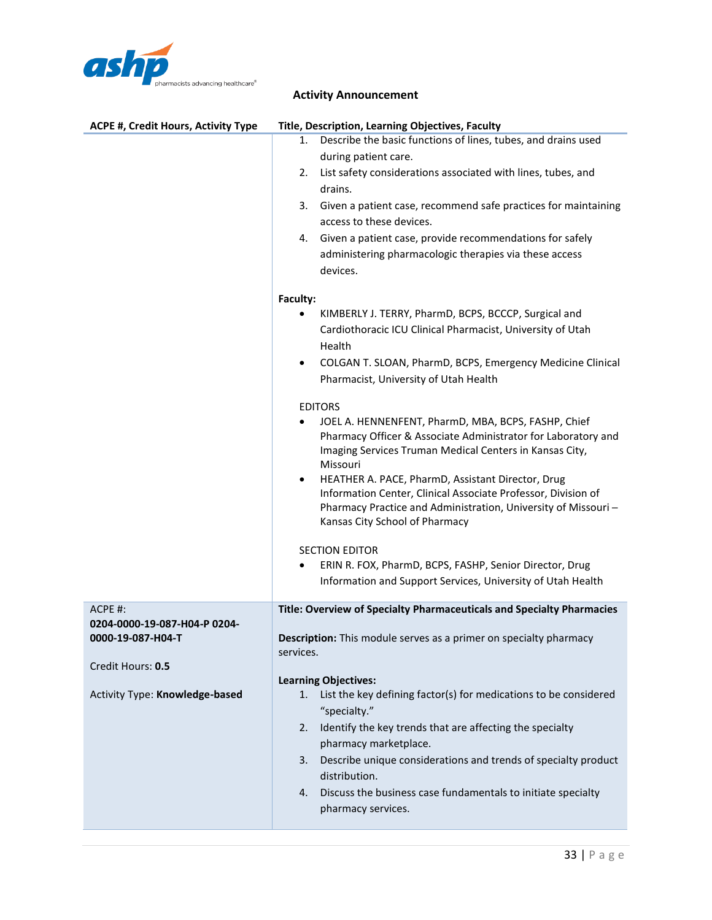

| <b>ACPE #, Credit Hours, Activity Type</b> | Title, Description, Learning Objectives, Faculty                                                                                |
|--------------------------------------------|---------------------------------------------------------------------------------------------------------------------------------|
|                                            | Describe the basic functions of lines, tubes, and drains used<br>1.                                                             |
|                                            | during patient care.                                                                                                            |
|                                            | List safety considerations associated with lines, tubes, and<br>2.                                                              |
|                                            | drains.                                                                                                                         |
|                                            | Given a patient case, recommend safe practices for maintaining<br>3.                                                            |
|                                            | access to these devices.                                                                                                        |
|                                            | Given a patient case, provide recommendations for safely<br>4.                                                                  |
|                                            | administering pharmacologic therapies via these access                                                                          |
|                                            | devices.                                                                                                                        |
|                                            |                                                                                                                                 |
|                                            | Faculty:                                                                                                                        |
|                                            | KIMBERLY J. TERRY, PharmD, BCPS, BCCCP, Surgical and                                                                            |
|                                            | Cardiothoracic ICU Clinical Pharmacist, University of Utah                                                                      |
|                                            | Health                                                                                                                          |
|                                            | COLGAN T. SLOAN, PharmD, BCPS, Emergency Medicine Clinical<br>$\bullet$                                                         |
|                                            | Pharmacist, University of Utah Health                                                                                           |
|                                            | <b>EDITORS</b>                                                                                                                  |
|                                            | JOEL A. HENNENFENT, PharmD, MBA, BCPS, FASHP, Chief                                                                             |
|                                            | Pharmacy Officer & Associate Administrator for Laboratory and                                                                   |
|                                            | Imaging Services Truman Medical Centers in Kansas City,                                                                         |
|                                            | Missouri                                                                                                                        |
|                                            | HEATHER A. PACE, PharmD, Assistant Director, Drug<br>$\bullet$<br>Information Center, Clinical Associate Professor, Division of |
|                                            | Pharmacy Practice and Administration, University of Missouri-                                                                   |
|                                            | Kansas City School of Pharmacy                                                                                                  |
|                                            |                                                                                                                                 |
|                                            | <b>SECTION EDITOR</b>                                                                                                           |
|                                            | ERIN R. FOX, PharmD, BCPS, FASHP, Senior Director, Drug<br>Information and Support Services, University of Utah Health          |
|                                            |                                                                                                                                 |
| ACPE #:                                    | Title: Overview of Specialty Pharmaceuticals and Specialty Pharmacies                                                           |
| 0204-0000-19-087-H04-P 0204-               |                                                                                                                                 |
| 0000-19-087-H04-T                          | Description: This module serves as a primer on specialty pharmacy                                                               |
|                                            | services.                                                                                                                       |
| Credit Hours: 0.5                          | <b>Learning Objectives:</b>                                                                                                     |
| Activity Type: Knowledge-based             | List the key defining factor(s) for medications to be considered<br>1.                                                          |
|                                            | "specialty."                                                                                                                    |
|                                            | Identify the key trends that are affecting the specialty<br>2.                                                                  |
|                                            | pharmacy marketplace.                                                                                                           |
|                                            | Describe unique considerations and trends of specialty product<br>3.                                                            |
|                                            | distribution.                                                                                                                   |
|                                            | Discuss the business case fundamentals to initiate specialty<br>4.                                                              |
|                                            | pharmacy services.                                                                                                              |
|                                            |                                                                                                                                 |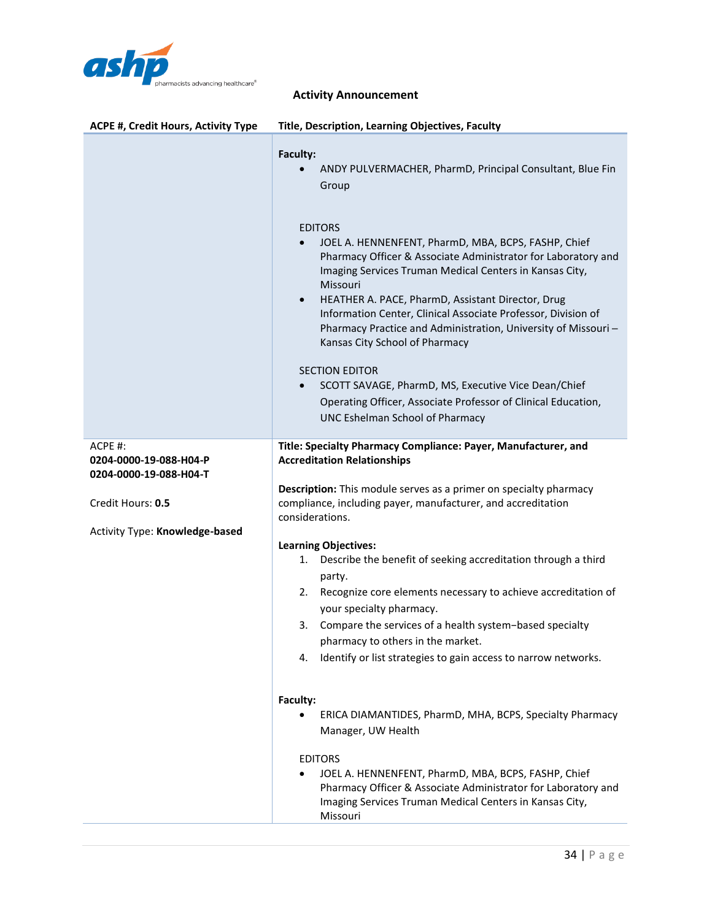

| <b>ACPE #, Credit Hours, Activity Type</b>                                                                         | Title, Description, Learning Objectives, Faculty                                                                                                                                                                                                                                                                                                                                                                                                                                                                                                                                                                                                                                                                                                                                                                                                                                                                                                                             |
|--------------------------------------------------------------------------------------------------------------------|------------------------------------------------------------------------------------------------------------------------------------------------------------------------------------------------------------------------------------------------------------------------------------------------------------------------------------------------------------------------------------------------------------------------------------------------------------------------------------------------------------------------------------------------------------------------------------------------------------------------------------------------------------------------------------------------------------------------------------------------------------------------------------------------------------------------------------------------------------------------------------------------------------------------------------------------------------------------------|
|                                                                                                                    | Faculty:<br>ANDY PULVERMACHER, PharmD, Principal Consultant, Blue Fin<br>Group<br><b>EDITORS</b><br>JOEL A. HENNENFENT, PharmD, MBA, BCPS, FASHP, Chief<br>Pharmacy Officer & Associate Administrator for Laboratory and<br>Imaging Services Truman Medical Centers in Kansas City,<br>Missouri<br>HEATHER A. PACE, PharmD, Assistant Director, Drug<br>$\bullet$<br>Information Center, Clinical Associate Professor, Division of<br>Pharmacy Practice and Administration, University of Missouri-<br>Kansas City School of Pharmacy<br><b>SECTION EDITOR</b><br>SCOTT SAVAGE, PharmD, MS, Executive Vice Dean/Chief<br>$\bullet$<br>Operating Officer, Associate Professor of Clinical Education,<br><b>UNC Eshelman School of Pharmacy</b>                                                                                                                                                                                                                                |
| ACPE #:<br>0204-0000-19-088-H04-P<br>0204-0000-19-088-H04-T<br>Credit Hours: 0.5<br>Activity Type: Knowledge-based | Title: Specialty Pharmacy Compliance: Payer, Manufacturer, and<br><b>Accreditation Relationships</b><br>Description: This module serves as a primer on specialty pharmacy<br>compliance, including payer, manufacturer, and accreditation<br>considerations.<br><b>Learning Objectives:</b><br>Describe the benefit of seeking accreditation through a third<br>1.<br>party.<br>Recognize core elements necessary to achieve accreditation of<br>2.<br>your specialty pharmacy.<br>Compare the services of a health system-based specialty<br>3.<br>pharmacy to others in the market.<br>4.<br>Identify or list strategies to gain access to narrow networks.<br>Faculty:<br>ERICA DIAMANTIDES, PharmD, MHA, BCPS, Specialty Pharmacy<br>Manager, UW Health<br><b>EDITORS</b><br>JOEL A. HENNENFENT, PharmD, MBA, BCPS, FASHP, Chief<br>Pharmacy Officer & Associate Administrator for Laboratory and<br>Imaging Services Truman Medical Centers in Kansas City,<br>Missouri |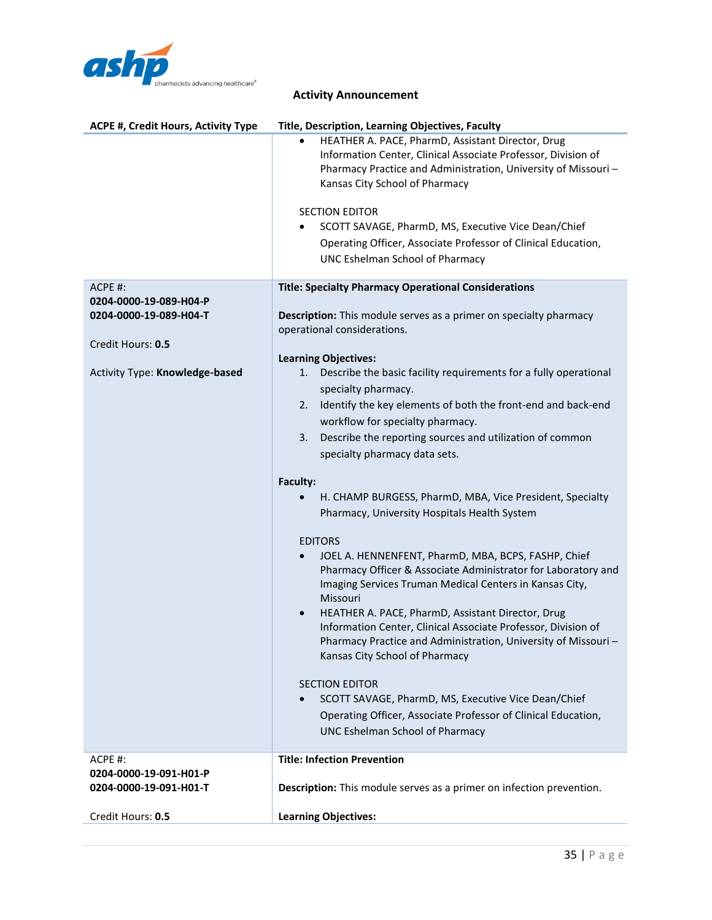

| <b>ACPE #, Credit Hours, Activity Type</b>       | Title, Description, Learning Objectives, Faculty                                                                                                                                                                                                                                                                                                                                                                                  |
|--------------------------------------------------|-----------------------------------------------------------------------------------------------------------------------------------------------------------------------------------------------------------------------------------------------------------------------------------------------------------------------------------------------------------------------------------------------------------------------------------|
|                                                  | HEATHER A. PACE, PharmD, Assistant Director, Drug<br>Information Center, Clinical Associate Professor, Division of<br>Pharmacy Practice and Administration, University of Missouri-<br>Kansas City School of Pharmacy<br><b>SECTION EDITOR</b><br>SCOTT SAVAGE, PharmD, MS, Executive Vice Dean/Chief<br>Operating Officer, Associate Professor of Clinical Education,                                                            |
|                                                  | UNC Eshelman School of Pharmacy                                                                                                                                                                                                                                                                                                                                                                                                   |
| ACPE #:                                          | <b>Title: Specialty Pharmacy Operational Considerations</b>                                                                                                                                                                                                                                                                                                                                                                       |
| 0204-0000-19-089-H04-P<br>0204-0000-19-089-H04-T | <b>Description:</b> This module serves as a primer on specialty pharmacy                                                                                                                                                                                                                                                                                                                                                          |
|                                                  | operational considerations.                                                                                                                                                                                                                                                                                                                                                                                                       |
| Credit Hours: 0.5                                |                                                                                                                                                                                                                                                                                                                                                                                                                                   |
| Activity Type: Knowledge-based                   | <b>Learning Objectives:</b><br>Describe the basic facility requirements for a fully operational<br>1.<br>specialty pharmacy.                                                                                                                                                                                                                                                                                                      |
|                                                  | Identify the key elements of both the front-end and back-end<br>2.<br>workflow for specialty pharmacy.                                                                                                                                                                                                                                                                                                                            |
|                                                  | Describe the reporting sources and utilization of common<br>3.                                                                                                                                                                                                                                                                                                                                                                    |
|                                                  | specialty pharmacy data sets.                                                                                                                                                                                                                                                                                                                                                                                                     |
|                                                  | Faculty:                                                                                                                                                                                                                                                                                                                                                                                                                          |
|                                                  | H. CHAMP BURGESS, PharmD, MBA, Vice President, Specialty                                                                                                                                                                                                                                                                                                                                                                          |
|                                                  | Pharmacy, University Hospitals Health System                                                                                                                                                                                                                                                                                                                                                                                      |
|                                                  | <b>EDITORS</b>                                                                                                                                                                                                                                                                                                                                                                                                                    |
|                                                  | JOEL A. HENNENFENT, PharmD, MBA, BCPS, FASHP, Chief<br>Pharmacy Officer & Associate Administrator for Laboratory and<br>Imaging Services Truman Medical Centers in Kansas City,<br>Missouri<br>HEATHER A. PACE, PharmD, Assistant Director, Drug<br>$\bullet$<br>Information Center, Clinical Associate Professor, Division of<br>Pharmacy Practice and Administration, University of Missouri-<br>Kansas City School of Pharmacy |
|                                                  | <b>SECTION EDITOR</b><br>SCOTT SAVAGE, PharmD, MS, Executive Vice Dean/Chief<br>Operating Officer, Associate Professor of Clinical Education,<br><b>UNC Eshelman School of Pharmacy</b>                                                                                                                                                                                                                                           |
| ACPE #:<br>0204-0000-19-091-H01-P                | <b>Title: Infection Prevention</b>                                                                                                                                                                                                                                                                                                                                                                                                |
| 0204-0000-19-091-H01-T                           | Description: This module serves as a primer on infection prevention.                                                                                                                                                                                                                                                                                                                                                              |
| Credit Hours: 0.5                                | <b>Learning Objectives:</b>                                                                                                                                                                                                                                                                                                                                                                                                       |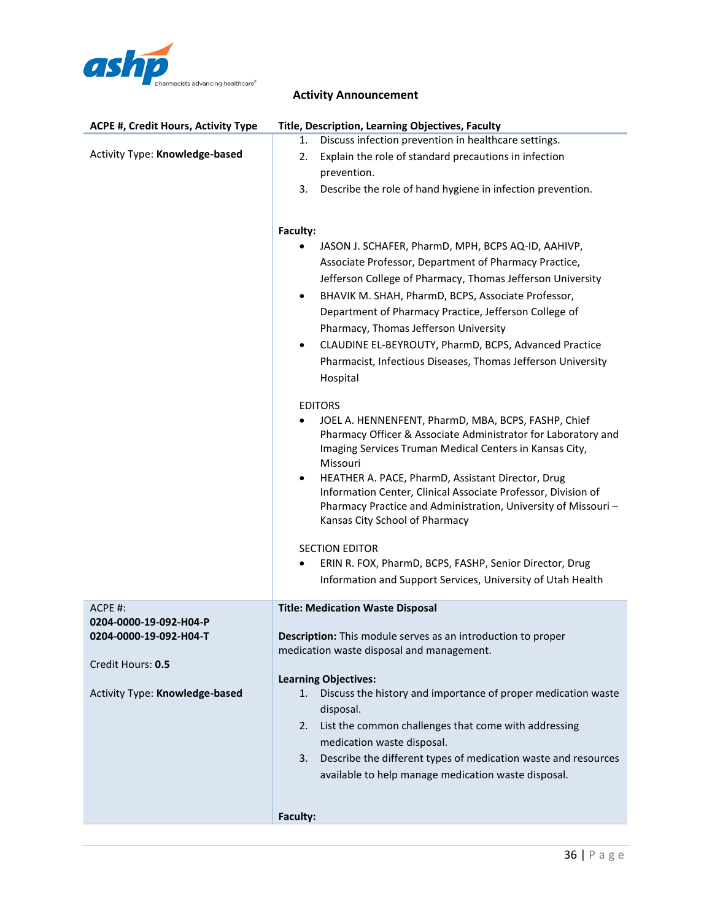

| <b>ACPE #, Credit Hours, Activity Type</b>                                                                         | Title, Description, Learning Objectives, Faculty                                                                                                                                                                                                                                                                                                                                                                                                                                                                                                                                                                                                                                                                                                                                                                                                                                                                                                                                                                                                                                                                    |
|--------------------------------------------------------------------------------------------------------------------|---------------------------------------------------------------------------------------------------------------------------------------------------------------------------------------------------------------------------------------------------------------------------------------------------------------------------------------------------------------------------------------------------------------------------------------------------------------------------------------------------------------------------------------------------------------------------------------------------------------------------------------------------------------------------------------------------------------------------------------------------------------------------------------------------------------------------------------------------------------------------------------------------------------------------------------------------------------------------------------------------------------------------------------------------------------------------------------------------------------------|
| Activity Type: Knowledge-based                                                                                     | Discuss infection prevention in healthcare settings.<br>1.<br>Explain the role of standard precautions in infection<br>2.<br>prevention.<br>Describe the role of hand hygiene in infection prevention.<br>3.                                                                                                                                                                                                                                                                                                                                                                                                                                                                                                                                                                                                                                                                                                                                                                                                                                                                                                        |
|                                                                                                                    | Faculty:<br>JASON J. SCHAFER, PharmD, MPH, BCPS AQ-ID, AAHIVP,<br>Associate Professor, Department of Pharmacy Practice,<br>Jefferson College of Pharmacy, Thomas Jefferson University<br>BHAVIK M. SHAH, PharmD, BCPS, Associate Professor,<br>$\bullet$<br>Department of Pharmacy Practice, Jefferson College of<br>Pharmacy, Thomas Jefferson University<br>CLAUDINE EL-BEYROUTY, PharmD, BCPS, Advanced Practice<br>$\bullet$<br>Pharmacist, Infectious Diseases, Thomas Jefferson University<br>Hospital<br><b>EDITORS</b><br>JOEL A. HENNENFENT, PharmD, MBA, BCPS, FASHP, Chief<br>Pharmacy Officer & Associate Administrator for Laboratory and<br>Imaging Services Truman Medical Centers in Kansas City,<br>Missouri<br>HEATHER A. PACE, PharmD, Assistant Director, Drug<br>٠<br>Information Center, Clinical Associate Professor, Division of<br>Pharmacy Practice and Administration, University of Missouri-<br>Kansas City School of Pharmacy<br><b>SECTION EDITOR</b><br>ERIN R. FOX, PharmD, BCPS, FASHP, Senior Director, Drug<br>٠<br>Information and Support Services, University of Utah Health |
|                                                                                                                    |                                                                                                                                                                                                                                                                                                                                                                                                                                                                                                                                                                                                                                                                                                                                                                                                                                                                                                                                                                                                                                                                                                                     |
| ACPE #:<br>0204-0000-19-092-H04-P<br>0204-0000-19-092-H04-T<br>Credit Hours: 0.5<br>Activity Type: Knowledge-based | <b>Title: Medication Waste Disposal</b><br>Description: This module serves as an introduction to proper<br>medication waste disposal and management.<br><b>Learning Objectives:</b><br>Discuss the history and importance of proper medication waste<br>1.<br>disposal.<br>List the common challenges that come with addressing<br>2.<br>medication waste disposal.<br>Describe the different types of medication waste and resources<br>3.<br>available to help manage medication waste disposal.                                                                                                                                                                                                                                                                                                                                                                                                                                                                                                                                                                                                                  |
|                                                                                                                    | Faculty:                                                                                                                                                                                                                                                                                                                                                                                                                                                                                                                                                                                                                                                                                                                                                                                                                                                                                                                                                                                                                                                                                                            |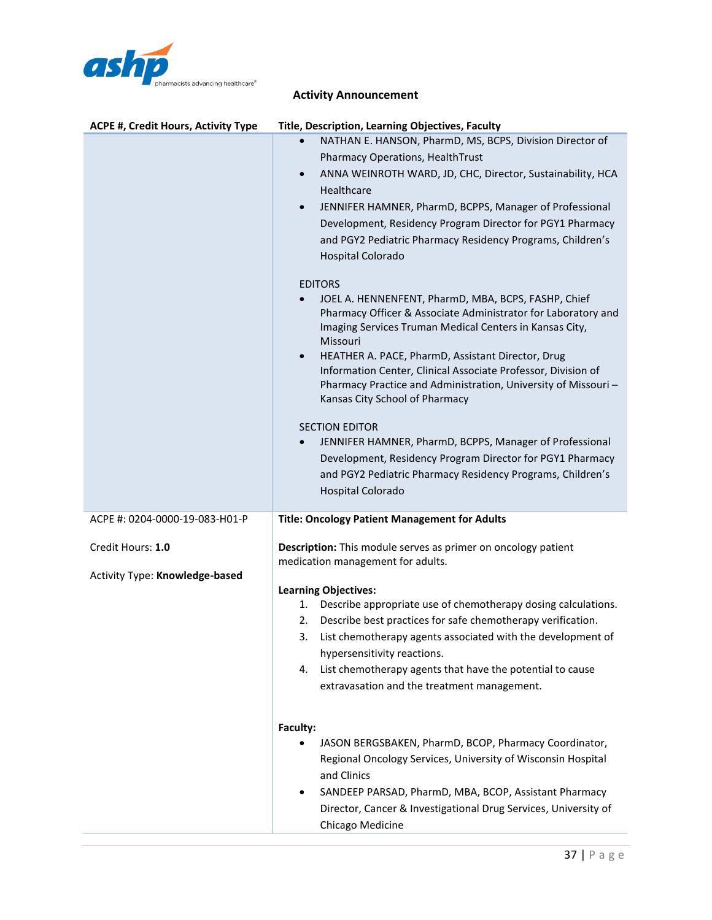

| <b>ACPE #, Credit Hours, Activity Type</b> | <b>Title, Description, Learning Objectives, Faculty</b>                                                              |
|--------------------------------------------|----------------------------------------------------------------------------------------------------------------------|
|                                            | NATHAN E. HANSON, PharmD, MS, BCPS, Division Director of                                                             |
|                                            | Pharmacy Operations, HealthTrust                                                                                     |
|                                            | ANNA WEINROTH WARD, JD, CHC, Director, Sustainability, HCA<br>$\bullet$                                              |
|                                            | Healthcare                                                                                                           |
|                                            | JENNIFER HAMNER, PharmD, BCPPS, Manager of Professional<br>$\bullet$                                                 |
|                                            | Development, Residency Program Director for PGY1 Pharmacy                                                            |
|                                            | and PGY2 Pediatric Pharmacy Residency Programs, Children's                                                           |
|                                            | Hospital Colorado                                                                                                    |
|                                            |                                                                                                                      |
|                                            | <b>EDITORS</b>                                                                                                       |
|                                            | JOEL A. HENNENFENT, PharmD, MBA, BCPS, FASHP, Chief<br>Pharmacy Officer & Associate Administrator for Laboratory and |
|                                            | Imaging Services Truman Medical Centers in Kansas City,                                                              |
|                                            | Missouri                                                                                                             |
|                                            | HEATHER A. PACE, PharmD, Assistant Director, Drug<br>$\bullet$                                                       |
|                                            | Information Center, Clinical Associate Professor, Division of                                                        |
|                                            | Pharmacy Practice and Administration, University of Missouri-<br>Kansas City School of Pharmacy                      |
|                                            |                                                                                                                      |
|                                            | <b>SECTION EDITOR</b>                                                                                                |
|                                            | JENNIFER HAMNER, PharmD, BCPPS, Manager of Professional                                                              |
|                                            | Development, Residency Program Director for PGY1 Pharmacy                                                            |
|                                            | and PGY2 Pediatric Pharmacy Residency Programs, Children's                                                           |
|                                            | <b>Hospital Colorado</b>                                                                                             |
|                                            |                                                                                                                      |
|                                            |                                                                                                                      |
| ACPE #: 0204-0000-19-083-H01-P             | <b>Title: Oncology Patient Management for Adults</b>                                                                 |
| Credit Hours: 1.0                          | Description: This module serves as primer on oncology patient                                                        |
|                                            | medication management for adults.                                                                                    |
| Activity Type: Knowledge-based             |                                                                                                                      |
|                                            | <b>Learning Objectives:</b>                                                                                          |
|                                            | Describe appropriate use of chemotherapy dosing calculations.<br>1.                                                  |
|                                            | Describe best practices for safe chemotherapy verification.<br>2.                                                    |
|                                            | List chemotherapy agents associated with the development of<br>3.                                                    |
|                                            | hypersensitivity reactions.                                                                                          |
|                                            | List chemotherapy agents that have the potential to cause<br>4.                                                      |
|                                            | extravasation and the treatment management.                                                                          |
|                                            |                                                                                                                      |
|                                            | Faculty:                                                                                                             |
|                                            | JASON BERGSBAKEN, PharmD, BCOP, Pharmacy Coordinator,                                                                |
|                                            | Regional Oncology Services, University of Wisconsin Hospital                                                         |
|                                            | and Clinics                                                                                                          |
|                                            | SANDEEP PARSAD, PharmD, MBA, BCOP, Assistant Pharmacy                                                                |
|                                            | Director, Cancer & Investigational Drug Services, University of<br>Chicago Medicine                                  |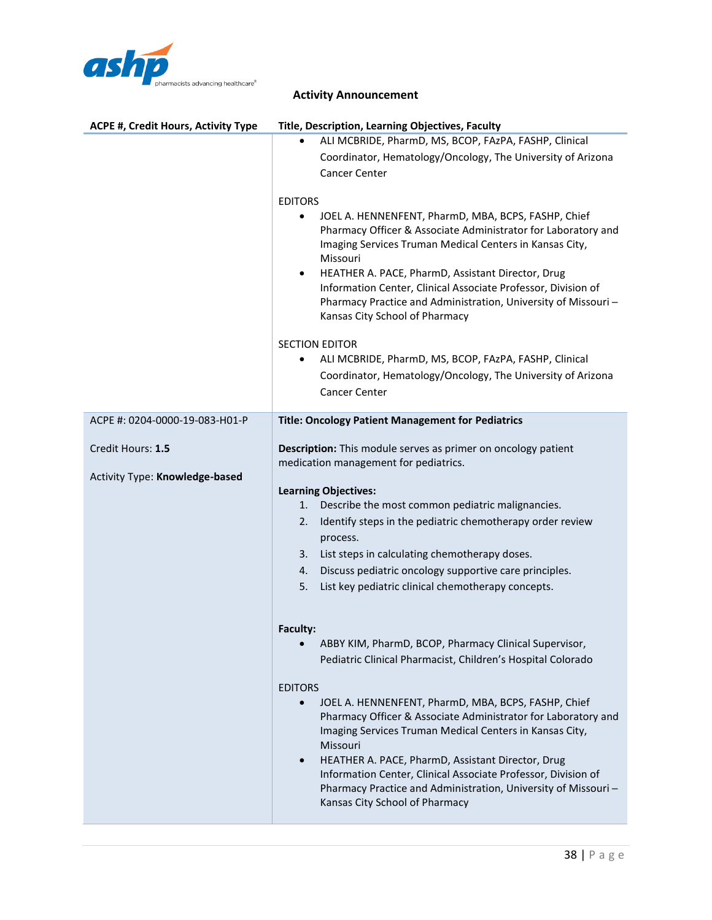

|  | <b>Activity Announcement</b> |
|--|------------------------------|
|--|------------------------------|

| <b>ACPE #, Credit Hours, Activity Type</b> | Title, Description, Learning Objectives, Faculty                                                                                                                                                                                                              |
|--------------------------------------------|---------------------------------------------------------------------------------------------------------------------------------------------------------------------------------------------------------------------------------------------------------------|
|                                            | ALI MCBRIDE, PharmD, MS, BCOP, FAzPA, FASHP, Clinical                                                                                                                                                                                                         |
|                                            | Coordinator, Hematology/Oncology, The University of Arizona                                                                                                                                                                                                   |
|                                            | <b>Cancer Center</b>                                                                                                                                                                                                                                          |
|                                            |                                                                                                                                                                                                                                                               |
|                                            | <b>EDITORS</b>                                                                                                                                                                                                                                                |
|                                            | JOEL A. HENNENFENT, PharmD, MBA, BCPS, FASHP, Chief<br>Pharmacy Officer & Associate Administrator for Laboratory and<br>Imaging Services Truman Medical Centers in Kansas City,<br>Missouri<br>HEATHER A. PACE, PharmD, Assistant Director, Drug<br>$\bullet$ |
|                                            | Information Center, Clinical Associate Professor, Division of<br>Pharmacy Practice and Administration, University of Missouri-<br>Kansas City School of Pharmacy                                                                                              |
|                                            | <b>SECTION EDITOR</b>                                                                                                                                                                                                                                         |
|                                            | ALI MCBRIDE, PharmD, MS, BCOP, FAzPA, FASHP, Clinical<br>٠                                                                                                                                                                                                    |
|                                            | Coordinator, Hematology/Oncology, The University of Arizona                                                                                                                                                                                                   |
|                                            | <b>Cancer Center</b>                                                                                                                                                                                                                                          |
|                                            |                                                                                                                                                                                                                                                               |
| ACPE #: 0204-0000-19-083-H01-P             | <b>Title: Oncology Patient Management for Pediatrics</b>                                                                                                                                                                                                      |
|                                            |                                                                                                                                                                                                                                                               |
| Credit Hours: 1.5                          | Description: This module serves as primer on oncology patient<br>medication management for pediatrics.                                                                                                                                                        |
| Activity Type: Knowledge-based             |                                                                                                                                                                                                                                                               |
|                                            | <b>Learning Objectives:</b><br>Describe the most common pediatric malignancies.<br>1.                                                                                                                                                                         |
|                                            | Identify steps in the pediatric chemotherapy order review<br>2.                                                                                                                                                                                               |
|                                            | process.                                                                                                                                                                                                                                                      |
|                                            | List steps in calculating chemotherapy doses.<br>3.                                                                                                                                                                                                           |
|                                            | Discuss pediatric oncology supportive care principles.<br>4.                                                                                                                                                                                                  |
|                                            | List key pediatric clinical chemotherapy concepts.<br>5.                                                                                                                                                                                                      |
|                                            |                                                                                                                                                                                                                                                               |
|                                            |                                                                                                                                                                                                                                                               |
|                                            | Faculty:<br>ABBY KIM, PharmD, BCOP, Pharmacy Clinical Supervisor,                                                                                                                                                                                             |
|                                            | Pediatric Clinical Pharmacist, Children's Hospital Colorado                                                                                                                                                                                                   |
|                                            |                                                                                                                                                                                                                                                               |
|                                            | <b>EDITORS</b>                                                                                                                                                                                                                                                |
|                                            | JOEL A. HENNENFENT, PharmD, MBA, BCPS, FASHP, Chief<br>Pharmacy Officer & Associate Administrator for Laboratory and<br>Imaging Services Truman Medical Centers in Kansas City,<br>Missouri<br>HEATHER A. PACE, PharmD, Assistant Director, Drug<br>$\bullet$ |
|                                            | Information Center, Clinical Associate Professor, Division of<br>Pharmacy Practice and Administration, University of Missouri-<br>Kansas City School of Pharmacy                                                                                              |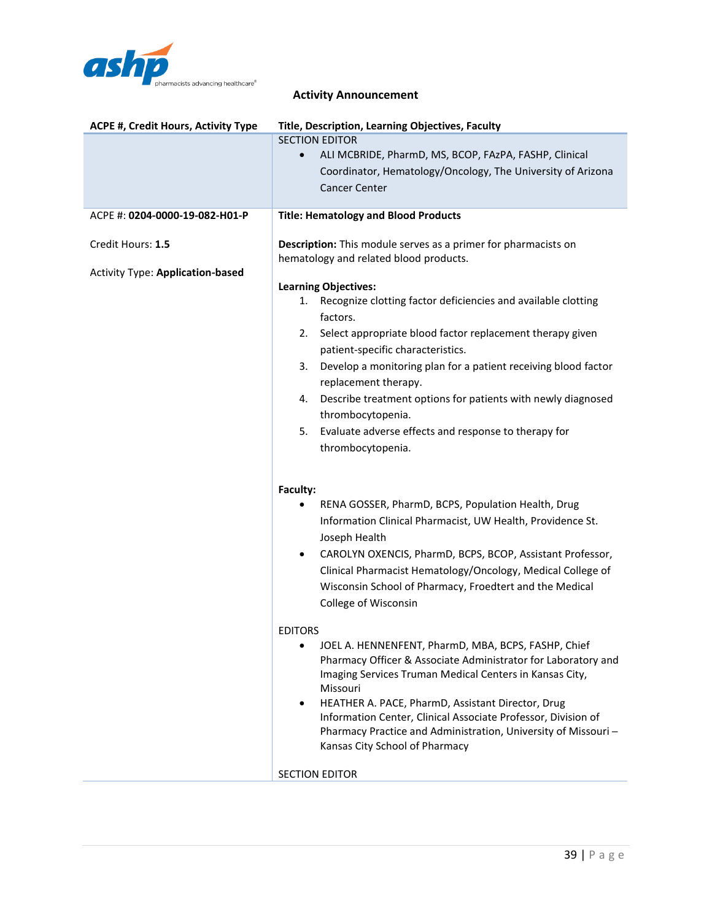

| ACPE #, Credit Hours, Activity Type     | Title, Description, Learning Objectives, Faculty                                                                                |
|-----------------------------------------|---------------------------------------------------------------------------------------------------------------------------------|
|                                         | <b>SECTION EDITOR</b>                                                                                                           |
|                                         | ALI MCBRIDE, PharmD, MS, BCOP, FAzPA, FASHP, Clinical<br>$\bullet$                                                              |
|                                         | Coordinator, Hematology/Oncology, The University of Arizona                                                                     |
|                                         | <b>Cancer Center</b>                                                                                                            |
| ACPE #: 0204-0000-19-082-H01-P          | <b>Title: Hematology and Blood Products</b>                                                                                     |
| Credit Hours: 1.5                       | Description: This module serves as a primer for pharmacists on                                                                  |
| <b>Activity Type: Application-based</b> | hematology and related blood products.                                                                                          |
|                                         | <b>Learning Objectives:</b>                                                                                                     |
|                                         | Recognize clotting factor deficiencies and available clotting<br>1.                                                             |
|                                         | factors.                                                                                                                        |
|                                         | Select appropriate blood factor replacement therapy given<br>2.<br>patient-specific characteristics.                            |
|                                         | Develop a monitoring plan for a patient receiving blood factor<br>3.                                                            |
|                                         | replacement therapy.                                                                                                            |
|                                         | Describe treatment options for patients with newly diagnosed<br>4.                                                              |
|                                         | thrombocytopenia.                                                                                                               |
|                                         | Evaluate adverse effects and response to therapy for<br>5.                                                                      |
|                                         | thrombocytopenia.                                                                                                               |
|                                         |                                                                                                                                 |
|                                         | Faculty:                                                                                                                        |
|                                         | RENA GOSSER, PharmD, BCPS, Population Health, Drug                                                                              |
|                                         | Information Clinical Pharmacist, UW Health, Providence St.                                                                      |
|                                         | Joseph Health                                                                                                                   |
|                                         | CAROLYN OXENCIS, PharmD, BCPS, BCOP, Assistant Professor,<br>$\bullet$                                                          |
|                                         | Clinical Pharmacist Hematology/Oncology, Medical College of                                                                     |
|                                         | Wisconsin School of Pharmacy, Froedtert and the Medical                                                                         |
|                                         | College of Wisconsin                                                                                                            |
|                                         | <b>EDITORS</b>                                                                                                                  |
|                                         | JOEL A. HENNENFENT, PharmD, MBA, BCPS, FASHP, Chief                                                                             |
|                                         | Pharmacy Officer & Associate Administrator for Laboratory and                                                                   |
|                                         | Imaging Services Truman Medical Centers in Kansas City,                                                                         |
|                                         | Missouri                                                                                                                        |
|                                         | HEATHER A. PACE, PharmD, Assistant Director, Drug<br>$\bullet$<br>Information Center, Clinical Associate Professor, Division of |
|                                         | Pharmacy Practice and Administration, University of Missouri-                                                                   |
|                                         | Kansas City School of Pharmacy                                                                                                  |
|                                         |                                                                                                                                 |
|                                         | <b>SECTION EDITOR</b>                                                                                                           |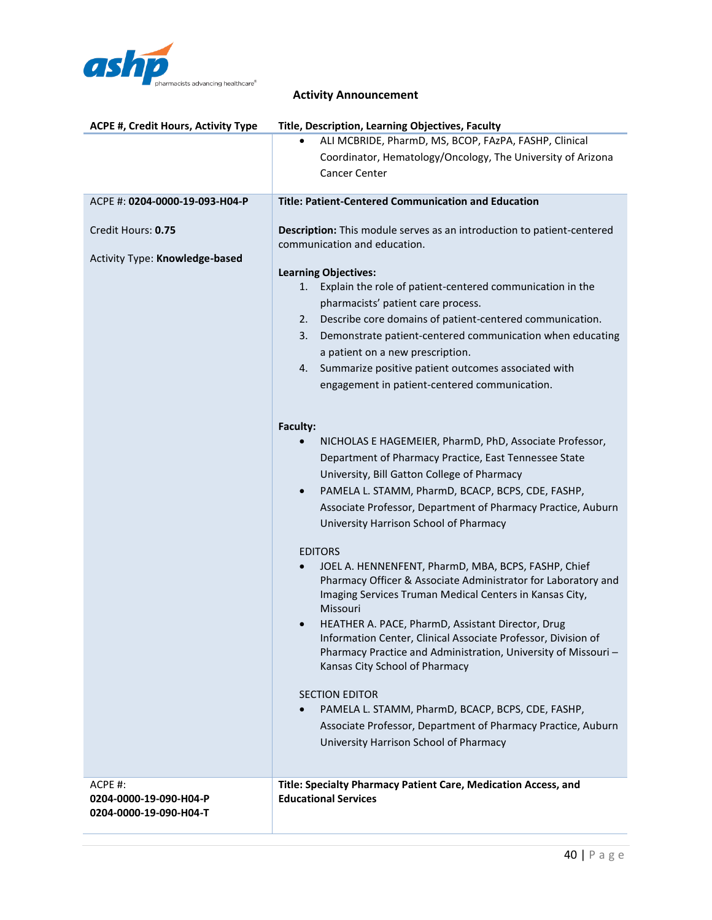

| <b>ACPE #, Credit Hours, Activity Type</b> | Title, Description, Learning Objectives, Faculty                              |
|--------------------------------------------|-------------------------------------------------------------------------------|
|                                            | ALI MCBRIDE, PharmD, MS, BCOP, FAzPA, FASHP, Clinical                         |
|                                            | Coordinator, Hematology/Oncology, The University of Arizona                   |
|                                            | <b>Cancer Center</b>                                                          |
|                                            |                                                                               |
| ACPE #: 0204-0000-19-093-H04-P             | <b>Title: Patient-Centered Communication and Education</b>                    |
|                                            |                                                                               |
| Credit Hours: 0.75                         | <b>Description:</b> This module serves as an introduction to patient-centered |
|                                            | communication and education.                                                  |
| Activity Type: Knowledge-based             |                                                                               |
|                                            | <b>Learning Objectives:</b>                                                   |
|                                            | Explain the role of patient-centered communication in the<br>1.               |
|                                            | pharmacists' patient care process.                                            |
|                                            | Describe core domains of patient-centered communication.<br>2.                |
|                                            | Demonstrate patient-centered communication when educating<br>3.               |
|                                            | a patient on a new prescription.                                              |
|                                            | Summarize positive patient outcomes associated with<br>4.                     |
|                                            | engagement in patient-centered communication.                                 |
|                                            |                                                                               |
|                                            | Faculty:                                                                      |
|                                            | NICHOLAS E HAGEMEIER, PharmD, PhD, Associate Professor,                       |
|                                            | Department of Pharmacy Practice, East Tennessee State                         |
|                                            | University, Bill Gatton College of Pharmacy                                   |
|                                            |                                                                               |
|                                            | PAMELA L. STAMM, PharmD, BCACP, BCPS, CDE, FASHP,<br>$\bullet$                |
|                                            | Associate Professor, Department of Pharmacy Practice, Auburn                  |
|                                            | University Harrison School of Pharmacy                                        |
|                                            | <b>EDITORS</b>                                                                |
|                                            | JOEL A. HENNENFENT, PharmD, MBA, BCPS, FASHP, Chief                           |
|                                            | Pharmacy Officer & Associate Administrator for Laboratory and                 |
|                                            | Imaging Services Truman Medical Centers in Kansas City,                       |
|                                            | Missouri                                                                      |
|                                            | HEATHER A. PACE, PharmD, Assistant Director, Drug<br>$\bullet$                |
|                                            | Information Center, Clinical Associate Professor, Division of                 |
|                                            | Pharmacy Practice and Administration, University of Missouri-                 |
|                                            | Kansas City School of Pharmacy                                                |
|                                            | <b>SECTION EDITOR</b>                                                         |
|                                            | PAMELA L. STAMM, PharmD, BCACP, BCPS, CDE, FASHP,                             |
|                                            | Associate Professor, Department of Pharmacy Practice, Auburn                  |
|                                            | University Harrison School of Pharmacy                                        |
|                                            |                                                                               |
|                                            |                                                                               |
| ACPE #:                                    | Title: Specialty Pharmacy Patient Care, Medication Access, and                |
| 0204-0000-19-090-H04-P                     | <b>Educational Services</b>                                                   |
| 0204-0000-19-090-H04-T                     |                                                                               |
|                                            |                                                                               |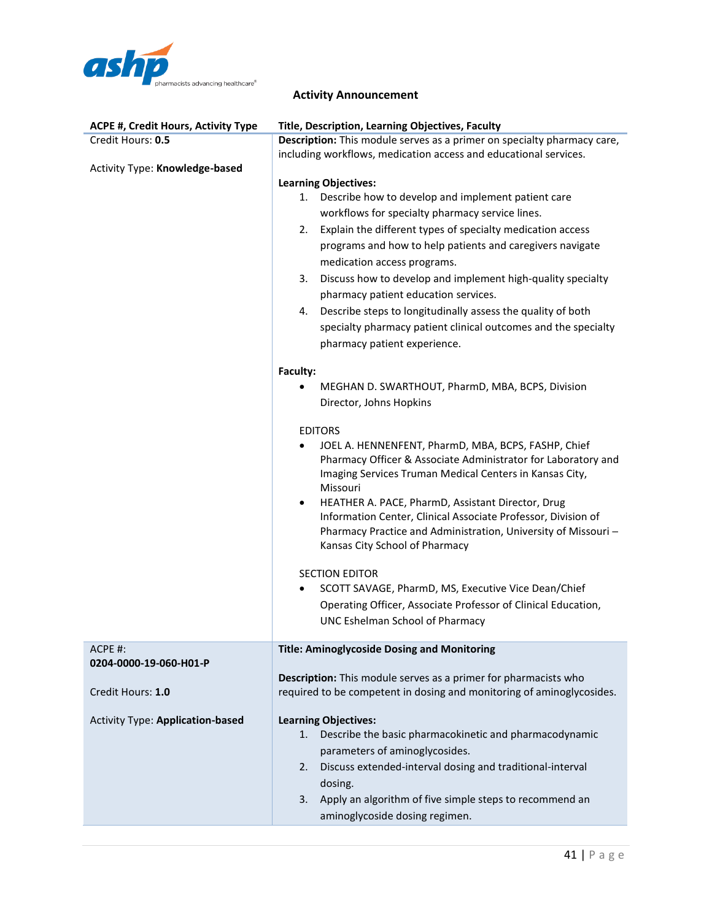

| Credit Hours: 0.5<br>Description: This module serves as a primer on specialty pharmacy care,<br>including workflows, medication access and educational services.<br>Activity Type: Knowledge-based<br><b>Learning Objectives:</b><br>1. Describe how to develop and implement patient care<br>workflows for specialty pharmacy service lines.<br>Explain the different types of specialty medication access<br>2.<br>programs and how to help patients and caregivers navigate<br>medication access programs. |
|---------------------------------------------------------------------------------------------------------------------------------------------------------------------------------------------------------------------------------------------------------------------------------------------------------------------------------------------------------------------------------------------------------------------------------------------------------------------------------------------------------------|
|                                                                                                                                                                                                                                                                                                                                                                                                                                                                                                               |
|                                                                                                                                                                                                                                                                                                                                                                                                                                                                                                               |
|                                                                                                                                                                                                                                                                                                                                                                                                                                                                                                               |
|                                                                                                                                                                                                                                                                                                                                                                                                                                                                                                               |
|                                                                                                                                                                                                                                                                                                                                                                                                                                                                                                               |
|                                                                                                                                                                                                                                                                                                                                                                                                                                                                                                               |
|                                                                                                                                                                                                                                                                                                                                                                                                                                                                                                               |
|                                                                                                                                                                                                                                                                                                                                                                                                                                                                                                               |
| Discuss how to develop and implement high-quality specialty<br>3.                                                                                                                                                                                                                                                                                                                                                                                                                                             |
| pharmacy patient education services.                                                                                                                                                                                                                                                                                                                                                                                                                                                                          |
| Describe steps to longitudinally assess the quality of both<br>4.                                                                                                                                                                                                                                                                                                                                                                                                                                             |
| specialty pharmacy patient clinical outcomes and the specialty                                                                                                                                                                                                                                                                                                                                                                                                                                                |
| pharmacy patient experience.                                                                                                                                                                                                                                                                                                                                                                                                                                                                                  |
|                                                                                                                                                                                                                                                                                                                                                                                                                                                                                                               |
| Faculty:                                                                                                                                                                                                                                                                                                                                                                                                                                                                                                      |
| MEGHAN D. SWARTHOUT, PharmD, MBA, BCPS, Division                                                                                                                                                                                                                                                                                                                                                                                                                                                              |
| Director, Johns Hopkins                                                                                                                                                                                                                                                                                                                                                                                                                                                                                       |
| <b>EDITORS</b>                                                                                                                                                                                                                                                                                                                                                                                                                                                                                                |
| JOEL A. HENNENFENT, PharmD, MBA, BCPS, FASHP, Chief<br>$\bullet$                                                                                                                                                                                                                                                                                                                                                                                                                                              |
| Pharmacy Officer & Associate Administrator for Laboratory and                                                                                                                                                                                                                                                                                                                                                                                                                                                 |
| Imaging Services Truman Medical Centers in Kansas City,                                                                                                                                                                                                                                                                                                                                                                                                                                                       |
| Missouri                                                                                                                                                                                                                                                                                                                                                                                                                                                                                                      |
| HEATHER A. PACE, PharmD, Assistant Director, Drug<br>$\bullet$                                                                                                                                                                                                                                                                                                                                                                                                                                                |
| Information Center, Clinical Associate Professor, Division of<br>Pharmacy Practice and Administration, University of Missouri-                                                                                                                                                                                                                                                                                                                                                                                |
| Kansas City School of Pharmacy                                                                                                                                                                                                                                                                                                                                                                                                                                                                                |
|                                                                                                                                                                                                                                                                                                                                                                                                                                                                                                               |
| <b>SECTION EDITOR</b>                                                                                                                                                                                                                                                                                                                                                                                                                                                                                         |
| SCOTT SAVAGE, PharmD, MS, Executive Vice Dean/Chief                                                                                                                                                                                                                                                                                                                                                                                                                                                           |
| Operating Officer, Associate Professor of Clinical Education,                                                                                                                                                                                                                                                                                                                                                                                                                                                 |
| <b>UNC Eshelman School of Pharmacy</b>                                                                                                                                                                                                                                                                                                                                                                                                                                                                        |
| ACPE #:<br><b>Title: Aminoglycoside Dosing and Monitoring</b>                                                                                                                                                                                                                                                                                                                                                                                                                                                 |
| 0204-0000-19-060-H01-P                                                                                                                                                                                                                                                                                                                                                                                                                                                                                        |
| Description: This module serves as a primer for pharmacists who                                                                                                                                                                                                                                                                                                                                                                                                                                               |
| Credit Hours: 1.0<br>required to be competent in dosing and monitoring of aminoglycosides.                                                                                                                                                                                                                                                                                                                                                                                                                    |
|                                                                                                                                                                                                                                                                                                                                                                                                                                                                                                               |
| <b>Learning Objectives:</b><br><b>Activity Type: Application-based</b><br>Describe the basic pharmacokinetic and pharmacodynamic<br>1.                                                                                                                                                                                                                                                                                                                                                                        |
| parameters of aminoglycosides.                                                                                                                                                                                                                                                                                                                                                                                                                                                                                |
| Discuss extended-interval dosing and traditional-interval<br>2.                                                                                                                                                                                                                                                                                                                                                                                                                                               |
| dosing.                                                                                                                                                                                                                                                                                                                                                                                                                                                                                                       |
| Apply an algorithm of five simple steps to recommend an<br>3.                                                                                                                                                                                                                                                                                                                                                                                                                                                 |
| aminoglycoside dosing regimen.                                                                                                                                                                                                                                                                                                                                                                                                                                                                                |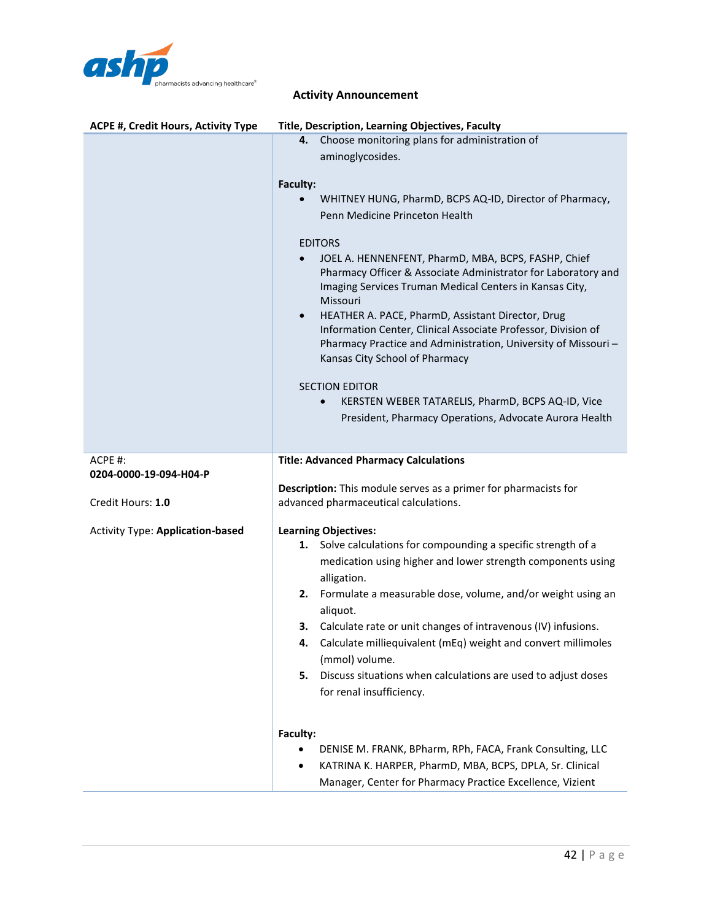

| <b>ACPE #, Credit Hours, Activity Type</b> | Title, Description, Learning Objectives, Faculty                                                                                                                                                                                                                                                                                                                                                                                                                                                                                                                                                                                                                                                                                                                                             |
|--------------------------------------------|----------------------------------------------------------------------------------------------------------------------------------------------------------------------------------------------------------------------------------------------------------------------------------------------------------------------------------------------------------------------------------------------------------------------------------------------------------------------------------------------------------------------------------------------------------------------------------------------------------------------------------------------------------------------------------------------------------------------------------------------------------------------------------------------|
|                                            | Choose monitoring plans for administration of<br>4.<br>aminoglycosides.<br>Faculty:<br>WHITNEY HUNG, PharmD, BCPS AQ-ID, Director of Pharmacy,<br>Penn Medicine Princeton Health<br><b>EDITORS</b><br>JOEL A. HENNENFENT, PharmD, MBA, BCPS, FASHP, Chief<br>Pharmacy Officer & Associate Administrator for Laboratory and<br>Imaging Services Truman Medical Centers in Kansas City,<br>Missouri<br>HEATHER A. PACE, PharmD, Assistant Director, Drug<br>$\bullet$<br>Information Center, Clinical Associate Professor, Division of<br>Pharmacy Practice and Administration, University of Missouri-<br>Kansas City School of Pharmacy<br><b>SECTION EDITOR</b><br>KERSTEN WEBER TATARELIS, PharmD, BCPS AQ-ID, Vice<br>$\bullet$<br>President, Pharmacy Operations, Advocate Aurora Health |
| ACPE #:<br>0204-0000-19-094-H04-P          | <b>Title: Advanced Pharmacy Calculations</b><br>Description: This module serves as a primer for pharmacists for                                                                                                                                                                                                                                                                                                                                                                                                                                                                                                                                                                                                                                                                              |
| Credit Hours: 1.0                          | advanced pharmaceutical calculations.                                                                                                                                                                                                                                                                                                                                                                                                                                                                                                                                                                                                                                                                                                                                                        |
| <b>Activity Type: Application-based</b>    | <b>Learning Objectives:</b><br>Solve calculations for compounding a specific strength of a<br>1.<br>medication using higher and lower strength components using<br>alligation.<br>2. Formulate a measurable dose, volume, and/or weight using an<br>aliquot.<br>Calculate rate or unit changes of intravenous (IV) infusions.<br>з.<br>4.<br>Calculate milliequivalent (mEq) weight and convert millimoles<br>(mmol) volume.<br>Discuss situations when calculations are used to adjust doses<br>5.<br>for renal insufficiency.                                                                                                                                                                                                                                                              |
|                                            | Faculty:<br>DENISE M. FRANK, BPharm, RPh, FACA, Frank Consulting, LLC<br>KATRINA K. HARPER, PharmD, MBA, BCPS, DPLA, Sr. Clinical<br>٠<br>Manager, Center for Pharmacy Practice Excellence, Vizient                                                                                                                                                                                                                                                                                                                                                                                                                                                                                                                                                                                          |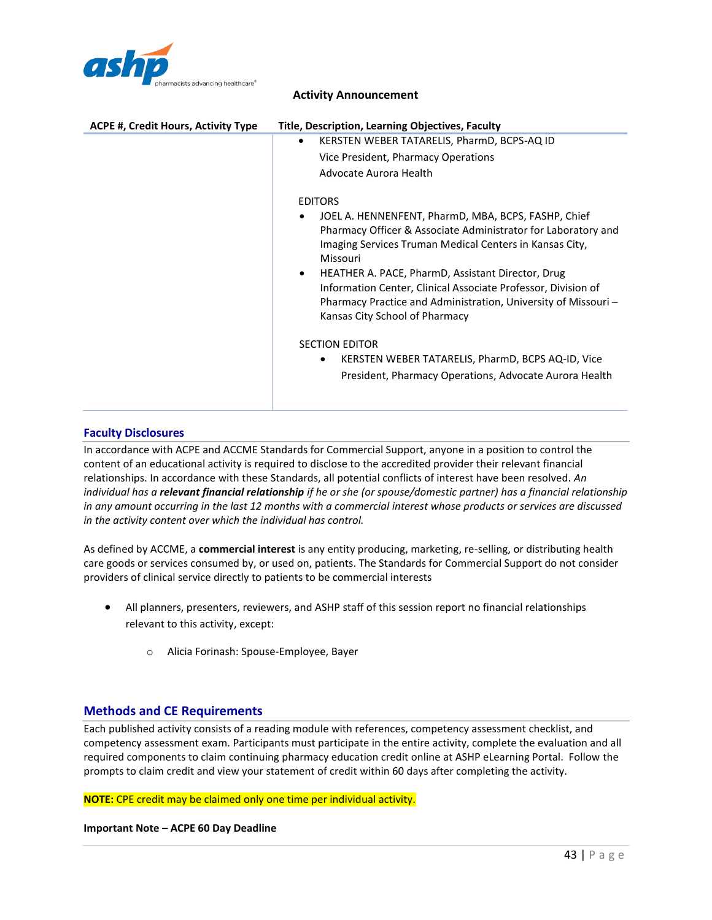

| ACPE #, Credit Hours, Activity Type | Title, Description, Learning Objectives, Faculty                                                                                                                                                                                   |
|-------------------------------------|------------------------------------------------------------------------------------------------------------------------------------------------------------------------------------------------------------------------------------|
|                                     | KERSTEN WEBER TATARELIS, PharmD, BCPS-AQ ID<br>$\bullet$                                                                                                                                                                           |
|                                     | Vice President, Pharmacy Operations                                                                                                                                                                                                |
|                                     | Advocate Aurora Health                                                                                                                                                                                                             |
|                                     | <b>EDITORS</b>                                                                                                                                                                                                                     |
|                                     | JOEL A. HENNENFENT, PharmD, MBA, BCPS, FASHP, Chief<br>Pharmacy Officer & Associate Administrator for Laboratory and<br>Imaging Services Truman Medical Centers in Kansas City,<br>Missouri                                        |
|                                     | HEATHER A. PACE, PharmD, Assistant Director, Drug<br>$\bullet$<br>Information Center, Clinical Associate Professor, Division of<br>Pharmacy Practice and Administration, University of Missouri-<br>Kansas City School of Pharmacy |
|                                     | <b>SECTION EDITOR</b>                                                                                                                                                                                                              |
|                                     | KERSTEN WEBER TATARELIS, PharmD, BCPS AQ-ID, Vice<br>٠<br>President, Pharmacy Operations, Advocate Aurora Health                                                                                                                   |
|                                     |                                                                                                                                                                                                                                    |

#### **Faculty Disclosures**

In accordance with ACPE and ACCME Standards for Commercial Support, anyone in a position to control the content of an educational activity is required to disclose to the accredited provider their relevant financial relationships. In accordance with these Standards, all potential conflicts of interest have been resolved. *An individual has a relevant financial relationship if he or she (or spouse/domestic partner) has a financial relationship in any amount occurring in the last 12 months with a commercial interest whose products or services are discussed in the activity content over which the individual has control.*

As defined by ACCME, a **commercial interest** is any entity producing, marketing, re-selling, or distributing health care goods or services consumed by, or used on, patients. The Standards for Commercial Support do not consider providers of clinical service directly to patients to be commercial interests

- All planners, presenters, reviewers, and ASHP staff of this session report no financial relationships relevant to this activity, except:
	- o Alicia Forinash: Spouse-Employee, Bayer

#### **Methods and CE Requirements**

Each published activity consists of a reading module with references, competency assessment checklist, and competency assessment exam. Participants must participate in the entire activity, complete the evaluation and all required components to claim continuing pharmacy education credit online at ASHP eLearning Portal. Follow the prompts to claim credit and view your statement of credit within 60 days after completing the activity.

**NOTE:** CPE credit may be claimed only one time per individual activity.

**Important Note – ACPE 60 Day Deadline**